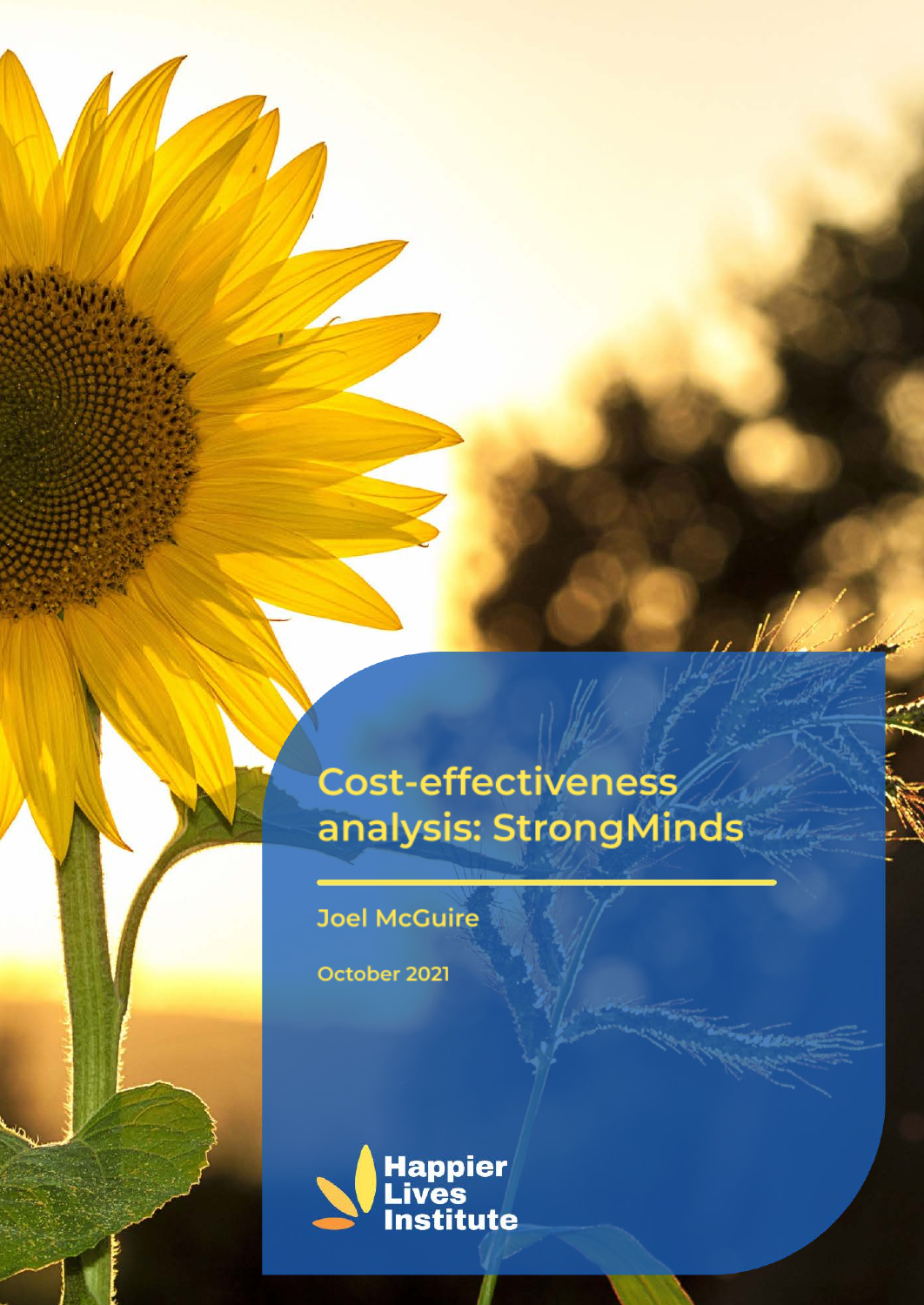# **Cost-effectiveness** analysis: StrongMinds

**Joel McGuire** 

October 2021

53000

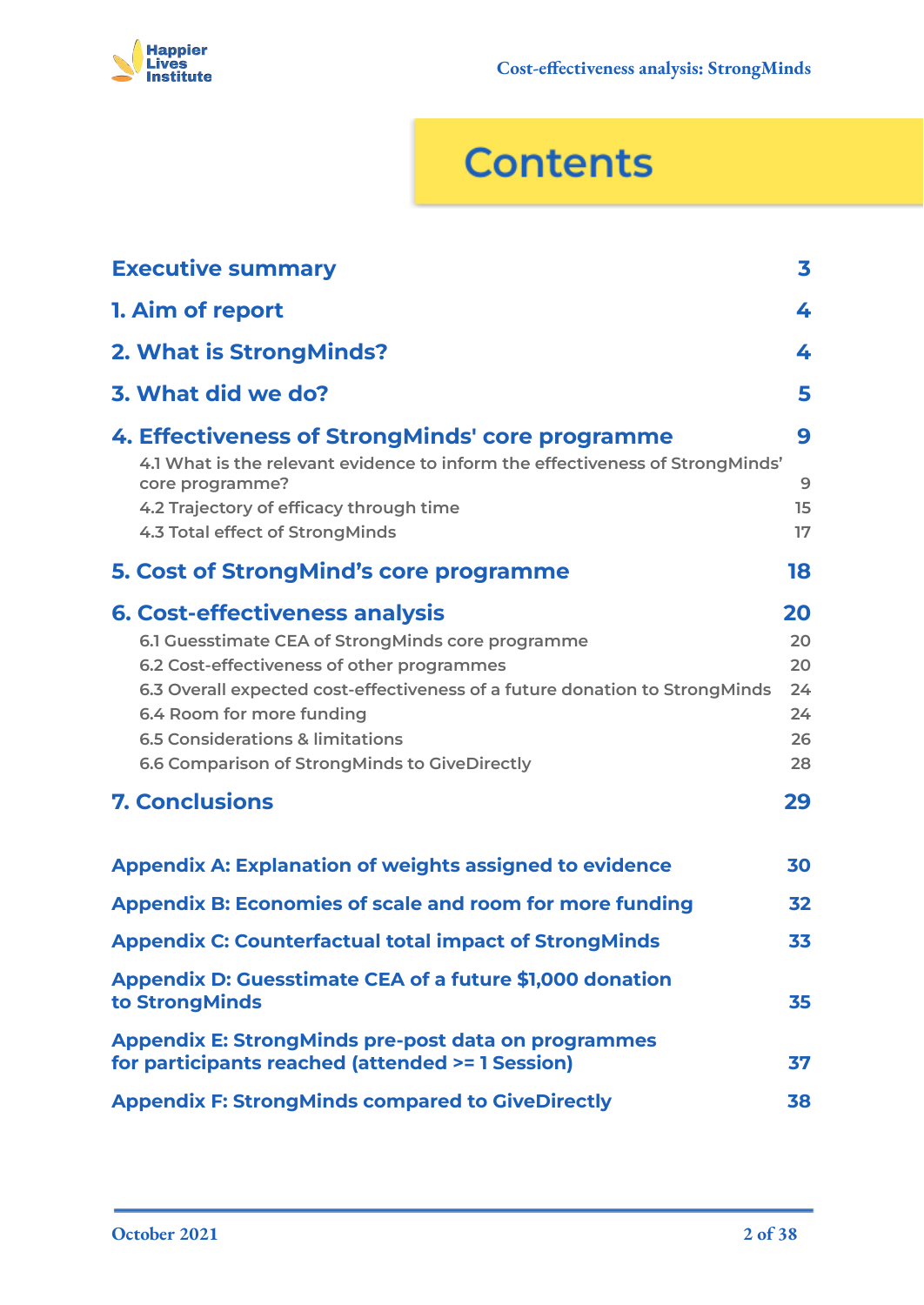

# **Contents**

| <b>Executive summary</b>                                                                                                                                                                                                                                                                                                                             | 3                                      |
|------------------------------------------------------------------------------------------------------------------------------------------------------------------------------------------------------------------------------------------------------------------------------------------------------------------------------------------------------|----------------------------------------|
| 1. Aim of report                                                                                                                                                                                                                                                                                                                                     | 4                                      |
| 2. What is StrongMinds?                                                                                                                                                                                                                                                                                                                              | 4                                      |
| 3. What did we do?                                                                                                                                                                                                                                                                                                                                   | 5                                      |
| 4. Effectiveness of StrongMinds' core programme<br>4.1 What is the relevant evidence to inform the effectiveness of StrongMinds'<br>core programme?<br>4.2 Trajectory of efficacy through time<br>4.3 Total effect of StrongMinds                                                                                                                    | 9<br>9<br>15<br>17                     |
| <b>5. Cost of StrongMind's core programme</b>                                                                                                                                                                                                                                                                                                        | 18                                     |
| <b>6. Cost-effectiveness analysis</b><br>6.1 Guesstimate CEA of StrongMinds core programme<br>6.2 Cost-effectiveness of other programmes<br>6.3 Overall expected cost-effectiveness of a future donation to StrongMinds<br>6.4 Room for more funding<br><b>6.5 Considerations &amp; limitations</b><br>6.6 Comparison of StrongMinds to GiveDirectly | 20<br>20<br>20<br>24<br>24<br>26<br>28 |
| <b>7. Conclusions</b>                                                                                                                                                                                                                                                                                                                                | 29                                     |
| <b>Appendix A: Explanation of weights assigned to evidence</b><br><b>Appendix B: Economies of scale and room for more funding</b>                                                                                                                                                                                                                    | 30<br>32                               |
| <b>Appendix C: Counterfactual total impact of StrongMinds</b>                                                                                                                                                                                                                                                                                        | 33                                     |
| <b>Appendix D: Guesstimate CEA of a future \$1,000 donation</b><br>to StrongMinds                                                                                                                                                                                                                                                                    | 35                                     |
| <b>Appendix E: StrongMinds pre-post data on programmes</b><br>for participants reached (attended >= 1 Session)                                                                                                                                                                                                                                       | 37                                     |
| <b>Appendix F: StrongMinds compared to GiveDirectly</b>                                                                                                                                                                                                                                                                                              | 38                                     |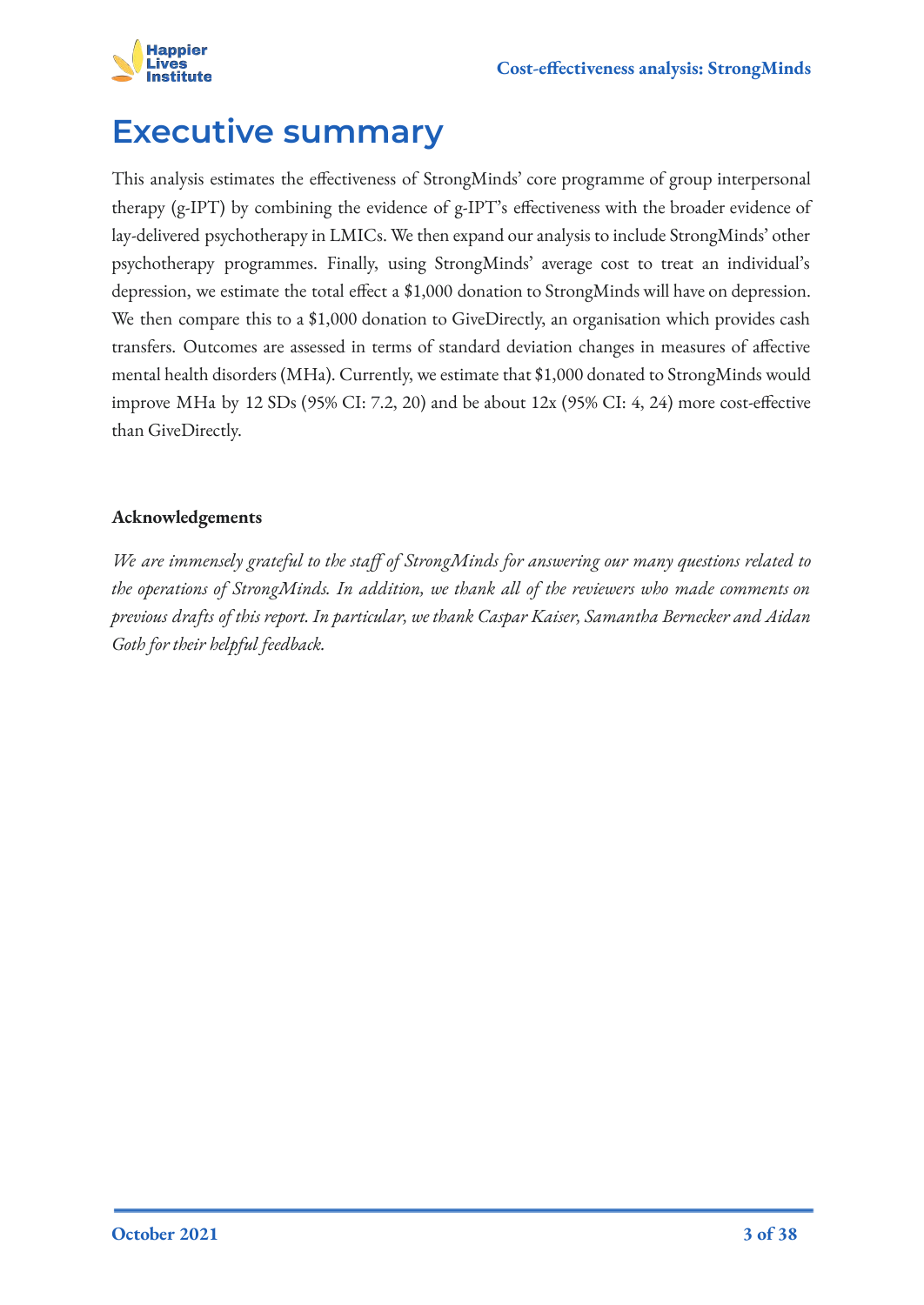

## <span id="page-2-0"></span>**Executive summary**

This analysis estimates the effectiveness of StrongMinds' core programme of group interpersonal therapy (g-IPT) by combining the evidence of g-IPT's effectiveness with the broader evidence of lay-delivered psychotherapy in LMICs. We then expand our analysis to include StrongMinds' other psychotherapy programmes. Finally, using StrongMinds' average cost to treat an individual's depression, we estimate the total effect a \$1,000 donation to StrongMinds will have on depression. We then compare this to a \$1,000 donation to GiveDirectly, an organisation which provides cash transfers. Outcomes are assessed in terms of standard deviation changes in measures of affective mental health disorders (MHa). Currently, we estimate that \$1,000 donated to StrongMinds would improve MHa by 12 SDs (95% CI: 7.2, 20) and be about 12x (95% CI: 4, 24) more cost-effective than GiveDirectly.

### **Acknowledgements**

*We are immensely grateful to the staff of StrongMinds for answering our many questions related to the operations of StrongMinds. In addition, we thank all of the reviewers who made comments on previous drafts of this report. In particular, we thank Caspar Kaiser, Samantha Bernecker and Aidan Goth for their helpful feedback.*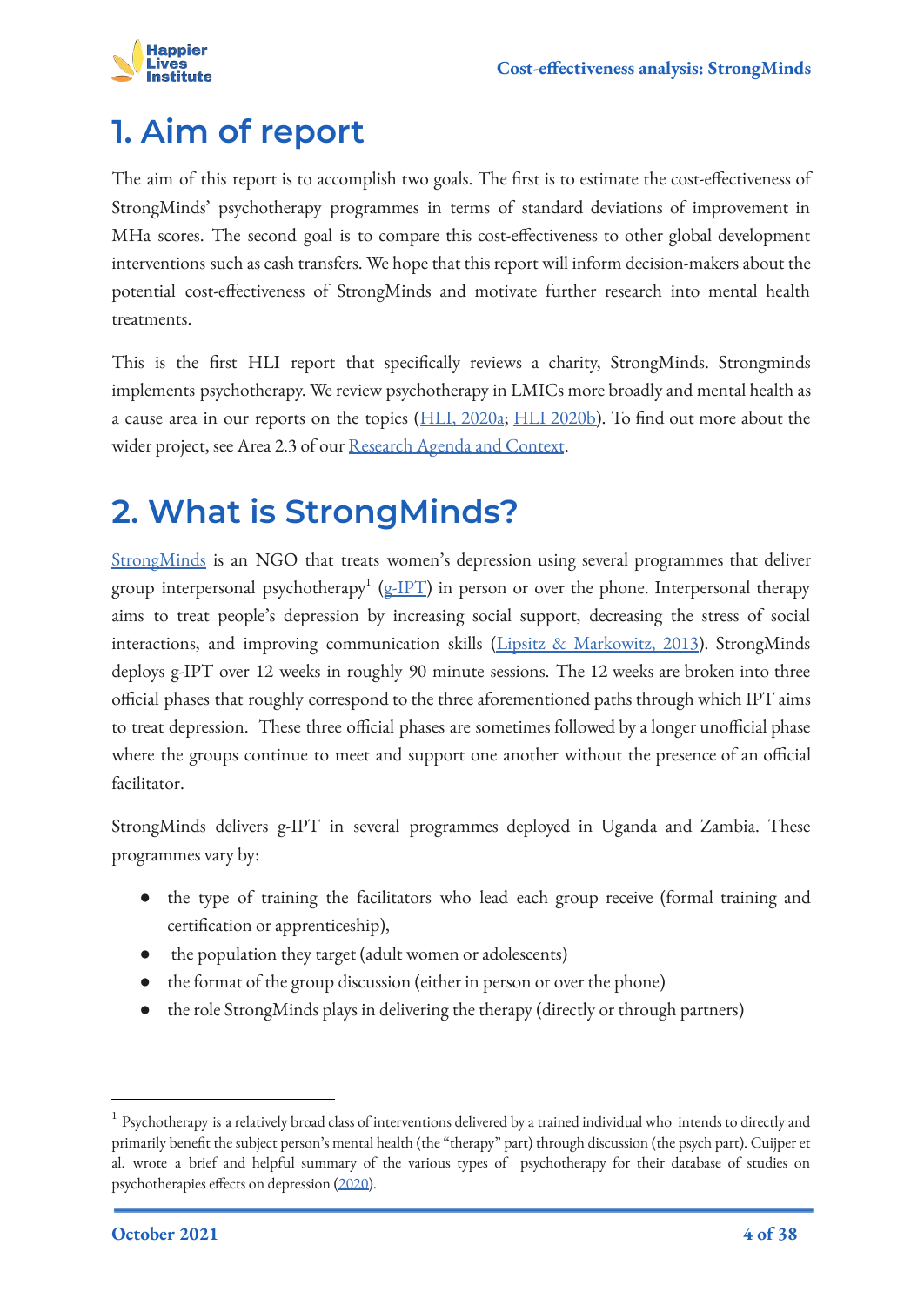

# <span id="page-3-0"></span>**1. Aim of report**

The aim of this report is to accomplish two goals. The first is to estimate the cost-effectiveness of StrongMinds' psychotherapy programmes in terms of standard deviations of improvement in MHa scores. The second goal is to compare this cost-effectiveness to other global development interventions such as cash transfers. We hope that this report will inform decision-makers about the potential cost-effectiveness of StrongMinds and motivate further research into mental health treatments.

This is the first HLI report that specifically reviews a charity, StrongMinds. Strongminds implements psychotherapy. We review psychotherapy in LMICs more broadly and mental health as a cause area in our reports on the topics ([HLI, 2020a](https://www.happierlivesinstitute.org/mental-health.html); [HLI 2020b\)](https://www.happierlivesinstitute.org/psychotherapy-cea.html). To find out more about the wider project, see Area 2.3 of our [Research Agenda and Context](https://www.happierlivesinstitute.org/uploads/1/0/9/9/109970865/research_agenda_and_contextv3.0.pdf).

# <span id="page-3-1"></span>**2. What is StrongMinds?**

[StrongMinds](https://strongminds.org/who-we-are/) is an NGO that treats women's depression using several programmes that deliver group interpersonal psychotherapy $^1$  ([g-IPT](https://apps.who.int/iris/bitstream/handle/10665/250219/WHO-MSD-MER-16.4-eng.pdf)) in person or over the phone. Interpersonal therapy aims to treat people's depression by increasing social support, decreasing the stress of social interactions, and improving communication skills [\(Lipsitz & Markowitz, 2013\)](https://www.sciencedirect.com/science/article/abs/pii/S0272735813001281). StrongMinds deploys g-IPT over 12 weeks in roughly 90 minute sessions. The 12 weeks are broken into three official phases that roughly correspond to the three aforementioned paths through which IPT aims to treat depression. These three official phases are sometimes followed by a longer unofficial phase where the groups continue to meet and support one another without the presence of an official facilitator.

StrongMinds delivers g-IPT in several programmes deployed in Uganda and Zambia. These programmes vary by:

- the type of training the facilitators who lead each group receive (formal training and certification or apprenticeship),
- the population they target (adult women or adolescents)
- the format of the group discussion (either in person or over the phone)
- the role StrongMinds plays in delivering the therapy (directly or through partners)

 $^{\rm 1}$  Psychotherapy is a relatively broad class of interventions delivered by a trained individual who intends to directly and primarily benefit the subject person's mental health (the "therapy" part) through discussion (the psych part). Cuijper et al. wrote a brief and helpful summary of the various types of psychotherapy for their database of studies on psychotherapies effects on depression [\(2020\)](https://evidencebasedpsychotherapies.shinyapps.io/metapsy/_w_03a872ab/psychotherapies.pdf).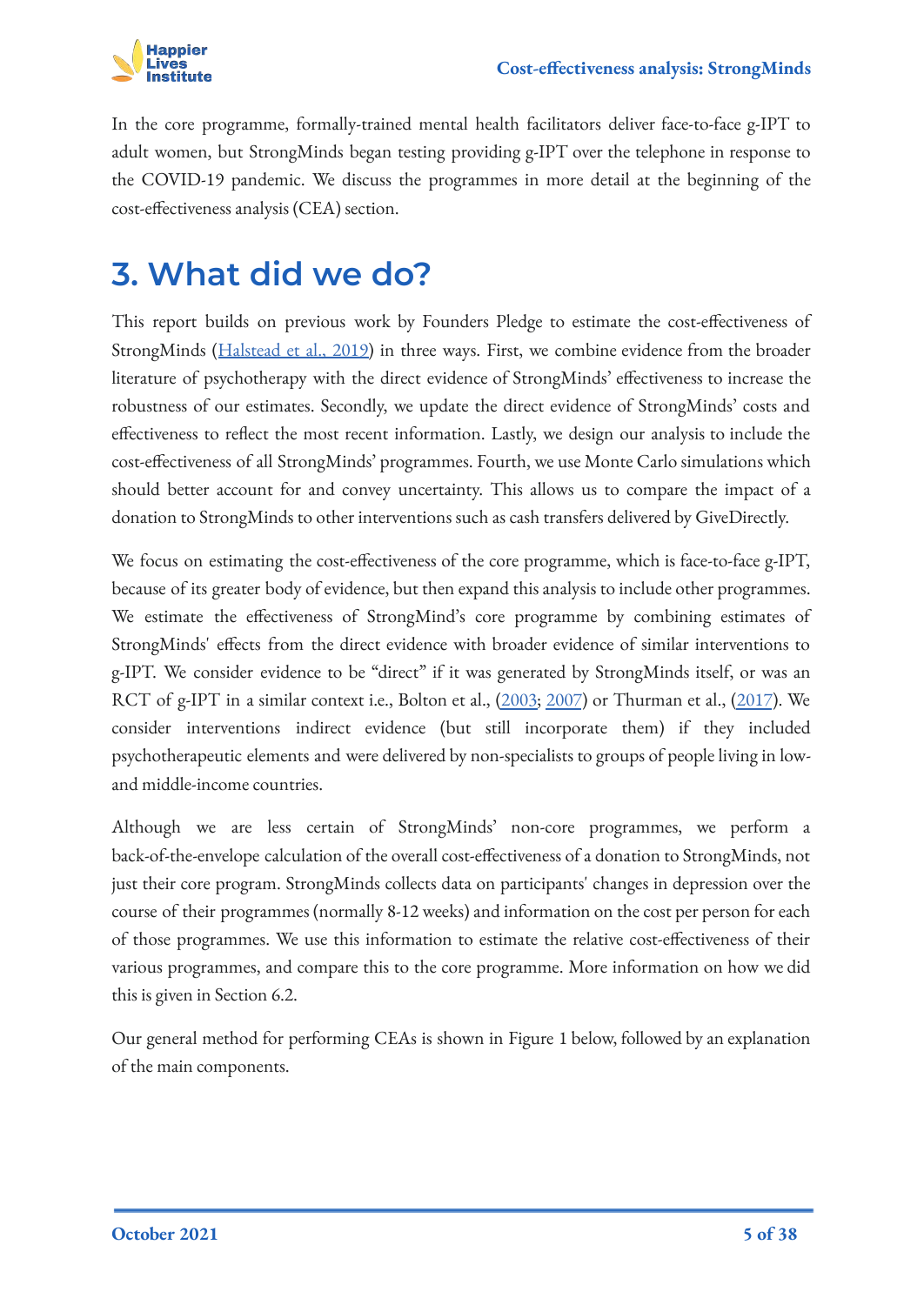

In the core programme, formally-trained mental health facilitators deliver face-to-face g-IPT to adult women, but StrongMinds began testing providing g-IPT over the telephone in response to the COVID-19 pandemic. We discuss the programmes in more detail at the beginning of the cost-effectiveness analysis (CEA) section.

## <span id="page-4-0"></span>**3. What did we do?**

This report builds on previous work by Founders Pledge to estimate the cost-effectiveness of StrongMinds ([Halstead et al., 2019\)](https://founderspledge.com/stories/mental-health-report-summary) in three ways. First, we combine evidence from the broader literature of psychotherapy with the direct evidence of StrongMinds' effectiveness to increase the robustness of our estimates. Secondly, we update the direct evidence of StrongMinds' costs and effectiveness to reflect the most recent information. Lastly, we design our analysis to include the cost-effectiveness of all StrongMinds' programmes. Fourth, we use Monte Carlo simulations which should better account for and convey uncertainty. This allows us to compare the impact of a donation to StrongMinds to other interventions such as cash transfers delivered by GiveDirectly.

We focus on estimating the cost-effectiveness of the core programme, which is face-to-face g-IPT, because of its greater body of evidence, but then expand this analysis to include other programmes. We estimate the effectiveness of StrongMind's core programme by combining estimates of StrongMinds' effects from the direct evidence with broader evidence of similar interventions to g-IPT. We consider evidence to be "direct" if it was generated by StrongMinds itself, or was an RCT of g-IPT in a similar context i.e., Bolton et al., [\(2003;](https://jamanetwork.com/journals/jama/fullarticle/196766) [2007](https://pubmed.ncbi.nlm.nih.gov/17666672/)) or Thurman et al., [\(2017](https://acamh.onlinelibrary.wiley.com/doi/abs/10.1111/camh.12241)). We consider interventions indirect evidence (but still incorporate them) if they included psychotherapeutic elements and were delivered by non-specialists to groups of people living in lowand middle-income countries.

Although we are less certain of StrongMinds' non-core programmes, we perform a back-of-the-envelope calculation of the overall cost-effectiveness of a donation to StrongMinds, not just their core program. StrongMinds collects data on participants' changes in depression over the course of their programmes (normally 8-12 weeks) and information on the cost per person for each of those programmes. We use this information to estimate the relative cost-effectiveness of their various programmes, and compare this to the core programme. More information on how we did this is given in Section 6.2.

Our general method for performing CEAs is shown in Figure 1 below, followed by an explanation of the main components.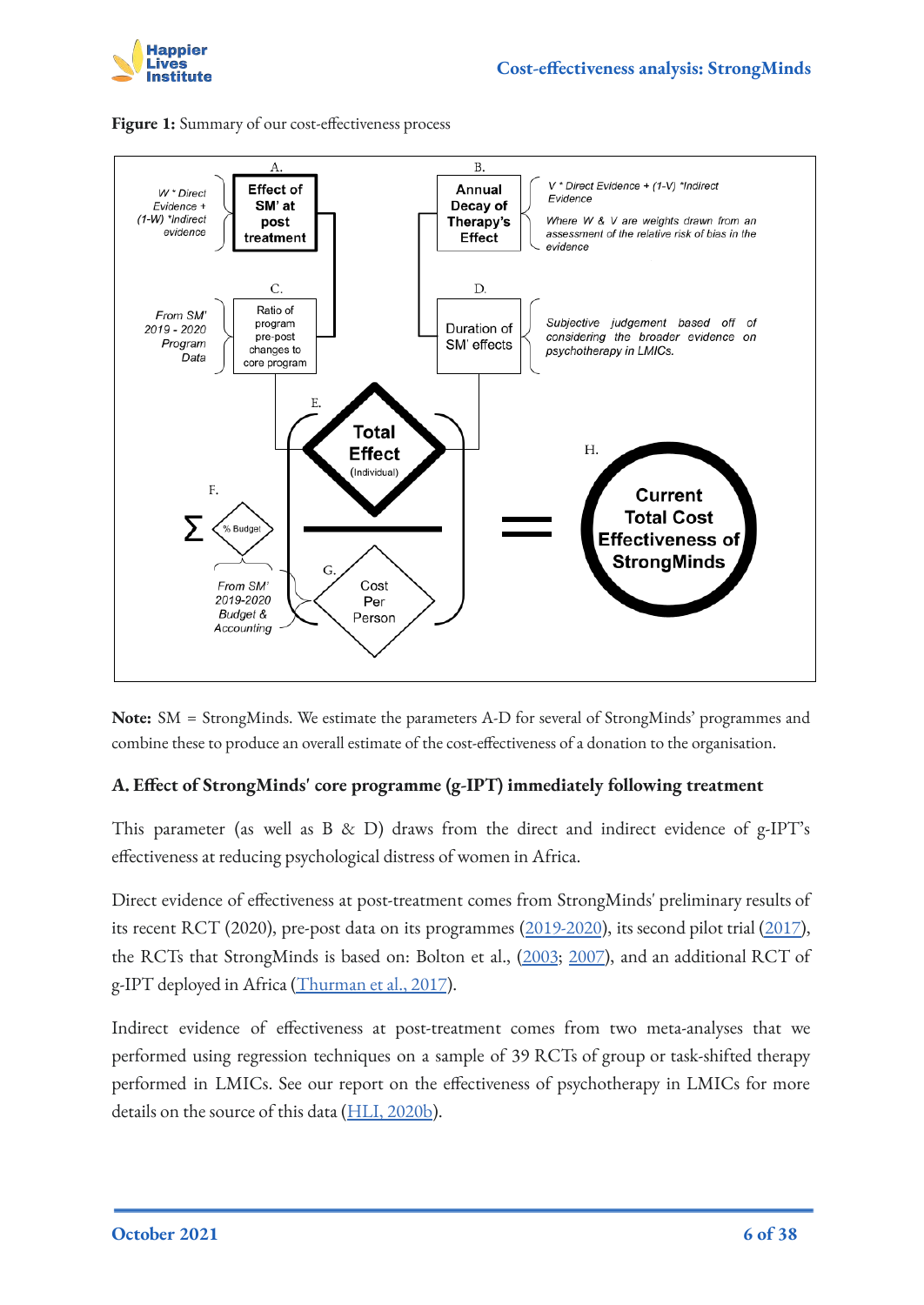





**Note:** SM = StrongMinds. We estimate the parameters A-D for several of StrongMinds' programmes and combine these to produce an overall estimate of the cost-effectiveness of a donation to the organisation.

### **A. Effect of StrongMinds' core programme (g-IPT) immediately following treatment**

This parameter (as well as B & D) draws from the direct and indirect evidence of g-IPT's effectiveness at reducing psychological distress of women in Africa.

Direct evidence of effectiveness at post-treatment comes from StrongMinds' preliminary results of its recent RCT (2020), pre-post data on its programmes ([2019-2020](#page-36-0)), its second pilot trial [\(2017\)](https://strongminds.org/wp-content/uploads/2013/07/StrongMinds-Phase-Two-Impact-Evaluation-Report-July-2015-FINAL.pdf), the RCTs that StrongMinds is based on: Bolton et al., [\(2003](https://jamanetwork.com/journals/jama/fullarticle/196766); [2007\)](https://pubmed.ncbi.nlm.nih.gov/17666672/), and an additional RCT of g-IPT deployed in Africa [\(Thurman et al., 2017](https://acamh.onlinelibrary.wiley.com/doi/abs/10.1111/camh.12241)).

Indirect evidence of effectiveness at post-treatment comes from two meta-analyses that we performed using regression techniques on a sample of 39 RCTs of group or task-shifted therapy performed in LMICs. See our report on the effectiveness of psychotherapy in LMICs for more details on the source of this data ([HLI, 2020b](https://www.happierlivesinstitute.org/psychotherapy-cea.html)).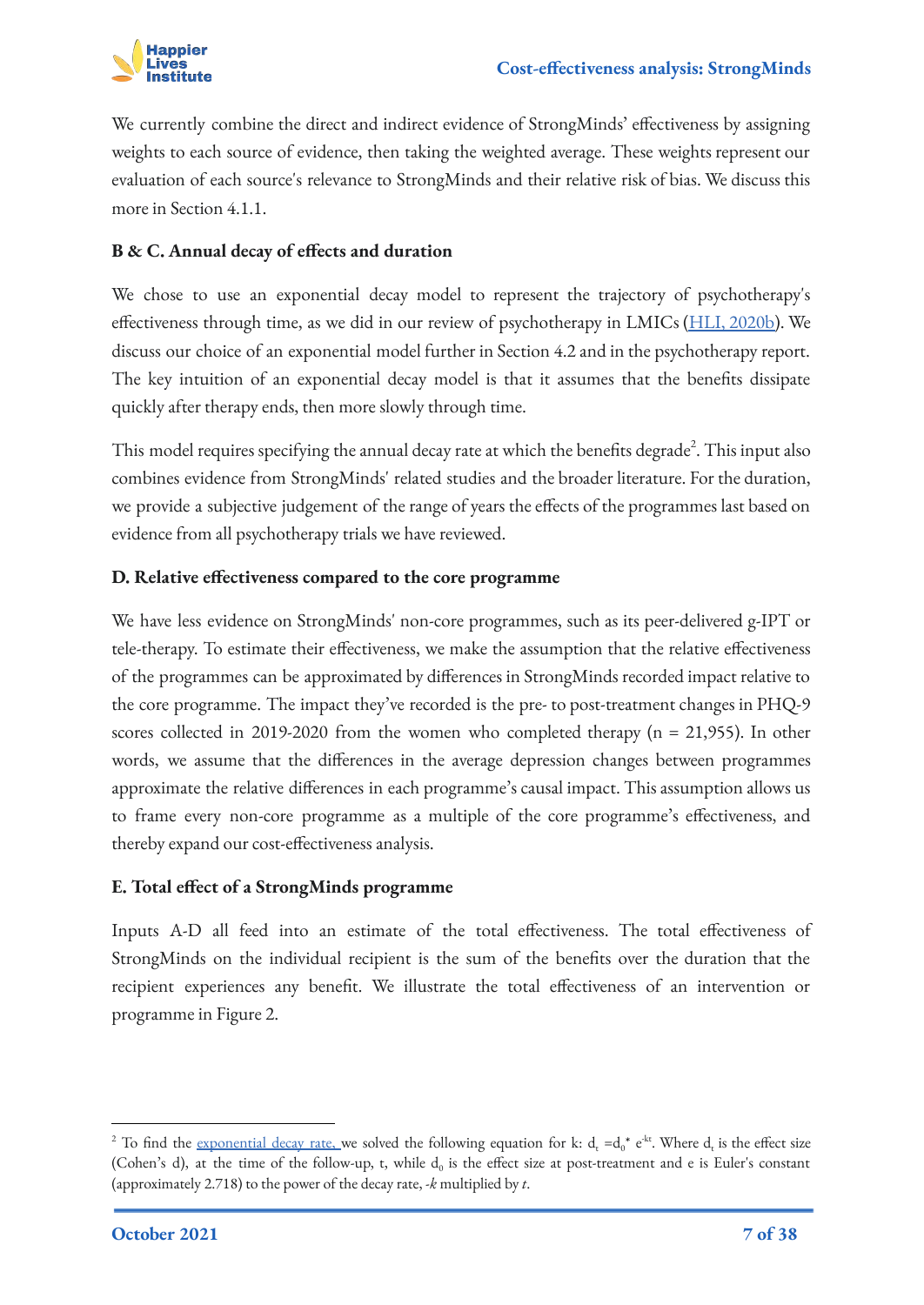

We currently combine the direct and indirect evidence of StrongMinds' effectiveness by assigning weights to each source of evidence, then taking the weighted average. These weights represent our evaluation of each source's relevance to StrongMinds and their relative risk of bias. We discuss this more in Section 4.1.1.

### **B & C. Annual decay of effects and duration**

We chose to use an exponential decay model to represent the trajectory of psychotherapy's effectiveness through time, as we did in our review of psychotherapy in LMICs [\(HLI, 2020b\)](https://www.happierlivesinstitute.org/psychotherapy-cea.html). We discuss our choice of an exponential model further in Section 4.2 and in the psychotherapy report. The key intuition of an exponential decay model is that it assumes that the benefits dissipate quickly after therapy ends, then more slowly through time.

This model requires specifying the annual decay rate at which the benefits degrade $^2$ . This input also combines evidence from StrongMinds' related studies and the broader literature. For the duration, we provide a subjective judgement of the range of years the effects of the programmes last based on evidence from all psychotherapy trials we have reviewed.

### **D. Relative effectiveness compared to the core programme**

We have less evidence on StrongMinds' non-core programmes, such as its peer-delivered g-IPT or tele-therapy. To estimate their effectiveness, we make the assumption that the relative effectiveness of the programmes can be approximated by differences in StrongMinds recorded impact relative to the core programme. The impact they've recorded is the pre- to post-treatment changes in PHQ-9 scores collected in 2019-2020 from the women who completed therapy  $(n = 21,955)$ . In other words, we assume that the differences in the average depression changes between programmes approximate the relative differences in each programme's causal impact. This assumption allows us to frame every non-core programme as a multiple of the core programme's effectiveness, and thereby expand our cost-effectiveness analysis.

### **E. Total effect of a StrongMinds programme**

Inputs A-D all feed into an estimate of the total effectiveness. The total effectiveness of StrongMinds on the individual recipient is the sum of the benefits over the duration that the recipient experiences any benefit. We illustrate the total effectiveness of an intervention or programme in Figure 2.

<sup>&</sup>lt;sup>2</sup> To find the <u>[exponential decay](https://en.wikipedia.org/wiki/Exponential_decay) rate, w</u>e solved the following equation for k:  $d_t = d_0^* e^{-kt}$ . Where  $d_t$  is the effect size (Cohen's d), at the time of the follow-up, t, while  $d_0$  is the effect size at post-treatment and e is [Euler's constant](https://en.wikipedia.org/wiki/E_(mathematical_constant)) (approximately 2.718) to the power of the decay rate, -*k* multiplied by *t*.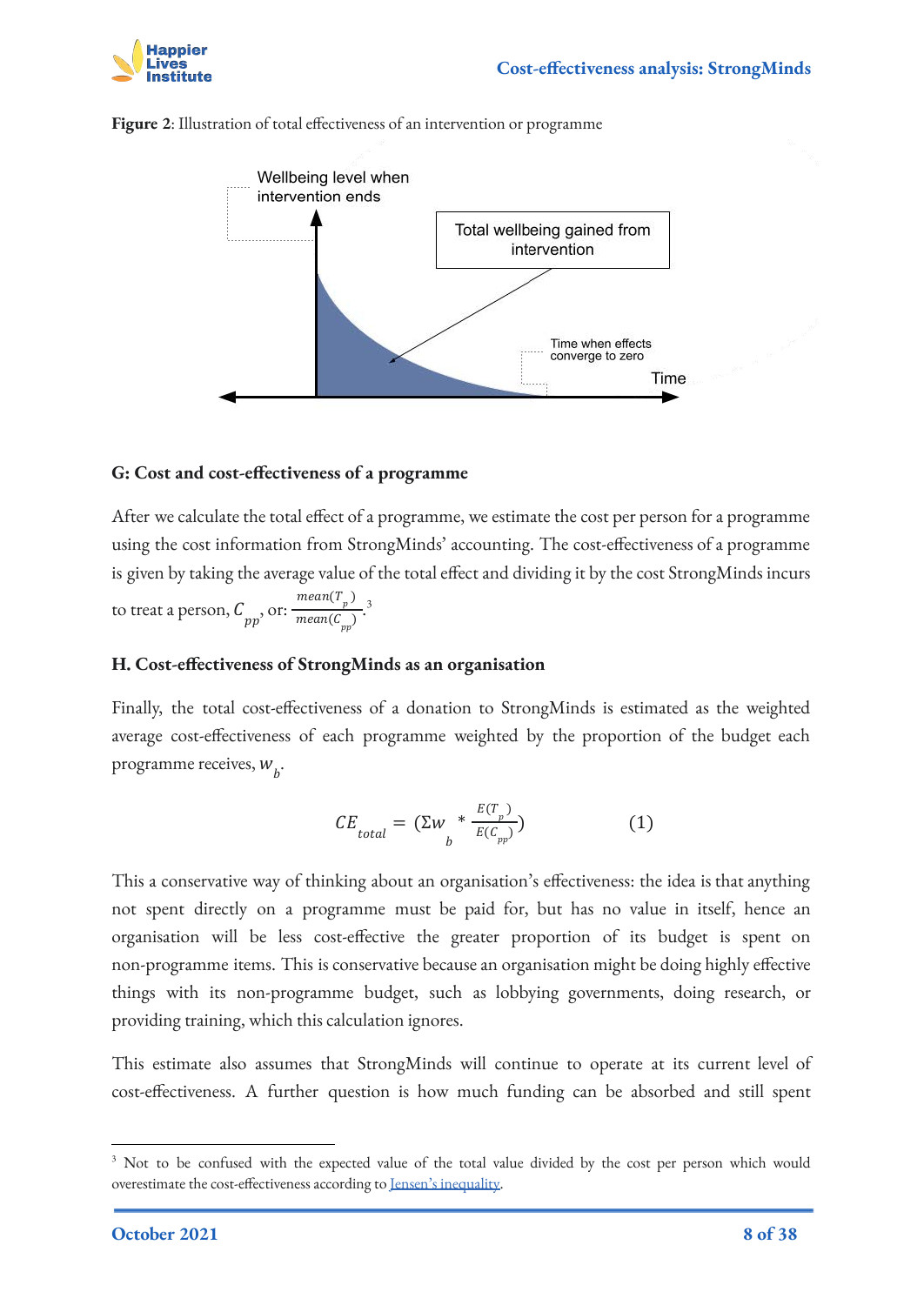



**Figure 2**: Illustration of total effectiveness of an intervention or programme

#### **G: Cost and cost-effectiveness of a programme**

After we calculate the total effect of a programme, we estimate the cost per person for a programme using the cost information from StrongMinds' accounting. The cost-effectiveness of a programme is given by taking the average value of the total effect and dividing it by the cost StrongMinds incurs to treat a person,  $C_{pp}$ , or:  $\frac{mean(\mathcal{C}_{pp})}{mean(\mathcal{C}_{mp})}$ .<sup>3</sup>  $mean(T_p)$ mean( $\mathcal{C}_{\mathit{pp}}$ )

#### **H. Cost-effectiveness of StrongMinds as an organisation**

Finally, the total cost-effectiveness of a donation to StrongMinds is estimated as the weighted average cost-effectiveness of each programme weighted by the proportion of the budget each programme receives,  $W_{\mu}$ .

$$
CE_{total} = (\Sigma w_{b} * \frac{E(T_{p})}{E(C_{pp})})
$$
 (1)

This a conservative way of thinking about an organisation's effectiveness: the idea is that anything not spent directly on a programme must be paid for, but has no value in itself, hence an organisation will be less cost-effective the greater proportion of its budget is spent on non-programme items. This is conservative because an organisation might be doing highly effective things with its non-programme budget, such as lobbying governments, doing research, or providing training, which this calculation ignores.

This estimate also assumes that StrongMinds will continue to operate at its current level of cost-effectiveness. A further question is how much funding can be absorbed and still spent

<sup>&</sup>lt;sup>3</sup> Not to be confused with the expected value of the total value divided by the cost per person which would overestimate the cost-effectiveness according to [Jensen's inequality.](https://en.wikipedia.org/wiki/Jensen)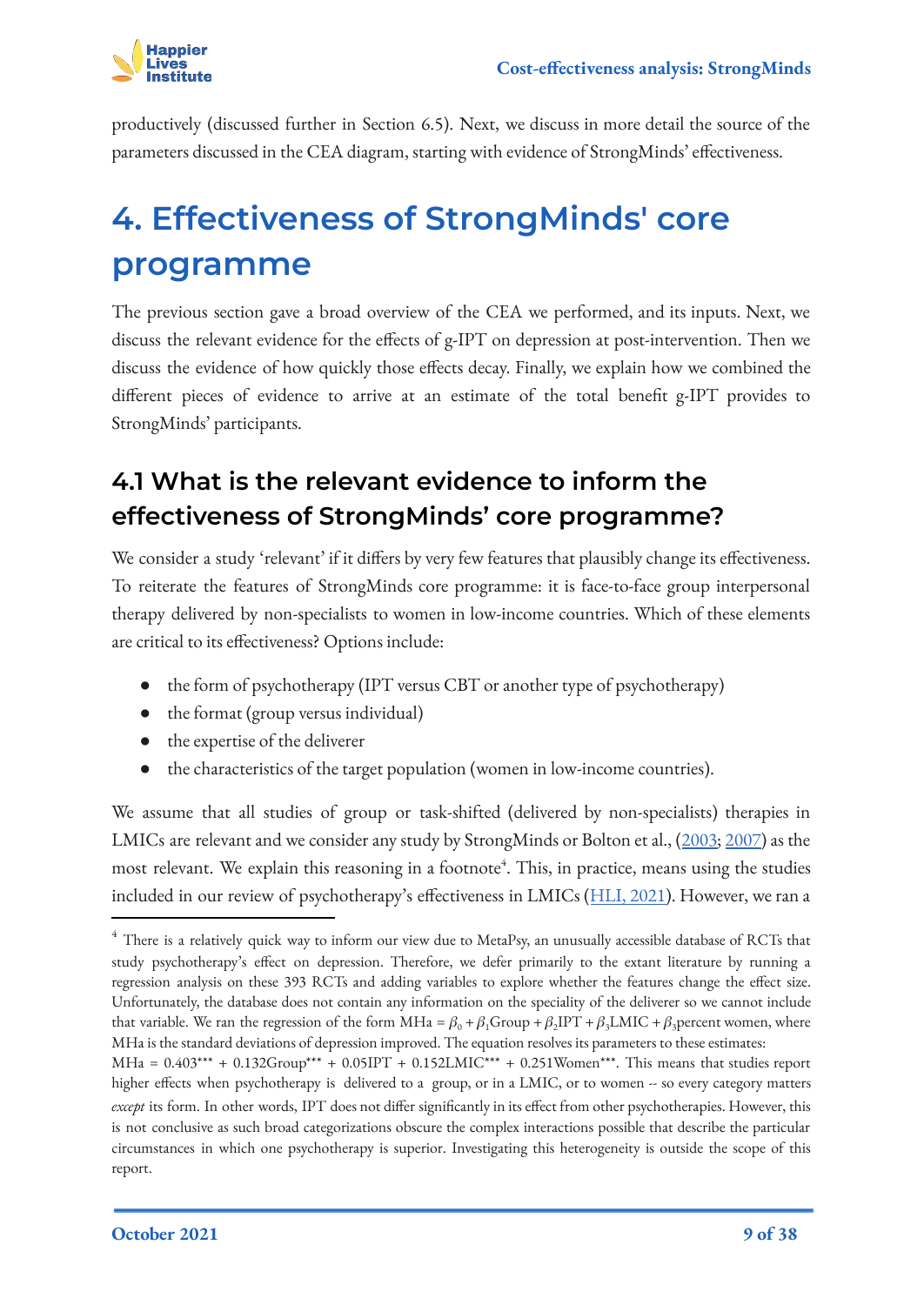productively (discussed further in Section 6.5). Next, we discuss in more detail the source of the parameters discussed in the CEA diagram, starting with evidence of StrongMinds' effectiveness.

# <span id="page-8-0"></span>**4. Effectiveness of StrongMinds' core programme**

The previous section gave a broad overview of the CEA we performed, and its inputs. Next, we discuss the relevant evidence for the effects of g-IPT on depression at post-intervention. Then we discuss the evidence of how quickly those effects decay. Finally, we explain how we combined the different pieces of evidence to arrive at an estimate of the total benefit g-IPT provides to StrongMinds' participants.

## <span id="page-8-1"></span>**4.1 What is the relevant evidence to inform the effectiveness of StrongMinds' core programme?**

We consider a study 'relevant' if it differs by very few features that plausibly change its effectiveness. To reiterate the features of StrongMinds core programme: it is face-to-face group interpersonal therapy delivered by non-specialists to women in low-income countries. Which of these elements are critical to its effectiveness? Options include:

- the form of psychotherapy (IPT versus CBT or another type of psychotherapy)
- the format (group versus individual)
- the expertise of the deliverer
- the characteristics of the target population (women in low-income countries).

We assume that all studies of group or task-shifted (delivered by non-specialists) therapies in LMICs are relevant and we consider any study by StrongMinds or Bolton et al., ([2003;](https://jamanetwork.com/journals/jama/fullarticle/196766) [2007\)](https://pubmed.ncbi.nlm.nih.gov/17666672/) as the most relevant. We explain this reasoning in a footnote<sup>4</sup>. This, in practice, means using the studies included in our review of psychotherapy's effectiveness in LMICs ([HLI, 2021\)](https://docs.google.com/document/d/1AFfC777kXbrNOGx64RNGcacjEklu0j-HMXBWGUQzAWs/edit#). However, we ran a

<sup>&</sup>lt;sup>4</sup> There is a relatively quick way to inform our view due to MetaPsy, an unusually accessible database of RCTs that study psychotherapy's effect on depression. Therefore, we defer primarily to the extant literature by running a regression analysis on these 393 RCTs and adding variables to explore whether the features change the effect size. Unfortunately, the database does not contain any information on the speciality of the deliverer so we cannot include that variable. We ran the regression of the form MHa =  $\beta_0 + \beta_1$ Group +  $\beta_2$ IPT +  $\beta_3$ LMIC +  $\beta_3$ percent women, where MHa is the standard deviations of depression improved. The equation resolves its parameters to these estimates:

 $MHa = 0.403*** + 0.132Group*** + 0.05IPT + 0.152LMIC*** + 0.251Women***$ . This means that studies report higher effects when psychotherapy is delivered to a group, or in a LMIC, or to women -- so every category matters *except* its form. In other words, IPT does not differ significantly in its effect from other psychotherapies. However, this is not conclusive as such broad categorizations obscure the complex interactions possible that describe the particular circumstances in which one psychotherapy is superior. Investigating this heterogeneity is outside the scope of this report.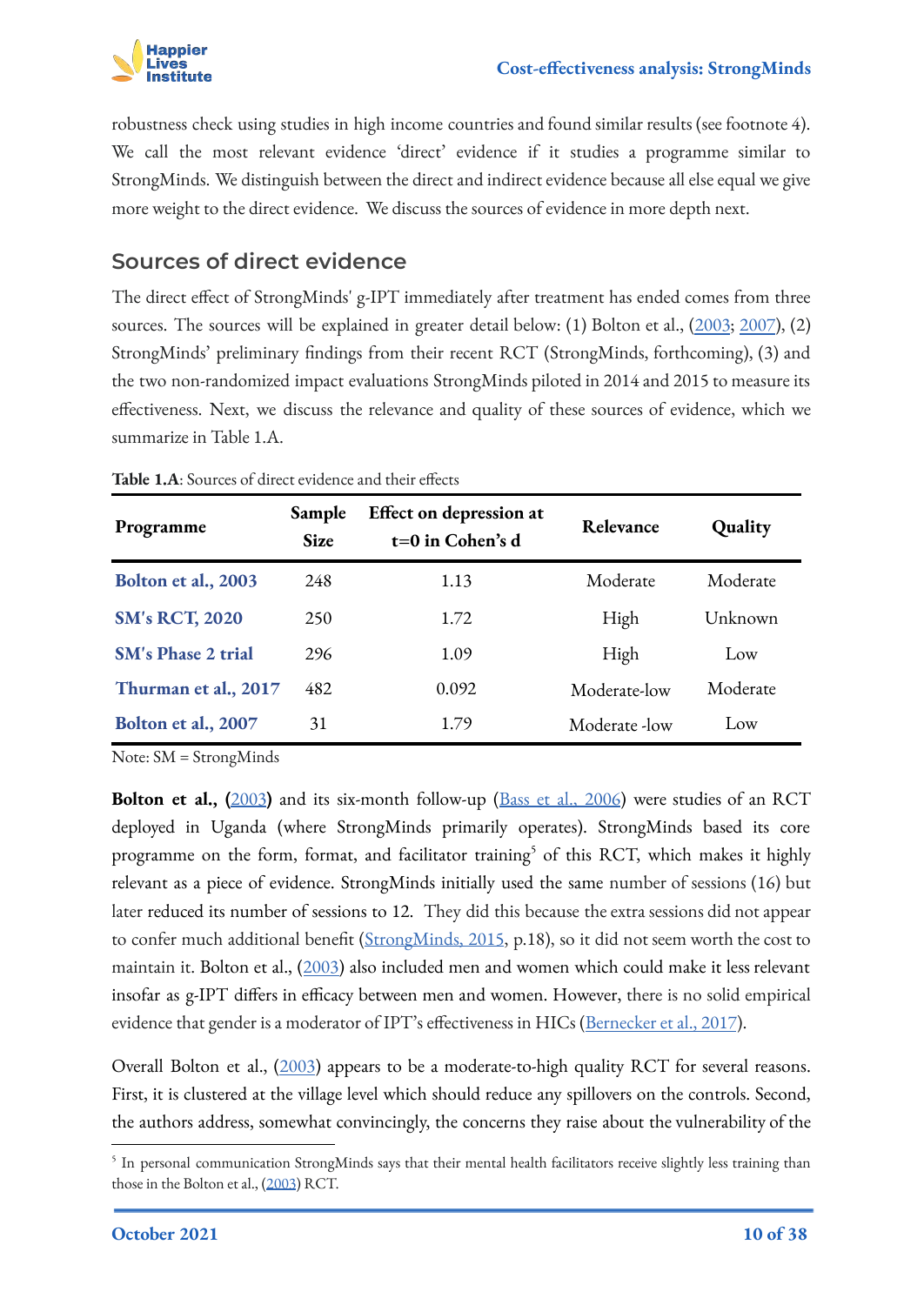

robustness check using studies in high income countries and found similar results (see footnote 4). We call the most relevant evidence 'direct' evidence if it studies a programme similar to StrongMinds. We distinguish between the direct and indirect evidence because all else equal we give more weight to the direct evidence. We discuss the sources of evidence in more depth next.

### **Sources of direct evidence**

The direct effect of StrongMinds' g-IPT immediately after treatment has ended comes from three sources. The sources will be explained in greater detail below: (1) Bolton et al., [\(2003](https://jamanetwork.com/journals/jama/fullarticle/196766); [2007](https://pubmed.ncbi.nlm.nih.gov/17666672/)), (2) StrongMinds' preliminary findings from their recent RCT (StrongMinds, forthcoming), (3) and the two non-randomized impact evaluations StrongMinds piloted in 2014 and 2015 to measure its effectiveness. Next, we discuss the relevance and quality of these sources of evidence, which we summarize in Table 1.A.

| Programme                 | Sample<br><b>Size</b> | Effect on depression at<br>$t=0$ in Cohen's d | Relevance     | Quality  |
|---------------------------|-----------------------|-----------------------------------------------|---------------|----------|
| Bolton et al., 2003       | 248                   | 1.13                                          | Moderate      | Moderate |
| <b>SM's RCT, 2020</b>     | 250                   | 1.72                                          | High          | Unknown  |
| <b>SM's Phase 2 trial</b> | 296                   | 1.09                                          | High          | Low      |
| Thurman et al., 2017      | 482                   | 0.092                                         | Moderate-low  | Moderate |
| Bolton et al., 2007       | 31                    | 1.79                                          | Moderate -low | Low      |

**Table 1.A**: Sources of direct evidence and their effects

Note: SM = StrongMinds

**Bolton et al., ([2003](https://jamanetwork.com/journals/jama/fullarticle/196766))** and its six-month follow-up [\(Bass et al., 2006](https://www.cambridge.org/core/journals/the-british-journal-of-psychiatry/article/group-interpersonal-psychotherapy-for-depression-in-rural-uganda-6month-outcomes/34A03947B7B1F12CD5E364AD54B45626)) were studies of an RCT deployed in Uganda (where StrongMinds primarily operates). StrongMinds based its core programme on the form, format, and facilitator training<sup>5</sup> of this RCT, which makes it highly relevant as a piece of evidence. StrongMinds initially used the same number of sessions (16) but later reduced its number of sessions to 12. They did this because the extra sessions did not appear to confer much additional benefit [\(StrongMinds, 2015](https://strongminds.org/wp-content/uploads/2013/07/StrongMinds-Phase-Two-Impact-Evaluation-Report-July-2015-FINAL.pdf), p.18), so it did not seem worth the cost to maintain it. Bolton et al., ([2003\)](https://jamanetwork.com/journals/jama/fullarticle/196766) also included men and women which could make it less relevant insofar as g-IPT differs in efficacy between men and women. However, there is no solid empirical evidence that gender is a moderator of IPT's effectiveness in HICs ([Bernecker et al., 2017](https://pubmed.ncbi.nlm.nih.gov/28710917/)).

Overall Bolton et al., [\(2003](https://jamanetwork.com/journals/jama/fullarticle/196766)) appears to be a moderate-to-high quality RCT for several reasons. First, it is clustered at the village level which should reduce any spillovers on the controls. Second, the authors address, somewhat convincingly, the concerns they raise about the vulnerability of the

 $^5$  In personal communication StrongMinds says that their mental health facilitators receive slightly less training than those in the Bolton et al., ([2003](https://jamanetwork.com/journals/jama/fullarticle/196766)) RCT.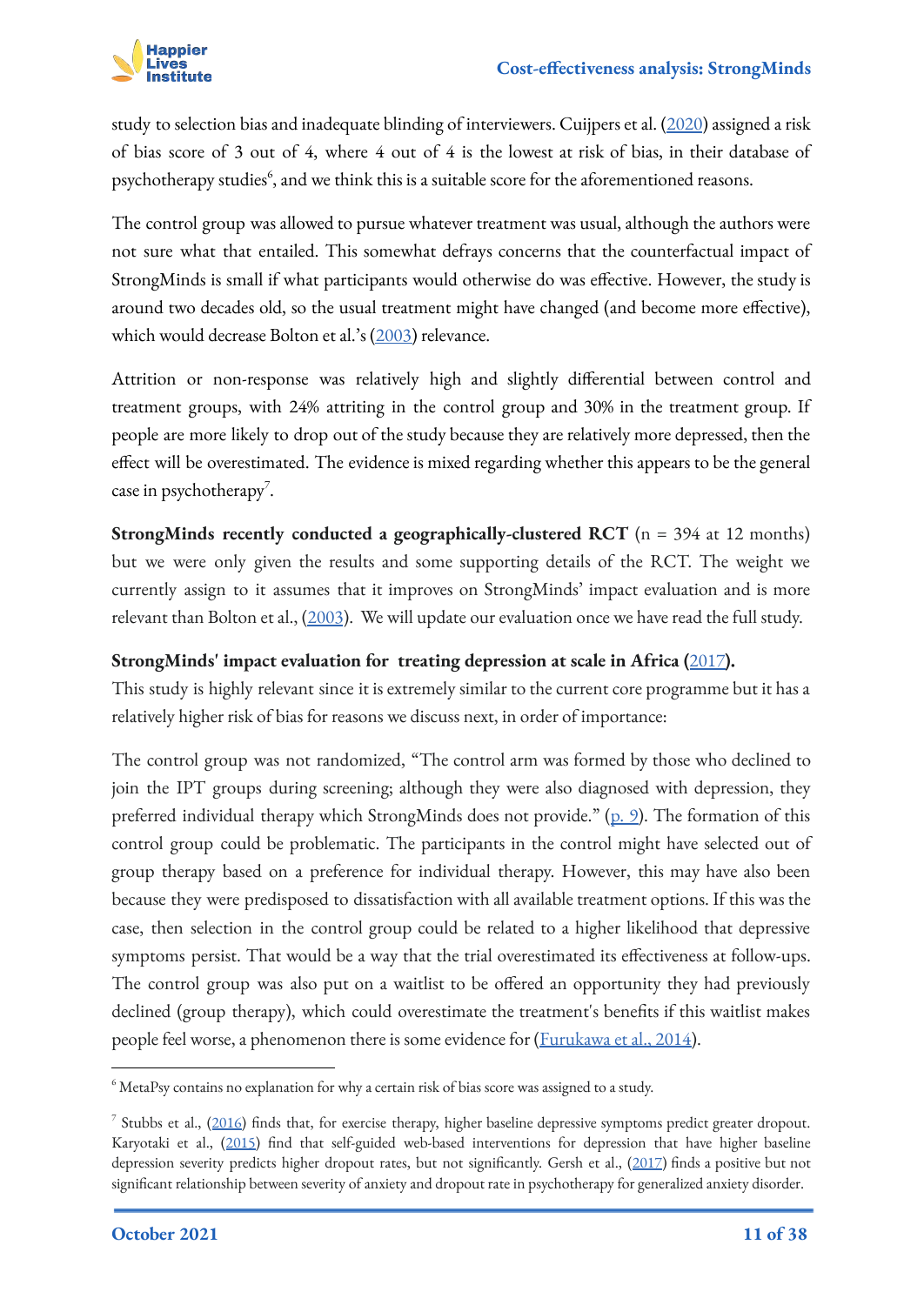

study to selection bias and inadequate blinding of interviewers. Cuijpers et al. [\(2020](https://evidencebasedpsychotherapies.shinyapps.io/metapsy/)) assigned a risk of bias score of 3 out of 4, where 4 out of 4 is the lowest at risk of bias, in their database of psychotherapy studies $\rm^6$ , and we think this is a suitable score for the aforementioned reasons.

The control group was allowed to pursue whatever treatment was usual, although the authors were not sure what that entailed. This somewhat defrays concerns that the counterfactual impact of StrongMinds is small if what participants would otherwise do was effective. However, the study is around two decades old, so the usual treatment might have changed (and become more effective), which would decrease Bolton et al.'s [\(2003\)](https://jamanetwork.com/journals/jama/fullarticle/196766) relevance.

Attrition or non-response was relatively high and slightly differential between control and treatment groups, with 24% attriting in the control group and 30% in the treatment group. If people are more likely to drop out of the study because they are relatively more depressed, then the effect will be overestimated. The evidence is mixed regarding whether this appears to be the general case in psychotherapy<sup>7</sup>.

**StrongMinds recently conducted a geographically-clustered RCT** (n = 394 at 12 months) but we were only given the results and some supporting details of the RCT. The weight we currently assign to it assumes that it improves on StrongMinds' impact evaluation and is more relevant than Bolton et al., [\(2003](https://jamanetwork.com/journals/jama/fullarticle/196766)). We will update our evaluation once we have read the full study.

### **StrongMinds' impact evaluation for treating depression at scale in Africa (**[2017](https://strongminds.org/wp-content/uploads/2013/07/StrongMinds-Phase-Two-Impact-Evaluation-Report-July-2015-FINAL.pdf)**).**

This study is highly relevant since it is extremely similar to the current core programme but it has a relatively higher risk of bias for reasons we discuss next, in order of importance:

The control group was not randomized, "The control arm was formed by those who declined to join the IPT groups during screening; although they were also diagnosed with depression, they preferred individual therapy which StrongMinds does not provide." [\(p. 9\)](https://strongminds.org/wp-content/uploads/2013/07/StrongMinds-Phase-Two-Impact-Evaluation-Report-July-2015-FINAL.pdf). The formation of this control group could be problematic. The participants in the control might have selected out of group therapy based on a preference for individual therapy. However, this may have also been because they were predisposed to dissatisfaction with all available treatment options. If this was the case, then selection in the control group could be related to a higher likelihood that depressive symptoms persist. That would be a way that the trial overestimated its effectiveness at follow-ups. The control group was also put on a waitlist to be offered an opportunity they had previously declined (group therapy), which could overestimate the treatment's benefits if this waitlist makes people feel worse, a phenomenon there is some evidence for [\(Furukawa et al., 2014\)](https://onlinelibrary.wiley.com/doi/abs/10.1111/acps.12275).

 $6$  MetaPsy contains no explanation for why a certain risk of bias score was assigned to a study.

<sup>7</sup> Stubbs et al., ([2016\)](https://www.sciencedirect.com/science/article/abs/pii/S016503271530882X) finds that, for exercise therapy, higher baseline depressive symptoms predict greater dropout. Karyotaki et al., ([2015\)](https://boris.unibe.ch/85277/) find that self-guided web-based interventions for depression that have higher baseline depression severity predicts higher dropout rates, but not significantly. Gersh et al., ([2017](https://pubmed.ncbi.nlm.nih.gov/29028610/)) finds a positive but not significant relationship between severity of anxiety and dropout rate in psychotherapy for generalized anxiety disorder.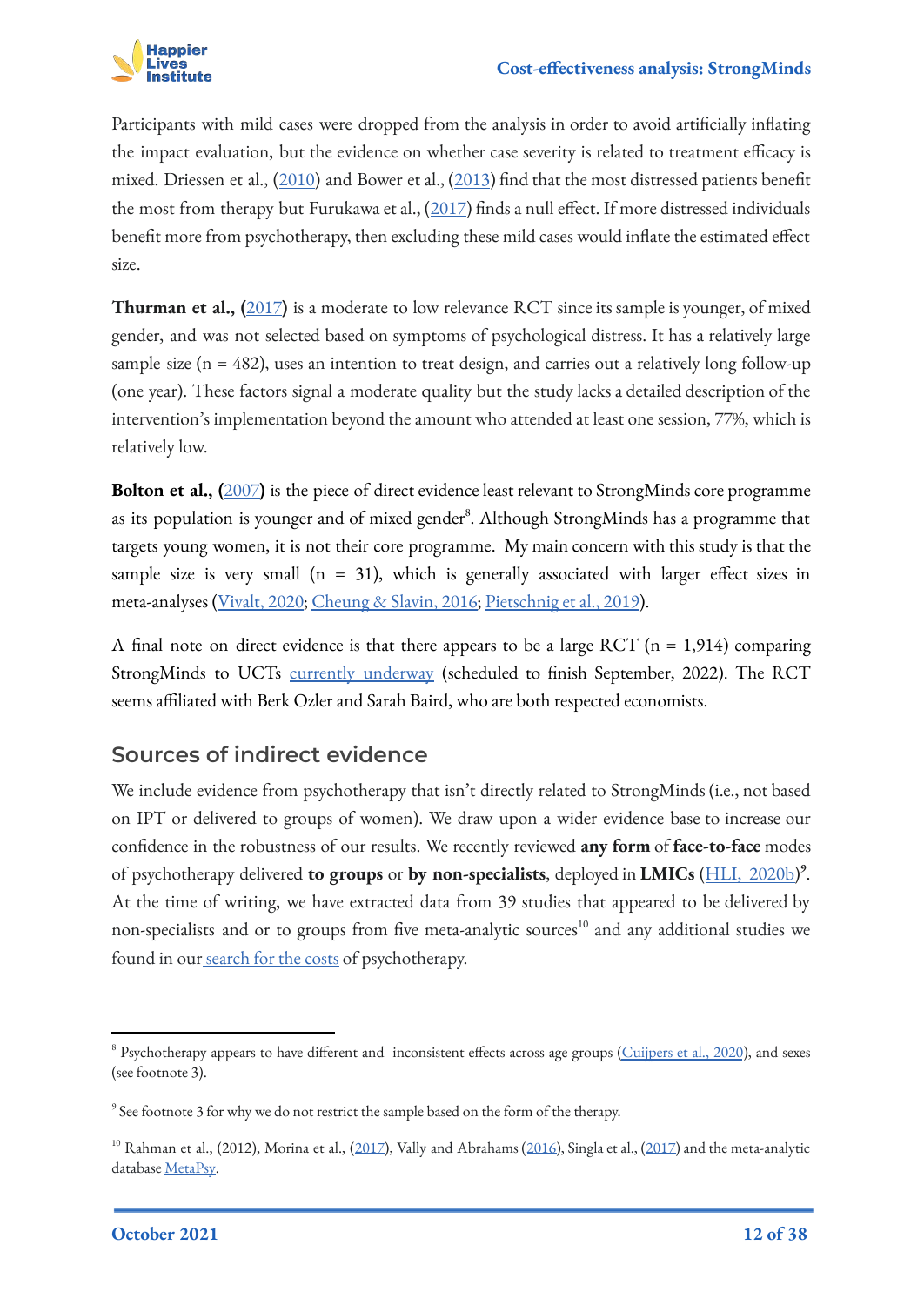

Participants with mild cases were dropped from the analysis in order to avoid artificially inflating the impact evaluation, but the evidence on whether case severity is related to treatment efficacy is mixed. Driessen et al., ([2010](https://psycnet.apa.org/doiLanding?doi=10.1037%2Fa0020570)) and Bower et al., [\(2013](https://www.bmj.com/content/346/bmj.f540)) find that the most distressed patients benefit the most from therapy but Furukawa et al., ([2017\)](https://www.semanticscholar.org/paper/Initial-severity-of-depression-and-efficacy-of-data-Furukawa-Weitz/2c446f3bada98f6f4605a680d1aa8669cee404e6) finds a null effect. If more distressed individuals benefit more from psychotherapy, then excluding these mild cases would inflate the estimated effect size.

**Thurman et al., (**[2017](https://acamh.onlinelibrary.wiley.com/doi/abs/10.1111/camh.12241)**)** is a moderate to low relevance RCT since its sample is younger, of mixed gender, and was not selected based on symptoms of psychological distress. It has a relatively large sample size ( $n = 482$ ), uses an intention to treat design, and carries out a relatively long follow-up (one year). These factors signal a moderate quality but the study lacks a detailed description of the intervention's implementation beyond the amount who attended at least one session, 77%, which is relatively low.

**Bolton et al., (**[2007](https://pubmed.ncbi.nlm.nih.gov/17666672/)**)** is the piece of direct evidence least relevant to StrongMinds core programme as its population is younger and of mixed gender $^{\rm 8}$ . Although StrongMinds has a programme that targets young women, it is not their core programme. My main concern with this study is that the sample size is very small ( $n = 31$ ), which is generally associated with larger effect sizes in meta-analyses ([Vivalt, 2020;](https://academic.oup.com/jeea/article-abstract/18/6/3045/5908781) [Cheung & Slavin, 2016](https://journals.sagepub.com/doi/abs/10.3102/0013189X16656615); [Pietschnig et al., 2019](https://www.frontiersin.org/articles/10.3389/fpsyg.2019.02874/full)).

A final note on direct evidence is that there appears to be a large RCT ( $n = 1.914$ ) comparing StrongMinds to UCTs [currently underway](https://clinicaltrials.gov/ct2/show/NCT03966833) (scheduled to finish September, 2022). The RCT seems affiliated with Berk Ozler and Sarah Baird, who are both respected economists.

### **Sources of indirect evidence**

We include evidence from psychotherapy that isn't directly related to StrongMinds (i.e., not based on IPT or delivered to groups of women). We draw upon a wider evidence base to increase our confidence in the robustness of our results. We recently reviewed **any form** of **face-to-face** modes of psychotherapy delivered **to groups** or **by non-specialists**, deployed in **LMICs** ([HLI, 2020b\)](https://www.happierlivesinstitute.org/psychotherapy-cea.html) **9** . At the time of writing, we have extracted data from 39 studies that appeared to be delivered by non-specialists and or to groups from five meta-analytic sources<sup>10</sup> and any additional studies we found in our [search for the costs](https://docs.google.com/spreadsheets/d/1j7odMDj_reHRzP0_6A4iA5s8yvPjlj5Pl6d2cKk86sw/edit#gid=896443586) of psychotherapy.

<sup>&</sup>lt;sup>8</sup> Psychotherapy appears to have different and inconsistent effects across age groups [\(Cuijpers et al., 2020](https://jamanetwork.com/journals/jamapsychiatry/article-abstract/2762981)), and sexes (see footnote 3).

<sup>&</sup>lt;sup>9</sup> See footnote 3 for why we do not restrict the sample based on the form of the therapy.

 $10$  Rahman et al., (2012), Morina et al., ([2017](https://onlinelibrary.wiley.com/doi/abs/10.1002/da.22618)), Vally and Abrahams ([2016\)](https://link.springer.com/article/10.1007/s10447-016-9275-6), Singla et al., ([2017\)](https://scholar.google.co.uk/citations?view_op=view_citation&hl=en&user=IZ0u7aMAAAAJ&citation_for_view=IZ0u7aMAAAAJ:0EnyYjriUFMC) and the meta-analytic database [MetaPsy](https://evidencebasedpsychotherapies.shinyapps.io/metapsy/).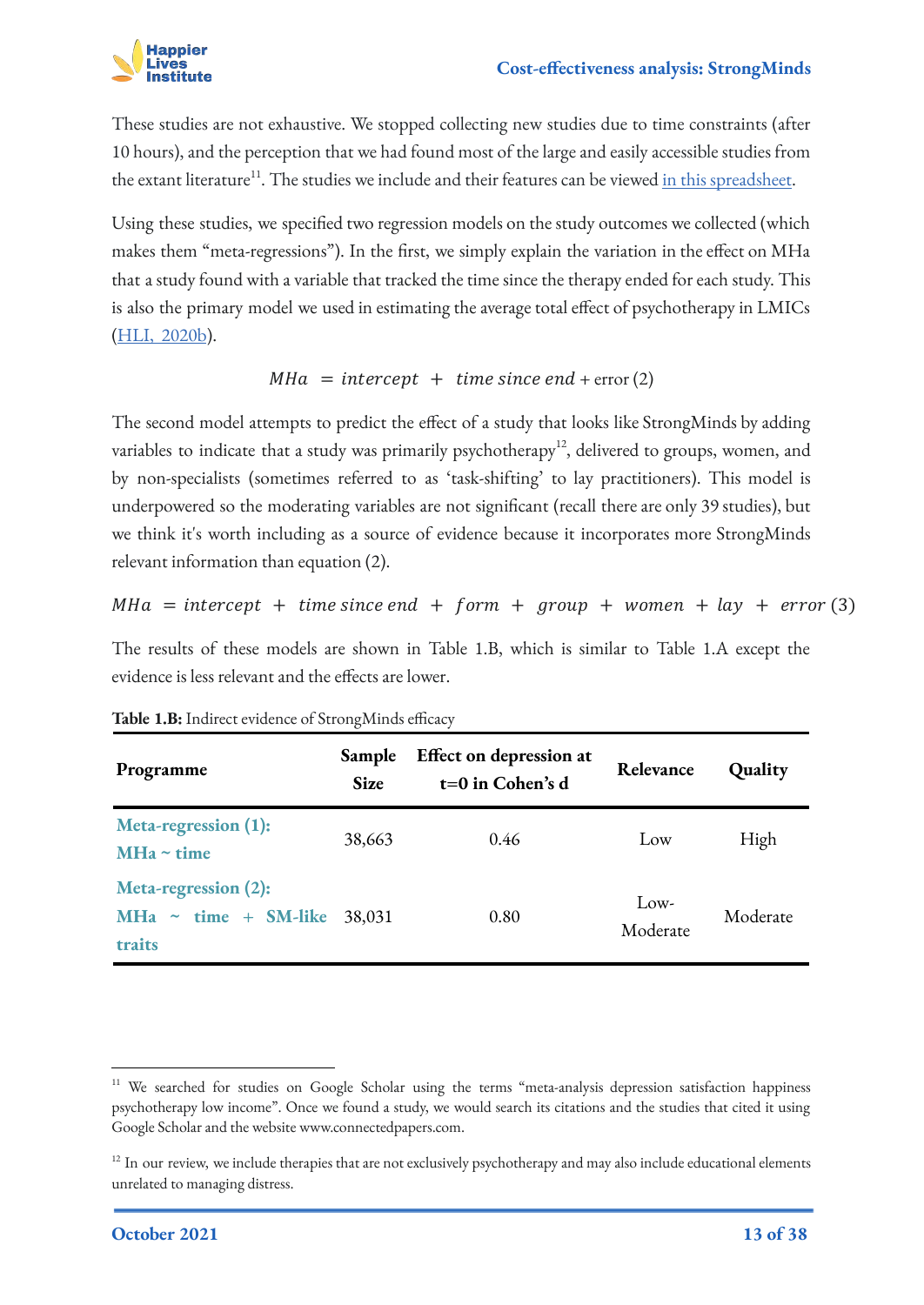

These studies are not exhaustive. We stopped collecting new studies due to time constraints (after 10 hours), and the perception that we had found most of the large and easily accessible studies from the extant literature<sup>11</sup>. The studies we include and their features can be viewed [in this spreadsheet.](https://docs.google.com/spreadsheets/d/1jyi44_LxAxxuHoqWRDYjfG4I3qVabILDYOvRrjXol-k/edit#gid=2009930020)

Using these studies, we specified two regression models on the study outcomes we collected (which makes them "meta-regressions"). In the first, we simply explain the variation in the effect on MHa that a study found with a variable that tracked the time since the therapy ended for each study. This is also the primary model we used in estimating the average total effect of psychotherapy in LMICs ([HLI, 2020b](https://www.happierlivesinstitute.org/psychotherapy-cea.html)).

### $MHa = intercept + time since end + error (2)$

The second model attempts to predict the effect of a study that looks like StrongMinds by adding variables to indicate that a study was primarily psychotherapy<sup>12</sup>, delivered to groups, women, and by non-specialists (sometimes referred to as 'task-shifting' to lay practitioners). This model is underpowered so the moderating variables are not significant (recall there are only 39 studies), but we think it's worth including as a source of evidence because it incorporates more StrongMinds relevant information than equation (2).

 $MHa =$  intercept + time since end + form + group + women + lay + error (3)

The results of these models are shown in Table 1.B, which is similar to Table 1.A except the evidence is less relevant and the effects are lower.

| Programme                                                             | Sample<br><b>Size</b> | Effect on depression at<br>$t=0$ in Cohen's d | Relevance        | Quality  |
|-----------------------------------------------------------------------|-----------------------|-----------------------------------------------|------------------|----------|
| Meta-regression (1):<br>MHa $\sim$ time                               | 38,663                | 0.46                                          | Low              | High     |
| Meta-regression (2):<br>$\sim$ time + SM-like<br><b>MHa</b><br>traits | 38,031                | 0.80                                          | Low-<br>Moderate | Moderate |

|  | Table 1.B: Indirect evidence of StrongMinds efficacy |  |  |
|--|------------------------------------------------------|--|--|
|  |                                                      |  |  |

<sup>&</sup>lt;sup>11</sup> We searched for studies on Google Scholar using the terms "meta-analysis depression satisfaction happiness psychotherapy low income". Once we found a study, we would search its citations and the studies that cited it using Google Scholar and the website www.connectedpapers.com.

 $12$  In our review, we include therapies that are not exclusively psychotherapy and may also include educational elements unrelated to managing distress.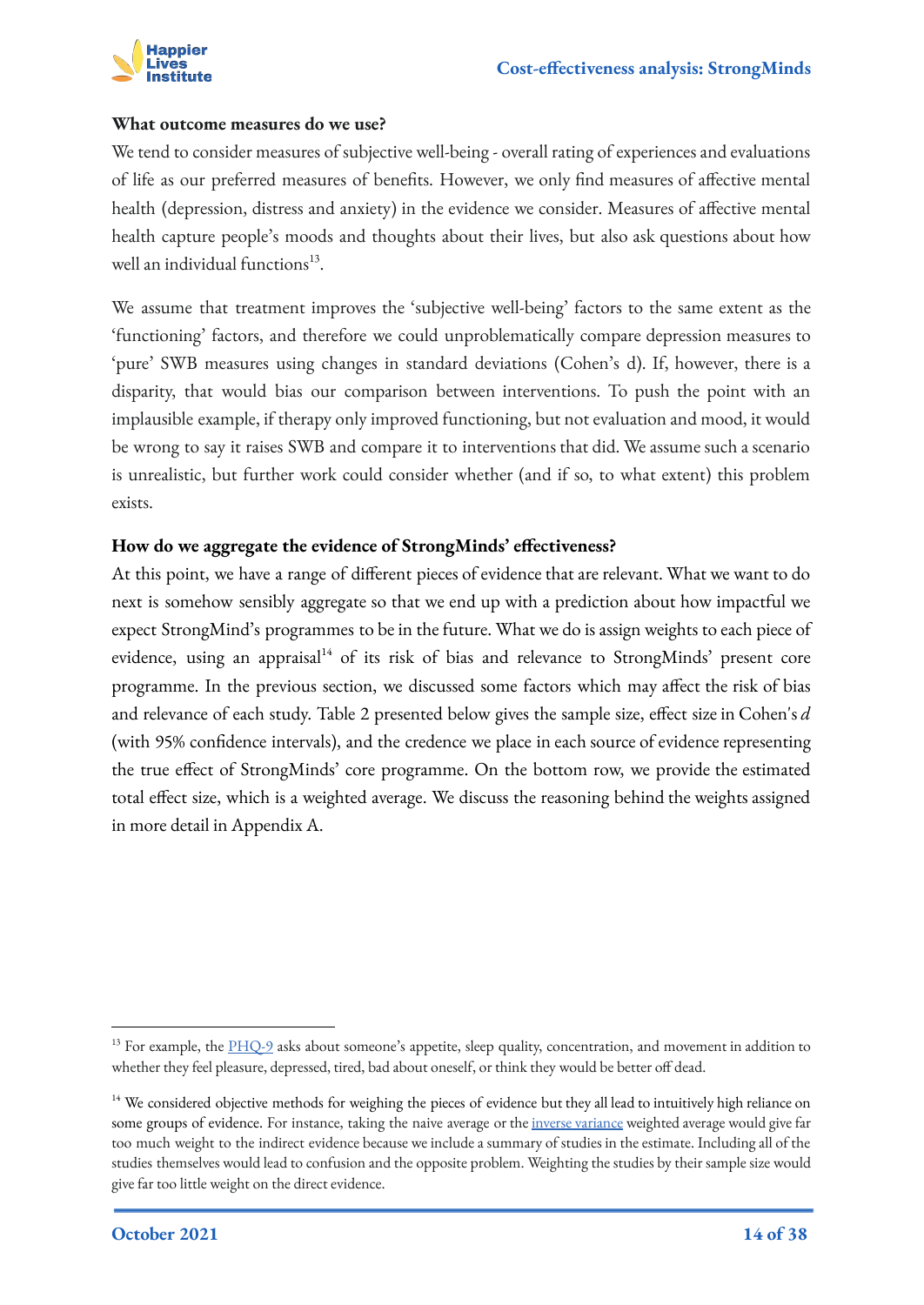

#### **What outcome measures do we use?**

We tend to consider measures of subjective well-being - overall rating of experiences and evaluations of life as our preferred measures of benefits. However, we only find measures of affective mental health (depression, distress and anxiety) in the evidence we consider. Measures of affective mental health capture people's moods and thoughts about their lives, but also ask questions about how well an individual functions<sup>13</sup>.

We assume that treatment improves the 'subjective well-being' factors to the same extent as the 'functioning' factors, and therefore we could unproblematically compare depression measures to 'pure' SWB measures using changes in standard deviations (Cohen's d). If, however, there is a disparity, that would bias our comparison between interventions. To push the point with an implausible example, if therapy only improved functioning, but not evaluation and mood, it would be wrong to say it raises SWB and compare it to interventions that did. We assume such a scenario is unrealistic, but further work could consider whether (and if so, to what extent) this problem exists.

#### **How do we aggregate the evidence of StrongMinds' effectiveness?**

At this point, we have a range of different pieces of evidence that are relevant. What we want to do next is somehow sensibly aggregate so that we end up with a prediction about how impactful we expect StrongMind's programmes to be in the future. What we do is assign weights to each piece of evidence, using an appraisal<sup>14</sup> of its risk of bias and relevance to StrongMinds' present core programme. In the previous section, we discussed some factors which may affect the risk of bias and relevance of each study. Table 2 presented below gives the sample size, effect size in Cohen's *d* (with 95% confidence intervals), and the credence we place in each source of evidence representing the true effect of StrongMinds' core programme. On the bottom row, we provide the estimated total effect size, which is a weighted average. We discuss the reasoning behind the weights assigned in more detail in Appendix A.

<sup>&</sup>lt;sup>13</sup> For example, the  $\underline{PHO-9}$  asks about someone's appetite, sleep quality, concentration, and movement in addition to whether they feel pleasure, depressed, tired, bad about oneself, or think they would be better off dead.

<sup>&</sup>lt;sup>14</sup> We considered objective methods for weighing the pieces of evidence but they all lead to intuitively high reliance on some groups of evidence. For instance, taking the naive average or the [inverse variance](https://handbook-5-1.cochrane.org/chapter_9/9_4_3_0_introductory_text.htm#:~:text=A%20very%20common%20and%20simple,as%20the%20inverse%2Dvariance%20method.&text=The%20inverse%20variance%20method%20is,square%20of%20its%20standard%20error).) weighted average would give far too much weight to the indirect evidence because we include a summary of studies in the estimate. Including all of the studies themselves would lead to confusion and the opposite problem. Weighting the studies by their sample size would give far too little weight on the direct evidence.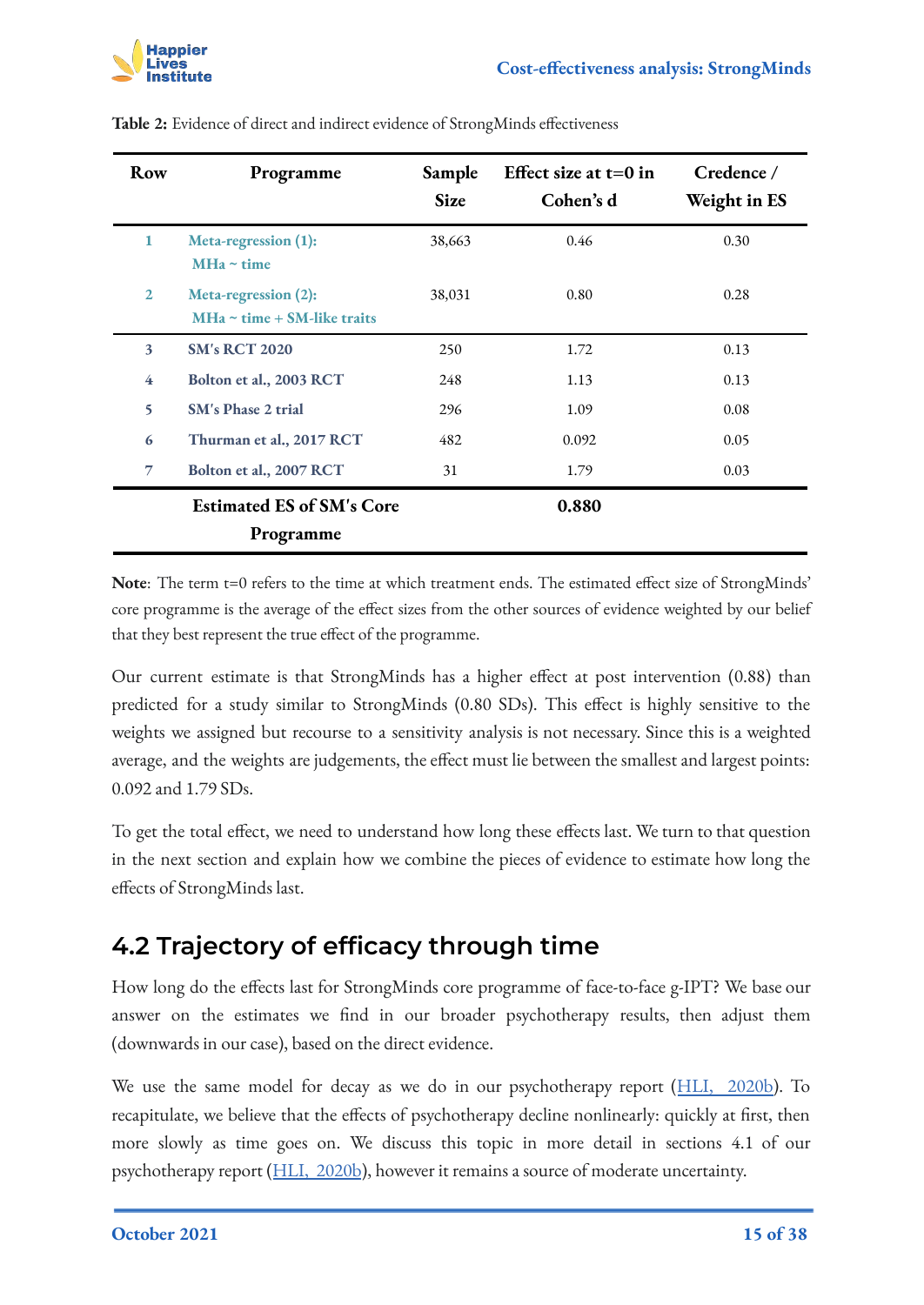| Row            | Programme                                                | Sample<br><b>Size</b> | Effect size at $t=0$ in<br>Cohen's d | Credence /<br>Weight in ES |
|----------------|----------------------------------------------------------|-----------------------|--------------------------------------|----------------------------|
| 1              | Meta-regression (1):<br>$MHa \sim time$                  | 38,663                | 0.46                                 | 0.30                       |
| $\overline{2}$ | Meta-regression (2):<br>$MHa \sim time + SM-like$ traits | 38,031                | 0.80                                 | 0.28                       |
| 3              | <b>SM's RCT 2020</b>                                     | 250                   | 1.72                                 | 0.13                       |
| 4              | Bolton et al., 2003 RCT                                  | 248                   | 1.13                                 | 0.13                       |
| 5              | <b>SM's Phase 2 trial</b>                                | 296                   | 1.09                                 | 0.08                       |
| 6              | Thurman et al., 2017 RCT                                 | 482                   | 0.092                                | 0.05                       |
| $\overline{7}$ | Bolton et al., 2007 RCT                                  | 31                    | 1.79                                 | 0.03                       |
|                | <b>Estimated ES of SM's Core</b>                         |                       | 0.880                                |                            |
|                | Programme                                                |                       |                                      |                            |

**Table 2:** Evidence of direct and indirect evidence of StrongMinds effectiveness

Note: The term t=0 refers to the time at which treatment ends. The estimated effect size of StrongMinds' core programme is the average of the effect sizes from the other sources of evidence weighted by our belief that they best represent the true effect of the programme.

Our current estimate is that StrongMinds has a higher effect at post intervention (0.88) than predicted for a study similar to StrongMinds (0.80 SDs). This effect is highly sensitive to the weights we assigned but recourse to a sensitivity analysis is not necessary. Since this is a weighted average, and the weights are judgements, the effect must lie between the smallest and largest points: 0.092 and 1.79 SDs.

To get the total effect, we need to understand how long these effects last. We turn to that question in the next section and explain how we combine the pieces of evidence to estimate how long the effects of StrongMinds last.

## <span id="page-14-0"></span>**4.2 Trajectory of efficacy through time**

How long do the effects last for StrongMinds core programme of face-to-face g-IPT? We base our answer on the estimates we find in our broader psychotherapy results, then adjust them (downwards in our case), based on the direct evidence.

We use the same model for decay as we do in our psychotherapy report ([HLI, 2020b\)](https://www.happierlivesinstitute.org/psychotherapy-cea.html). To recapitulate, we believe that the effects of psychotherapy decline nonlinearly: quickly at first, then more slowly as time goes on. We discuss this topic in more detail in sections 4.1 of our psychotherapy report ([HLI, 2020b](https://www.happierlivesinstitute.org/psychotherapy-cea.html)), however it remains a source of moderate uncertainty.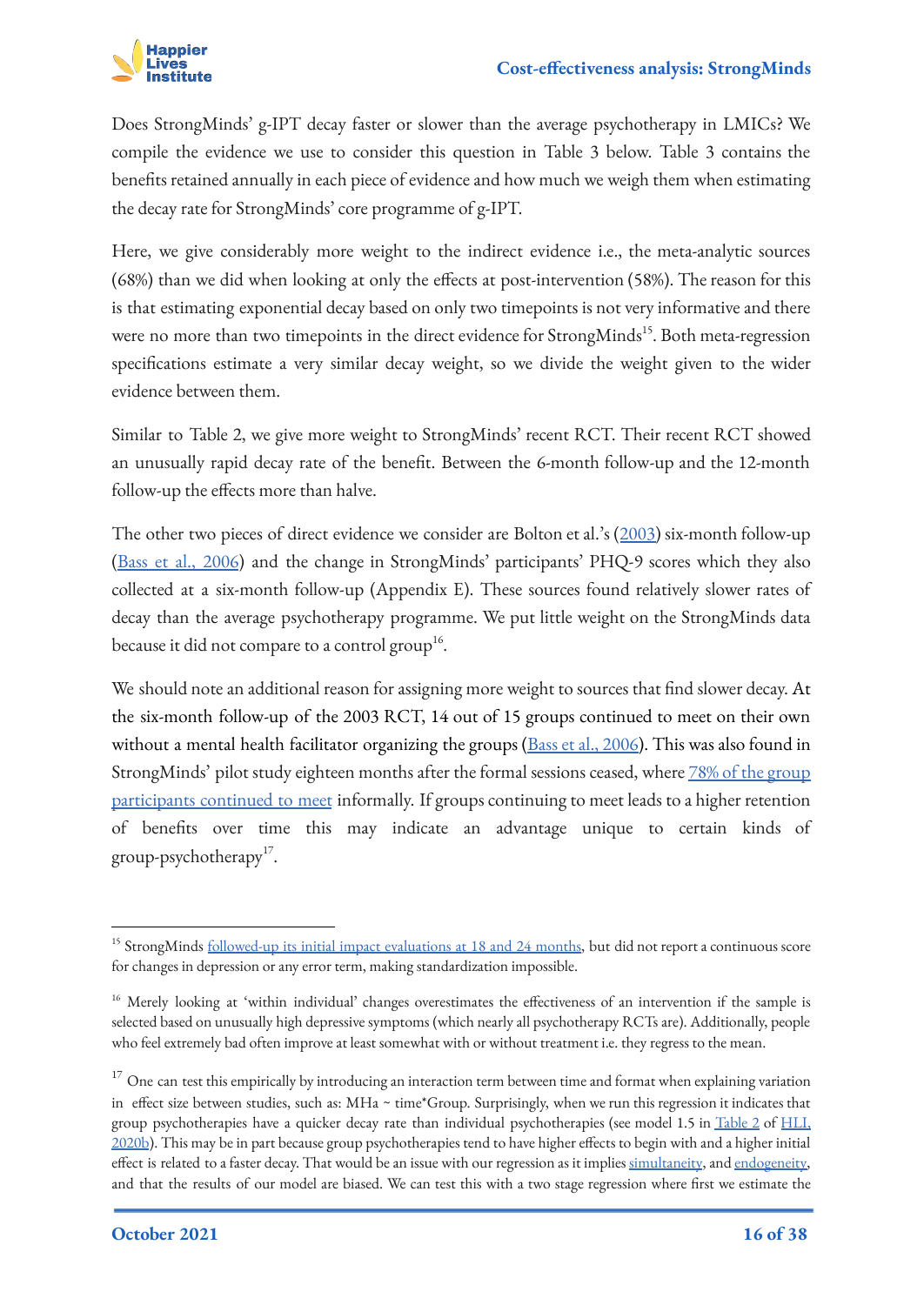

Does StrongMinds' g-IPT decay faster or slower than the average psychotherapy in LMICs? We compile the evidence we use to consider this question in Table 3 below. Table 3 contains the benefits retained annually in each piece of evidence and how much we weigh them when estimating the decay rate for StrongMinds' core programme of g-IPT.

Here, we give considerably more weight to the indirect evidence i.e., the meta-analytic sources (68%) than we did when looking at only the effects at post-intervention (58%). The reason for this is that estimating exponential decay based on only two timepoints is not very informative and there were no more than two timepoints in the direct evidence for StrongMinds<sup>15</sup>. Both meta-regression specifications estimate a very similar decay weight, so we divide the weight given to the wider evidence between them.

Similar to Table 2, we give more weight to StrongMinds' recent RCT. Their recent RCT showed an unusually rapid decay rate of the benefit. Between the 6-month follow-up and the 12-month follow-up the effects more than halve.

The other two pieces of direct evidence we consider are Bolton et al.'s ([2003\)](https://jamanetwork.com/journals/jama/fullarticle/196766) six-month follow-up ([Bass et al., 2006\)](https://www.cambridge.org/core/journals/the-british-journal-of-psychiatry/article/group-interpersonal-psychotherapy-for-depression-in-rural-uganda-6month-outcomes/34A03947B7B1F12CD5E364AD54B45626) and the change in StrongMinds' participants' PHQ-9 scores which they also collected at a six-month follow-up (Appendix E). These sources found relatively slower rates of decay than the average psychotherapy programme. We put little weight on the StrongMinds data because it did not compare to a control group<sup>16</sup>.

We should note an additional reason for assigning more weight to sources that find slower decay. At the six-month follow-up of the 2003 RCT, 14 out of 15 groups continued to meet on their own without a mental health facilitator organizing the groups [\(Bass et al., 2006\)](https://www.cambridge.org/core/journals/the-british-journal-of-psychiatry/article/group-interpersonal-psychotherapy-for-depression-in-rural-uganda-6month-outcomes/34A03947B7B1F12CD5E364AD54B45626). This was also found in StrongMinds' pilot study eighteen months after the formal sessions ceased, where [78% of the group](https://strongminds.org/wp-content/uploads/2017/07/strongminds-phase-1-and-2-follow-up-evaluations_final.pdf) [participants continued to meet](https://strongminds.org/wp-content/uploads/2017/07/strongminds-phase-1-and-2-follow-up-evaluations_final.pdf) informally. If groups continuing to meet leads to a higher retention of benefits over time this may indicate an advantage unique to certain kinds of group-psychotherapy<sup>17</sup>.

<sup>&</sup>lt;sup>15</sup> StrongMinds [followed-up its initial impact evaluations at 18 and 24 months](https://strongminds.org/wp-content/uploads/2017/07/strongminds-phase-1-and-2-follow-up-evaluations_final.pdf), but did not report a continuous score for changes in depression or any error term, making standardization impossible.

<sup>&</sup>lt;sup>16</sup> Merely looking at 'within individual' changes overestimates the effectiveness of an intervention if the sample is selected based on unusually high depressive symptoms (which nearly all psychotherapy RCTs are). Additionally, people who feel extremely bad often improve at least somewhat with or without treatment i.e. they regress to the mean.

 $17$  One can test this empirically by introducing an interaction term between time and format when explaining variation in effect size between studies, such as: MHa ~ time\*Group. Surprisingly, when we run this regression it indicates that group psychotherapies have a quicker decay rate than individual psychotherapies (see model 1.5 in [Table 2](https://docs.google.com/document/d/1OP6uwGWpVwzD5vrzWQfZED7qoQrbgTp8SCmPJtU9V5o/edit#bookmark=id.9mj584dbt5kk) of [HLI,](https://www.happierlivesinstitute.org/psychotherapy-cea.html) [2020b](https://www.happierlivesinstitute.org/psychotherapy-cea.html)). This may be in part because group psychotherapies tend to have higher effects to begin with and a higher initial effect is related to a faster decay. That would be an issue with our regression as it implies [simultaneity](https://www.statisticshowto.com/simultaneity-bias/), and [endogeneity,](https://en.wikipedia.org/wiki/Endogeneity_(econometrics)) and that the results of our model are biased. We can test this with a two stage regression where first we estimate the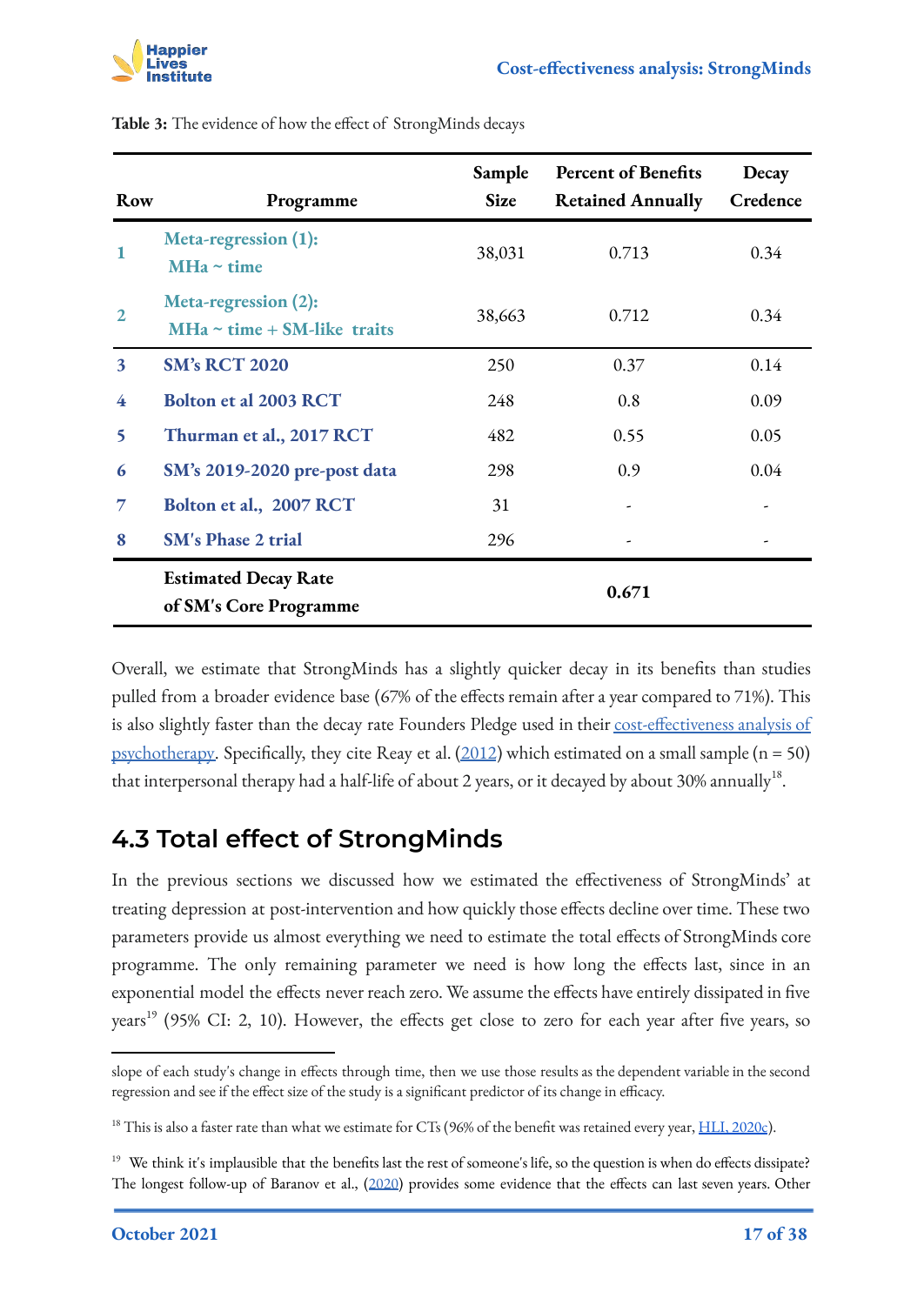

| Row                     | Programme                                                | Sample<br><b>Size</b> | <b>Percent of Benefits</b><br><b>Retained Annually</b> | Decay<br>Credence |
|-------------------------|----------------------------------------------------------|-----------------------|--------------------------------------------------------|-------------------|
| 1                       | Meta-regression (1):<br>$MHa \sim time$                  | 38,031                | 0.713                                                  | 0.34              |
| $\mathbf{2}$            | Meta-regression (2):<br>$MHa \sim time + SM-like$ traits | 38,663                | 0.712                                                  | 0.34              |
| $\overline{\mathbf{3}}$ | <b>SM's RCT 2020</b>                                     | 250                   | 0.37                                                   | 0.14              |
| 4                       | Bolton et al 2003 RCT                                    | 248                   | 0.8                                                    | 0.09              |
| 5                       | Thurman et al., 2017 RCT                                 | 482                   | 0.55                                                   | 0.05              |
| 6                       | SM's 2019-2020 pre-post data                             | 298                   | 0.9                                                    | 0.04              |
| 7                       | Bolton et al., 2007 RCT                                  | 31                    |                                                        |                   |
| 8                       | <b>SM's Phase 2 trial</b>                                | 296                   |                                                        |                   |
|                         | <b>Estimated Decay Rate</b><br>of SM's Core Programme    |                       | 0.671                                                  |                   |

**Table 3:** The evidence of how the effect of StrongMinds decays

Overall, we estimate that StrongMinds has a slightly quicker decay in its benefits than studies pulled from a broader evidence base (67% of the effects remain after a year compared to 71%). This is also slightly faster than the decay rate Founders Pledge used in their [cost-effectiveness analysis of](https://founderspledge.com/stories/mental-health-report-summary) [psychotherapy.](https://founderspledge.com/stories/mental-health-report-summary) Specifically, they cite Reay et al.  $(2012)$  $(2012)$  which estimated on a small sample (n = 50) that interpersonal therapy had a half-life of about 2 years, or it decayed by about 30% annually $^{18}$ .

### <span id="page-16-0"></span>**4.3 Total effect of StrongMinds**

In the previous sections we discussed how we estimated the effectiveness of StrongMinds' at treating depression at post-intervention and how quickly those effects decline over time. These two parameters provide us almost everything we need to estimate the total effects of StrongMinds core programme. The only remaining parameter we need is how long the effects last, since in an exponential model the effects never reach zero. We assume the effects have entirely dissipated in five years<sup>19</sup> (95% CI: 2, 10). However, the effects get close to zero for each year after five years, so

slope of each study's change in effects through time, then we use those results as the dependent variable in the second regression and see if the effect size of the study is a significant predictor of its change in efficacy.

<sup>&</sup>lt;sup>18</sup> This is also a faster rate than what we estimate for CTs (96% of the benefit was retained every year,  $HLI$ , 2020c).

<sup>&</sup>lt;sup>19</sup> We think it's implausible that the benefits last the rest of someone's life, so the question is when do effects dissipate? The longest follow-up of Baranov et al., ([2020](https://www.aeaweb.org/articles?id=10.1257/aer.20180511)) provides some evidence that the effects can last seven years. Other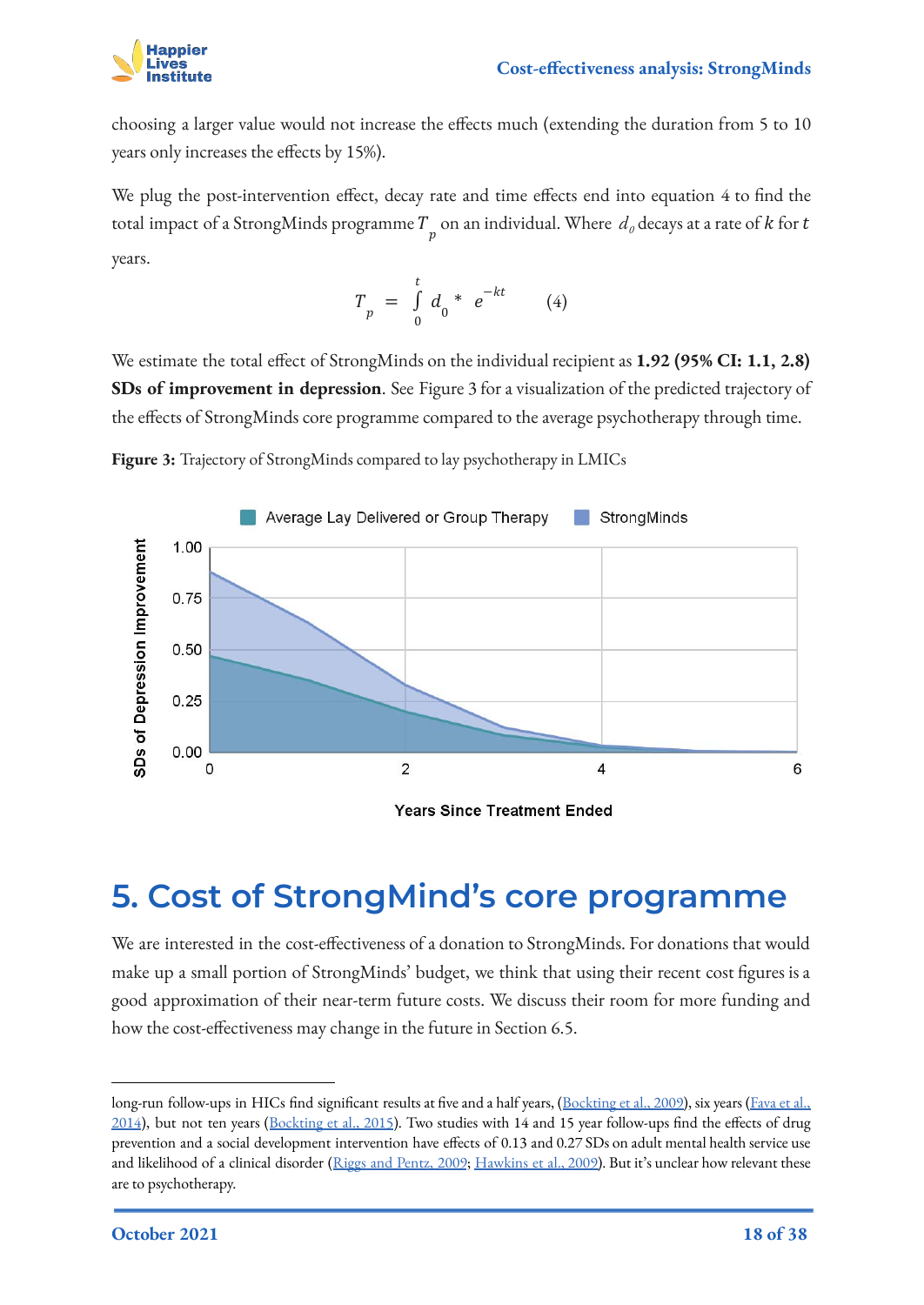

choosing a larger value would not increase the effects much (extending the duration from 5 to 10 years only increases the effects by 15%).

We plug the post-intervention effect, decay rate and time effects end into equation 4 to find the total impact of a StrongMinds programme  $T_{\stackrel{\ }{p}}$  on an individual. Where  $\,d_{\it 0}$  decays at a rate of  $k$  for  $t$ years.

$$
T_p = \int_0^t d_0 * e^{-kt} \qquad (4)
$$

We estimate the total effect of StrongMinds on the individual recipient as **1.92 (95% CI: 1.1, 2.8) SDs of improvement in depression**. See Figure 3 for a visualization of the predicted trajectory of the effects of StrongMinds core programme compared to the average psychotherapy through time.

**Figure 3:** Trajectory of StrongMinds compared to lay psychotherapy in LMICs



**Years Since Treatment Ended** 

## <span id="page-17-0"></span>**5. Cost of StrongMind's core programme**

We are interested in the cost-effectiveness of a donation to StrongMinds. For donations that would make up a small portion of StrongMinds' budget, we think that using their recent cost figures is a good approximation of their near-term future costs. We discuss their room for more funding and how the cost-effectiveness may change in the future in Section 6.5.

long-run follow-ups in HICs find significant results at five and a half years, ([Bockting et al., 2009\)](https://www.psychiatrist.com/jcp/depression/long-term-effects-preventive-cognitive-therapy-recurrent/), six years [\(Fava et al.,](https://ajp.psychiatryonline.org/doi/full/10.1176/ajp.161.10.1872) [2014](https://ajp.psychiatryonline.org/doi/full/10.1176/ajp.161.10.1872)), but not ten years ([Bockting et al., 2015\)](https://www.sciencedirect.com/science/article/abs/pii/S0165032715004097). Two studies with 14 and 15 year follow-ups find the effects of drug prevention and a social development intervention have effects of 0.13 and 0.27 SDs on adult mental health service use and likelihood of a clinical disorder ([Riggs and Pentz, 2009](https://pubmed.ncbi.nlm.nih.gov/19360536/); [Hawkins et al., 2009\)](https://jamanetwork.com/journals/jamapediatrics/article-abstract/382092). But it's unclear how relevant these are to psychotherapy.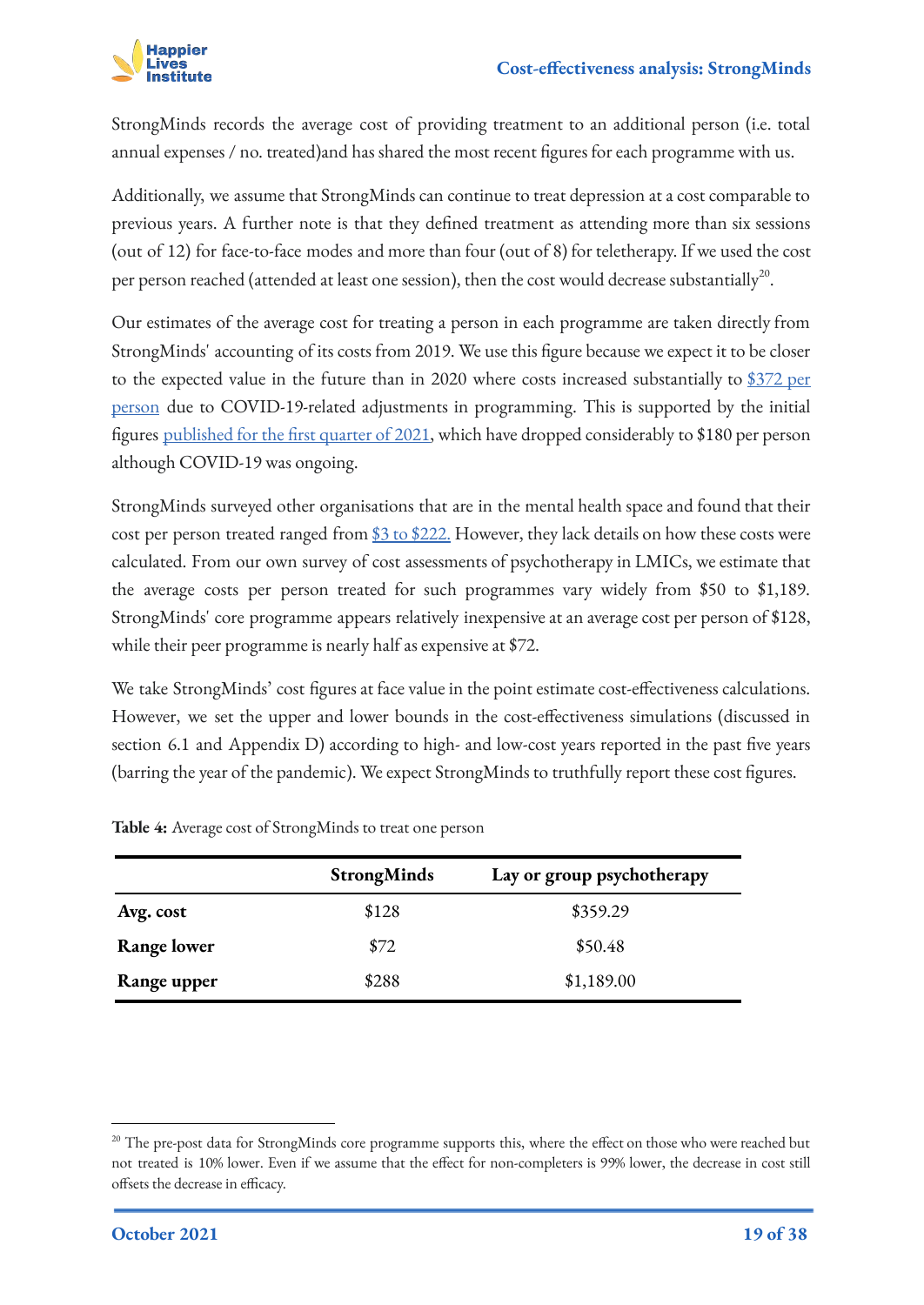

StrongMinds records the average cost of providing treatment to an additional person (i.e. total annual expenses / no. treated)and has shared the most recent figures for each programme with us.

Additionally, we assume that StrongMinds can continue to treat depression at a cost comparable to previous years. A further note is that they defined treatment as attending more than six sessions (out of 12) for face-to-face modes and more than four (out of 8) for teletherapy. If we used the cost per person reached (attended at least one session), then the cost would decrease substantially $^{20}$ .

Our estimates of the average cost for treating a person in each programme are taken directly from StrongMinds' accounting of its costs from 2019. We use this figure because we expect it to be closer to the expected value in the future than in 2020 where costs increased substantially to [\\$372 per](https://strongminds.org/wp-content/uploads/2021/03/SM-Q4-report-8.5x11_FINAL.pdf) [person](https://strongminds.org/wp-content/uploads/2021/03/SM-Q4-report-8.5x11_FINAL.pdf) due to COVID-19-related adjustments in programming. This is supported by the initial figures published for the [first quarter of 2021,](https://strongminds.org/wp-content/uploads/2021/06/SM-Q1-report-8.5x11_06.03.21.pdf) which have dropped considerably to \$180 per person although COVID-19 was ongoing.

StrongMinds surveyed other organisations that are in the mental health space and found that their cost per person treated ranged from [\\$3 to \\$222](https://docs.google.com/document/d/1kx1kdIUEPt97MS_sfTiRiHJwHtCAmhZH/edit). However, they lack details on how these costs were calculated. From our own survey of cost assessments of psychotherapy in LMICs, we estimate that the average costs per person treated for such programmes vary widely from [\\$50 to \\$1,189.](https://docs.google.com/spreadsheets/d/1j7odMDj_reHRzP0_6A4iA5s8yvPjlj5Pl6d2cKk86sw/edit#gid=1931536205) StrongMinds' core programme appears relatively inexpensive at an average cost per person of \$128, while their peer programme is nearly half as expensive at \$72.

We take StrongMinds' cost figures at face value in the point estimate cost-effectiveness calculations. However, we set the upper and lower bounds in the cost-effectiveness simulations (discussed in section 6.1 and Appendix D) according to high- and low-cost years reported in the past five years (barring the year of the pandemic). We expect StrongMinds to truthfully report these cost figures.

|                    | <b>StrongMinds</b> | Lay or group psychotherapy |
|--------------------|--------------------|----------------------------|
| Avg. cost          | \$128              | \$359.29                   |
| <b>Range lower</b> | \$72               | \$50.48                    |
| Range upper        | \$288              | \$1,189.00                 |

**Table 4:** Average cost of StrongMinds to treat one person

<sup>&</sup>lt;sup>20</sup> The pre-post data for StrongMinds core programme supports this, where the effect on those who were reached but not treated is 10% lower. Even if we assume that the effect for non-completers is 99% lower, the decrease in cost still offsets the decrease in efficacy.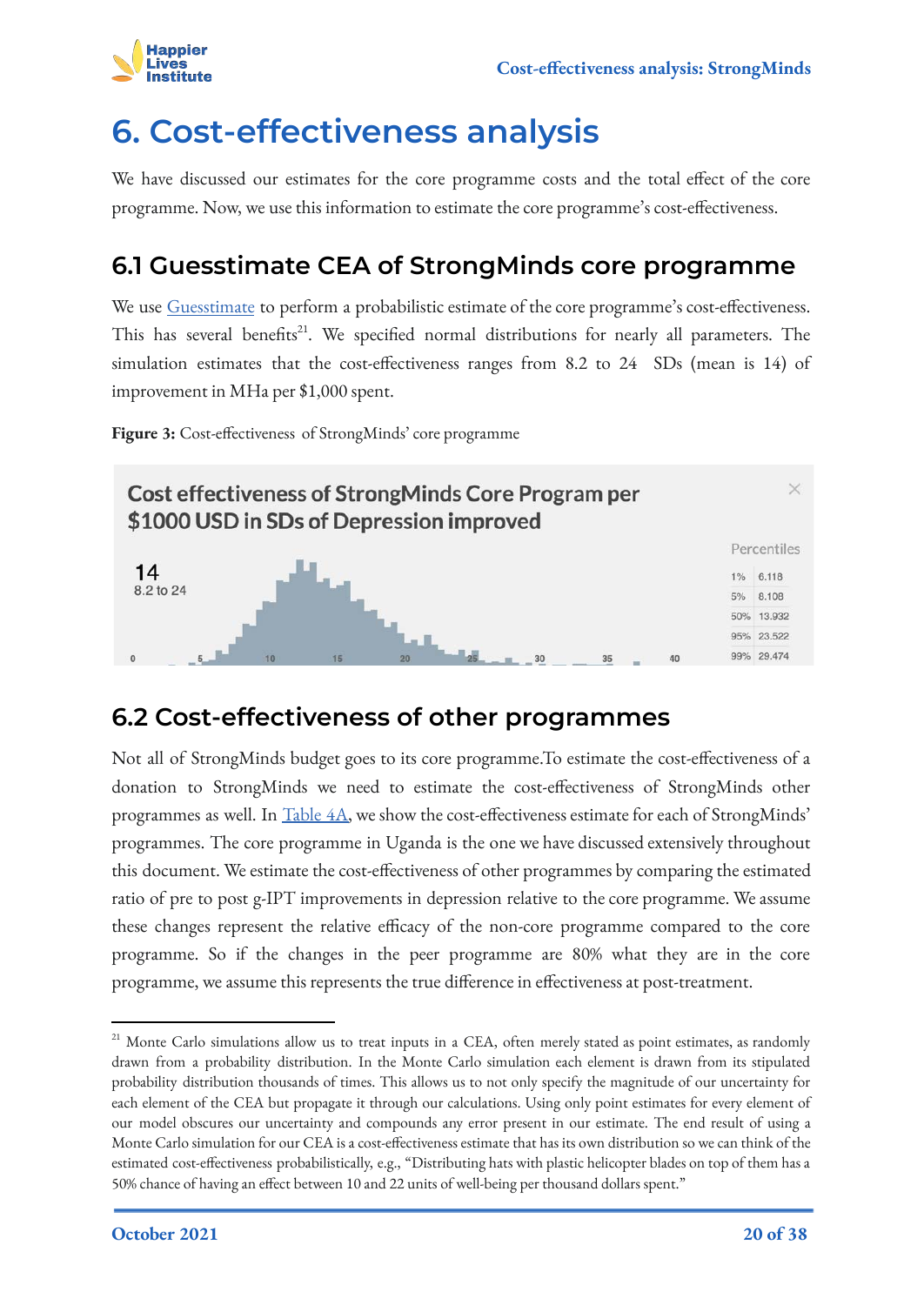

## <span id="page-19-0"></span>**6. Cost-effectiveness analysis**

We have discussed our estimates for the core programme costs and the total effect of the core programme. Now, we use this information to estimate the core programme's cost-effectiveness.

## <span id="page-19-1"></span>**6.1 Guesstimate CEA of StrongMinds core programme**

We use [Guesstimate](https://www.getguesstimate.com/models/18652) to perform a probabilistic estimate of the core programme's cost-effectiveness. This has several benefits<sup>21</sup>. We specified normal distributions for nearly all parameters. The simulation estimates that the cost-effectiveness ranges from 8.2 to 24 SDs (mean is 14) of improvement in MHa per \$1,000 spent.

**Figure 3:** Cost-effectiveness of StrongMinds' core programme



### <span id="page-19-2"></span>**6.2 Cost-effectiveness of other programmes**

Not all of StrongMinds budget goes to its core programme.To estimate the cost-effectiveness of a donation to StrongMinds we need to estimate the cost-effectiveness of StrongMinds other programmes as well. In [Table 4A,](#page-20-0) we show the cost-effectiveness estimate for each of StrongMinds' programmes. The core programme in Uganda is the one we have discussed extensively throughout this document. We estimate the cost-effectiveness of other programmes by comparing the estimated ratio of pre to post g-IPT improvements in depression relative to the core programme. We assume these changes represent the relative efficacy of the non-core programme compared to the core programme. So if the changes in the peer programme are 80% what they are in the core programme, we assume this represents the true difference in effectiveness at post-treatment.

<sup>&</sup>lt;sup>21</sup> Monte Carlo simulations allow us to treat inputs in a CEA, often merely stated as point estimates, as randomly drawn from a probability distribution. In the Monte Carlo simulation each element is drawn from its stipulated probability distribution thousands of times. This allows us to not only specify the magnitude of our uncertainty for each element of the CEA but propagate it through our calculations. Using only point estimates for every element of our model obscures our uncertainty and compounds any error present in our estimate. The end result of using a Monte Carlo simulation for our CEA is a cost-effectiveness estimate that has its own distribution so we can think of the estimated cost-effectiveness probabilistically, e.g., "Distributing hats with plastic helicopter blades on top of them has a 50% chance of having an effect between 10 and 22 units of well-being per thousand dollars spent."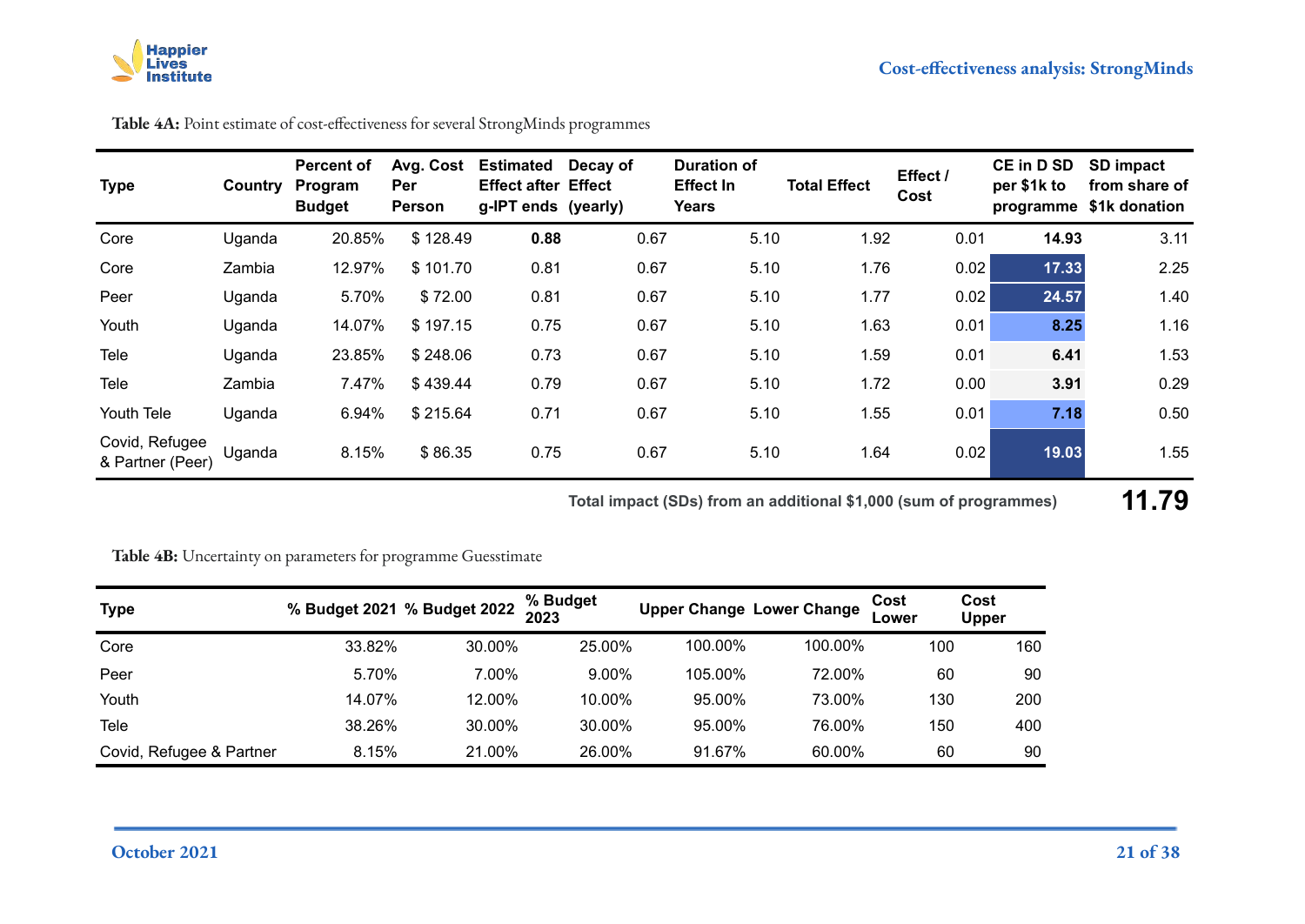

| <b>Type</b>                        | Country | <b>Percent of</b><br>Program<br><b>Budget</b> | Avg. Cost<br><b>Per</b><br>Person | <b>Estimated</b><br><b>Effect after Effect</b><br>g-IPT ends (yearly) | Decay of | <b>Duration of</b><br><b>Effect In</b><br>Years | <b>Total Effect</b> | Effect /<br>Cost | <b>CE in D SD</b><br>per \$1k to<br>programme | SD impact<br>from share of<br>\$1k donation |
|------------------------------------|---------|-----------------------------------------------|-----------------------------------|-----------------------------------------------------------------------|----------|-------------------------------------------------|---------------------|------------------|-----------------------------------------------|---------------------------------------------|
| Core                               | Uganda  | 20.85%                                        | \$128.49                          | 0.88                                                                  | 0.67     | 5.10                                            | 1.92                | 0.01             | 14.93                                         | 3.11                                        |
| Core                               | Zambia  | 12.97%                                        | \$101.70                          | 0.81                                                                  | 0.67     | 5.10                                            | 1.76                | 0.02             | 17.33                                         | 2.25                                        |
| Peer                               | Uganda  | 5.70%                                         | \$72.00                           | 0.81                                                                  | 0.67     | 5.10                                            | 1.77                | 0.02             | 24.57                                         | 1.40                                        |
| Youth                              | Uganda  | 14.07%                                        | \$197.15                          | 0.75                                                                  | 0.67     | 5.10                                            | 1.63                | 0.01             | 8.25                                          | 1.16                                        |
| Tele                               | Uganda  | 23.85%                                        | \$248.06                          | 0.73                                                                  | 0.67     | 5.10                                            | 1.59                | 0.01             | 6.41                                          | 1.53                                        |
| Tele                               | Zambia  | 7.47%                                         | \$439.44                          | 0.79                                                                  | 0.67     | 5.10                                            | 1.72                | 0.00             | 3.91                                          | 0.29                                        |
| Youth Tele                         | Uganda  | 6.94%                                         | \$215.64                          | 0.71                                                                  | 0.67     | 5.10                                            | 1.55                | 0.01             | 7.18                                          | 0.50                                        |
| Covid, Refugee<br>& Partner (Peer) | Uganda  | 8.15%                                         | \$86.35                           | 0.75                                                                  | 0.67     | 5.10                                            | 1.64                | 0.02             | 19.03                                         | 1.55                                        |

**Table 4A:** Point estimate of cost-effectiveness for several StrongMinds programmes

**Total impact (SDs) from an additional \$1,000 (sum of programmes) 11.79**

<span id="page-20-0"></span>**Table 4B:** Uncertainty on parameters for programme Guesstimate

| <b>Type</b>              |        | % Budget 2021 % Budget 2022 | % Budget<br>2023 |         | <b>Upper Change Lower Change</b> | Cost<br>Lower | Cost<br><b>Upper</b> |
|--------------------------|--------|-----------------------------|------------------|---------|----------------------------------|---------------|----------------------|
| Core                     | 33.82% | 30.00%                      | 25.00%           | 100.00% | 100.00%                          | 100           | 160                  |
| Peer                     | 5.70%  | 7.00%                       | $9.00\%$         | 105.00% | 72.00%                           | 60            | 90                   |
| Youth                    | 14.07% | 12.00%                      | 10.00%           | 95.00%  | 73.00%                           | 130           | 200                  |
| Tele                     | 38.26% | 30.00%                      | 30.00%           | 95.00%  | 76.00%                           | 150           | 400                  |
| Covid, Refugee & Partner | 8.15%  | 21.00%                      | 26.00%           | 91.67%  | 60.00%                           | 60            | 90                   |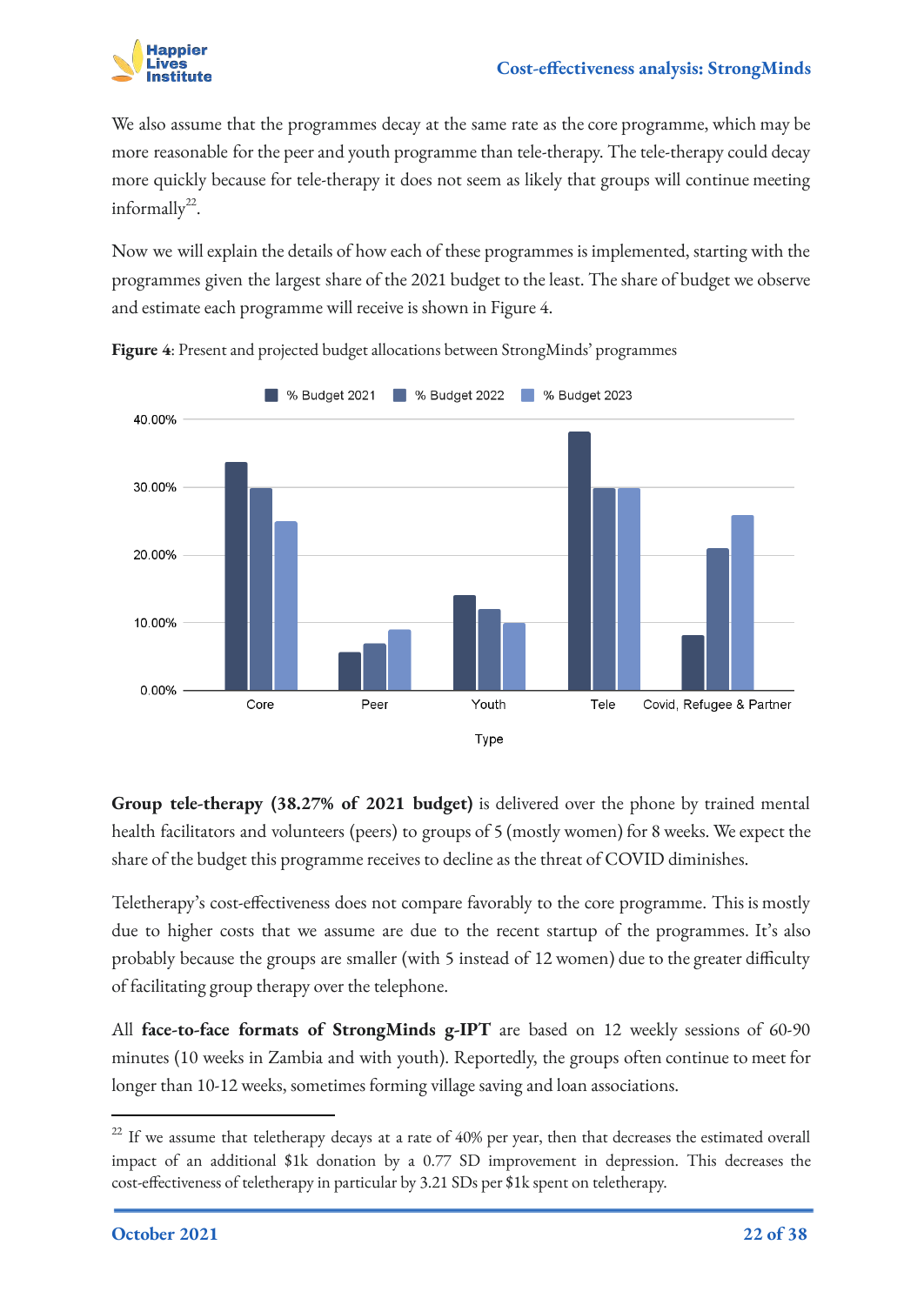

We also assume that the programmes decay at the same rate as the core programme, which may be more reasonable for the peer and youth programme than tele-therapy. The tele-therapy could decay more quickly because for tele-therapy it does not seem as likely that groups will continue meeting informally<sup>22</sup>.

Now we will explain the details of how each of these programmes is implemented, starting with the programmes given the largest share of the 2021 budget to the least. The share of budget we observe and estimate each programme will receive is shown in Figure 4.



**Figure 4**: Present and projected budget allocations between StrongMinds' programmes

**Group tele-therapy (38.27% of 2021 budget)** is delivered over the phone by trained mental health facilitators and volunteers (peers) to groups of 5 (mostly women) for 8 weeks. We expect the share of the budget this programme receives to decline as the threat of COVID diminishes.

Teletherapy's cost-effectiveness does not compare favorably to the core programme. This is mostly due to higher costs that we assume are due to the recent startup of the programmes. It's also probably because the groups are smaller (with 5 instead of 12 women) due to the greater difficulty of facilitating group therapy over the telephone.

All **face-to-face formats of StrongMinds g-IPT** are based on 12 weekly sessions of 60-90 minutes (10 weeks in Zambia and with youth). Reportedly, the groups often continue to meet for longer than 10-12 weeks, sometimes forming village saving and loan associations.

<sup>&</sup>lt;sup>22</sup> If we assume that teletherapy decays at a rate of 40% per year, then that decreases the estimated overall impact of an additional \$1k donation by a 0.77 SD improvement in depression. This decreases the cost-effectiveness of teletherapy in particular by 3.21 SDs per \$1k spent on teletherapy.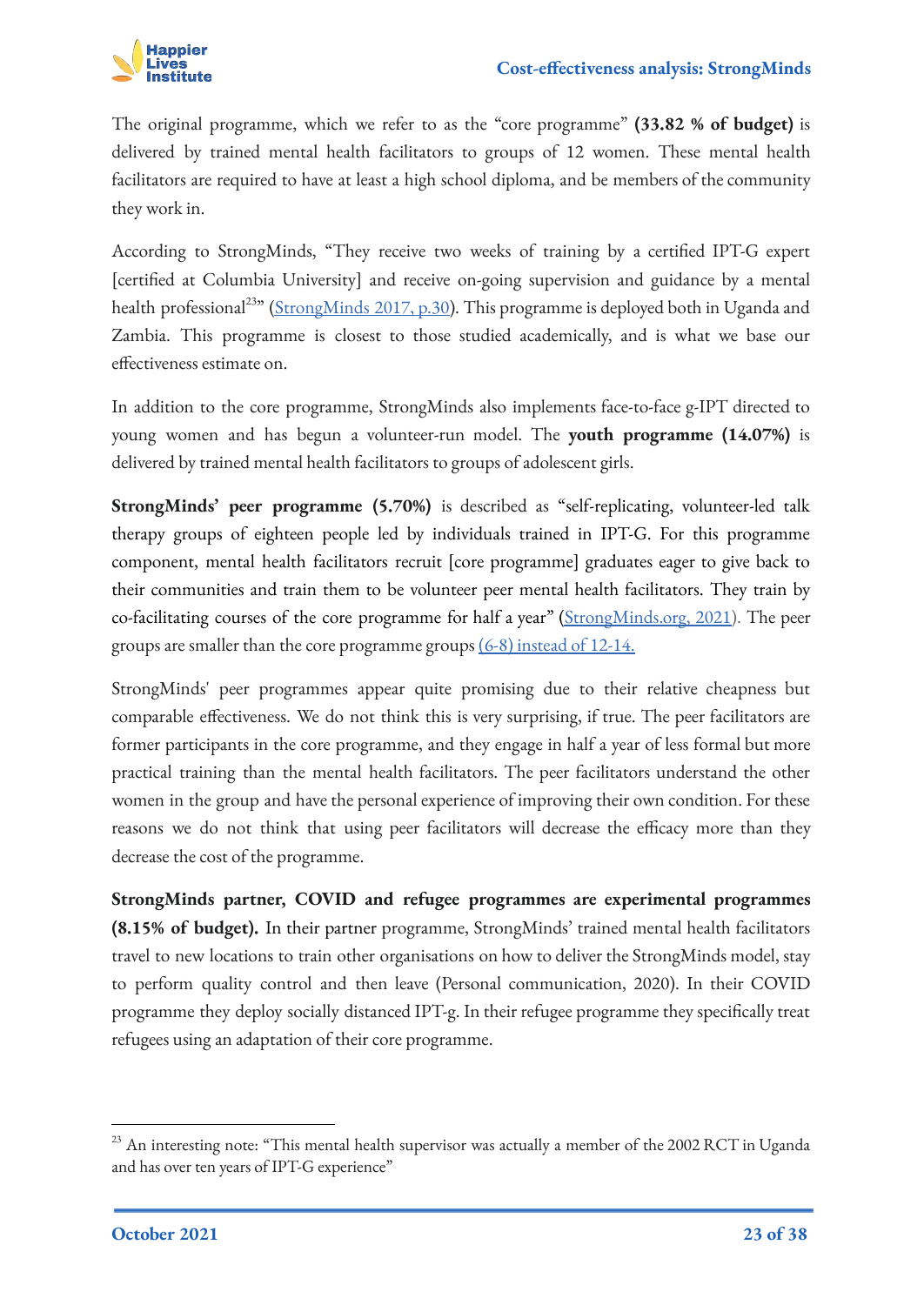

The original programme, which we refer to as the "core programme" **(33.82 % of budget)** is delivered by trained mental health facilitators to groups of 12 women. These mental health facilitators are required to have at least a high school diploma, and be members of the community they work in.

According to StrongMinds, "They receive two weeks of training by a certified IPT-G expert [certified at Columbia University] and receive on-going supervision and guidance by a mental health professional<sup>23</sup>" [\(StrongMinds 2017, p.30\)](https://strongminds.org/wp-content/uploads/2013/07/StrongMinds-Phase-Two-Impact-Evaluation-Report-July-2015-FINAL.pdf). This programme is deployed both in Uganda and Zambia. This programme is closest to those studied academically, and is what we base our effectiveness estimate on.

In addition to the core programme, StrongMinds also implements face-to-face g-IPT directed to young women and has begun a volunteer-run model. The **youth programme (14.07%)** is delivered by trained mental health facilitators to groups of adolescent girls.

**StrongMinds' peer programme (5.70%)** is described as "self-replicating, volunteer-led talk therapy groups of eighteen people led by individuals trained in IPT-G. For this programme component, mental health facilitators recruit [core programme] graduates eager to give back to their communities and train them to be volunteer peer mental health facilitators. They train by co-facilitating courses of the core programme for half a year" [\(StrongMinds.org, 2021\)](https://strongminds.org/strongminds-our-model/). The peer groups are smaller than the core programme groups  $(6-8)$  instead of 12-14.

StrongMinds' peer programmes appear quite promising due to their relative cheapness but comparable effectiveness. We do not think this is very surprising, if true. The peer facilitators are former participants in the core programme, and they engage in half a year of less formal but more practical training than the mental health facilitators. The peer facilitators understand the other women in the group and have the personal experience of improving their own condition. For these reasons we do not think that using peer facilitators will decrease the efficacy more than they decrease the cost of the programme.

**StrongMinds partner, COVID and refugee programmes are experimental programmes (8.15% of budget).** In their partner programme, StrongMinds' trained mental health facilitators travel to new locations to train other organisations on how to deliver the StrongMinds model, stay to perform quality control and then leave (Personal communication, 2020). In their COVID programme they deploy socially distanced IPT-g. In their refugee programme they specifically treat refugees using an adaptation of their core programme.

<sup>&</sup>lt;sup>23</sup> An interesting note: "This mental health supervisor was actually a member of the 2002 RCT in Uganda and has over ten years of IPT-G experience"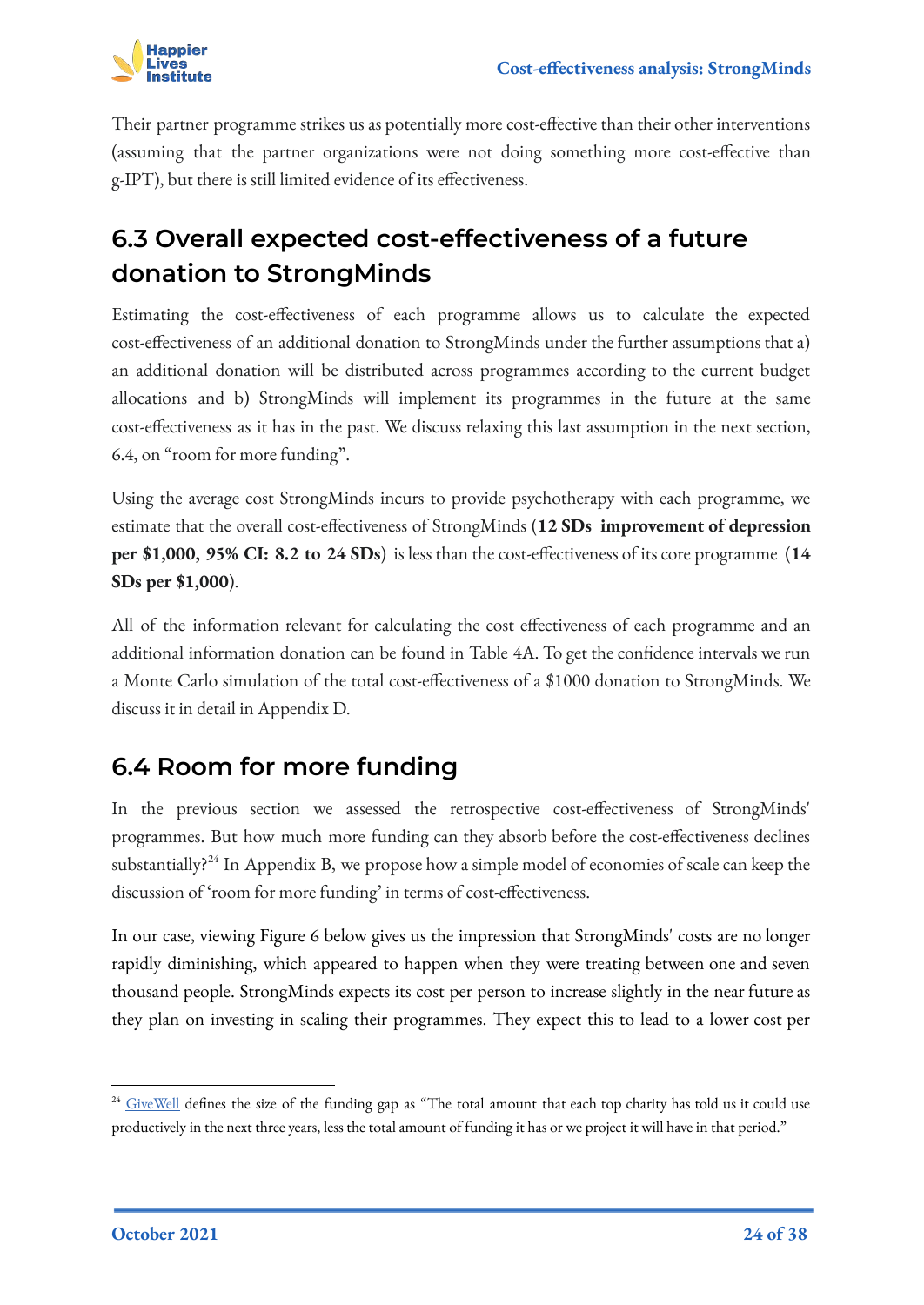

Their partner programme strikes us as potentially more cost-effective than their other interventions (assuming that the partner organizations were not doing something more cost-effective than g-IPT), but there is still limited evidence of its effectiveness.

## <span id="page-23-0"></span>**6.3 Overall expected cost-effectiveness of a future donation to StrongMinds**

Estimating the cost-effectiveness of each programme allows us to calculate the expected cost-effectiveness of an additional donation to StrongMinds under the further assumptions that a) an additional donation will be distributed across programmes according to the current budget allocations and b) StrongMinds will implement its programmes in the future at the same cost-effectiveness as it has in the past. We discuss relaxing this last assumption in the next section, 6.4, on "room for more funding".

Using the average cost StrongMinds incurs to provide psychotherapy with each programme, we estimate that the overall cost-effectiveness of StrongMinds (**12 SDs improvement of depression per \$1,000, 95% CI: 8.2 to 24 SDs**) is less than the cost-effectiveness of its core programme (**14 SDs per \$1,000**).

All of the information relevant for calculating the cost effectiveness of each programme and an additional information donation can be found in Table 4A. To get the confidence intervals we run a Monte Carlo simulation of the total cost-effectiveness of a \$1000 donation to StrongMinds. We discuss it in detail in Appendix D.

## <span id="page-23-1"></span>**6.4 Room for more funding**

In the previous section we assessed the retrospective cost-effectiveness of StrongMinds' programmes. But how much more funding can they absorb before the cost-effectiveness declines substantially?<sup>24</sup> In Appendix B, we propose how a simple model of economies of scale can keep the discussion of 'room for more funding' in terms of cost-effectiveness.

In our case, viewing Figure 6 below gives us the impression that StrongMinds' costs are no longer rapidly diminishing, which appeared to happen when they were treating between one and seven thousand people. StrongMinds expects its cost per person to increase slightly in the near future as they plan on investing in scaling their programmes. They expect this to lead to a lower cost per

<sup>&</sup>lt;sup>24</sup> [GiveWell](https://www.givewell.org/charities/top-charities/2019/funding-needs) defines the size of the funding gap as "The total amount that each top charity has told us it could use productively in the next three years, less the total amount of funding it has or we project it will have in that period."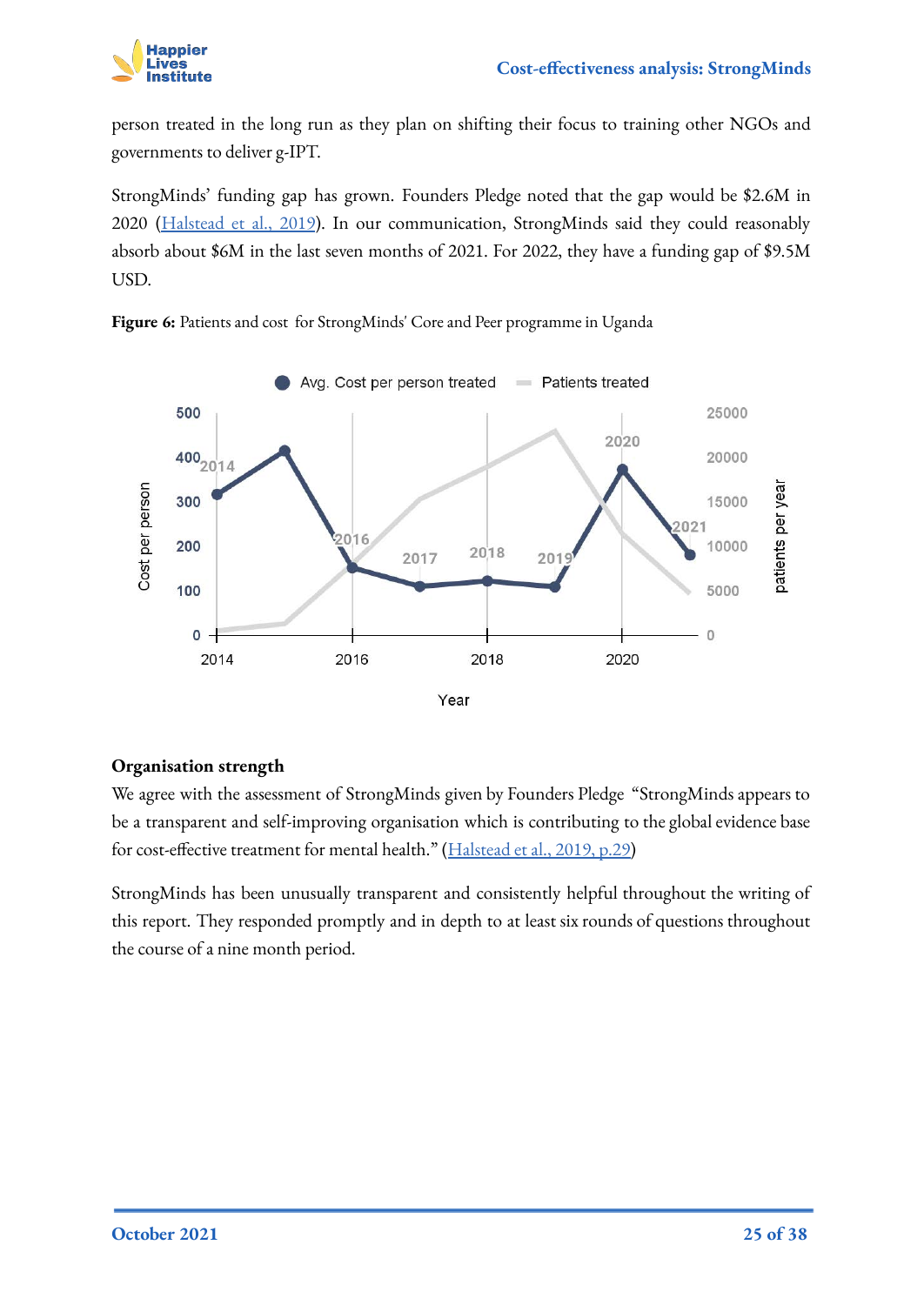

person treated in the long run as they plan on shifting their focus to training other NGOs and governments to deliver g-IPT.

StrongMinds' funding gap has grown. Founders Pledge noted that the gap would be \$2.6M in 2020 [\(Halstead et al., 2019](https://founderspledge.com/stories/mental-health-report-summary)). In our communication, StrongMinds said they could reasonably absorb about \$6M in the last seven months of 2021. For 2022, they have a funding gap of \$9.5M USD.



**Figure 6:** Patients and cost for StrongMinds' Core and Peer programme in Uganda

#### **Organisation strength**

We agree with the assessment of StrongMinds given by Founders Pledge "StrongMinds appears to be a transparent and self-improving organisation which is contributing to the global evidence base for cost-effective treatment for mental health." ([Halstead et al., 2019, p.29\)](https://founderspledge.com/stories/mental-health-report-summary)

StrongMinds has been unusually transparent and consistently helpful throughout the writing of this report. They responded promptly and in depth to at least six rounds of questions throughout the course of a nine month period.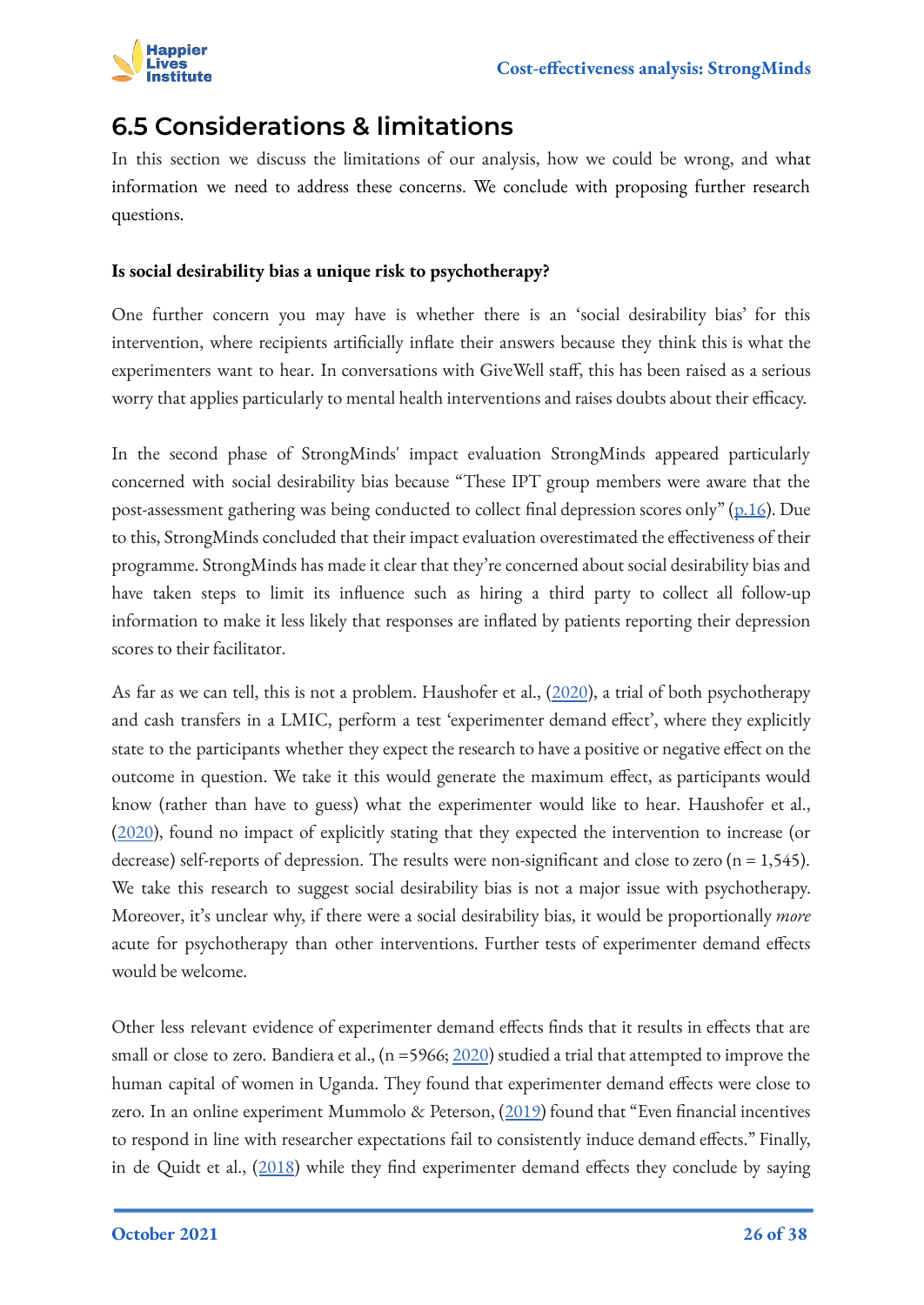

## <span id="page-25-0"></span>**6.5 Considerations & limitations**

In this section we discuss the limitations of our analysis, how we could be wrong, and what information we need to address these concerns. We conclude with proposing further research questions.

### **Is social desirability bias a unique risk to psychotherapy?**

One further concern you may have is whether there is an 'social desirability bias' for this intervention, where recipients artificially inflate their answers because they think this is what the experimenters want to hear. In conversations with GiveWell staff, this has been raised as a serious worry that applies particularly to mental health interventions and raises doubts about their efficacy.

In the second phase of StrongMinds' impact evaluation StrongMinds appeared particularly concerned with social desirability bias because "These IPT group members were aware that the post-assessment gathering was being conducted to collect final depression scores only" ([p.16](https://strongminds.org/wp-content/uploads/2013/07/StrongMinds-Phase-Two-Impact-Evaluation-Report-July-2015-FINAL.pdf)). Due to this, StrongMinds concluded that their impact evaluation overestimated the effectiveness of their programme. StrongMinds has made it clear that they're concerned about social desirability bias and have taken steps to limit its influence such as hiring a third party to collect all follow-up information to make it less likely that responses are inflated by patients reporting their depression scores to their facilitator.

As far as we can tell, this is not a problem. Haushofer et al., [\(2020](https://www.nber.org/papers/w28106)), a trial of both psychotherapy and cash transfers in a LMIC, perform a test 'experimenter demand effect', where they explicitly state to the participants whether they expect the research to have a positive or negative effect on the outcome in question. We take it this would generate the maximum effect, as participants would know (rather than have to guess) what the experimenter would like to hear. Haushofer et al., ([2020\)](https://www.nber.org/papers/w28106), found no impact of explicitly stating that they expected the intervention to increase (or decrease) self-reports of depression. The results were non-significant and close to zero (n = 1,545). We take this research to suggest social desirability bias is not a major issue with psychotherapy. Moreover, it's unclear why, if there were a social desirability bias, it would be proportionally *more* acute for psychotherapy than other interventions. Further tests of experimenter demand effects would be welcome.

Other less relevant evidence of experimenter demand effects finds that it results in effects that are small or close to zero. Bandiera et al.,  $(n = 5966; 2020)$  $(n = 5966; 2020)$  $(n = 5966; 2020)$  studied a trial that attempted to improve the human capital of women in Uganda. They found that experimenter demand effects were close to zero. In an online experiment Mummolo & Peterson, ([2019\)](https://www.semanticscholar.org/paper/Demand-Effects-in-Survey-Experiments%3A-An-Empirical-Mummolo-Peterson/441c602068ed3a67262c07ff089d83bd6481044b) found that "Even financial incentives to respond in line with researcher expectations fail to consistently induce demand effects." Finally, in de Quidt et al., ([2018\)](https://www.semanticscholar.org/paper/Measuring-and-Bounding-Experimenter-Demand-Quidt-Haushofer/9f84b7fa1e9c9d6b403cb6f48d71eefe8dbbf1b0) while they find experimenter demand effects they conclude by saying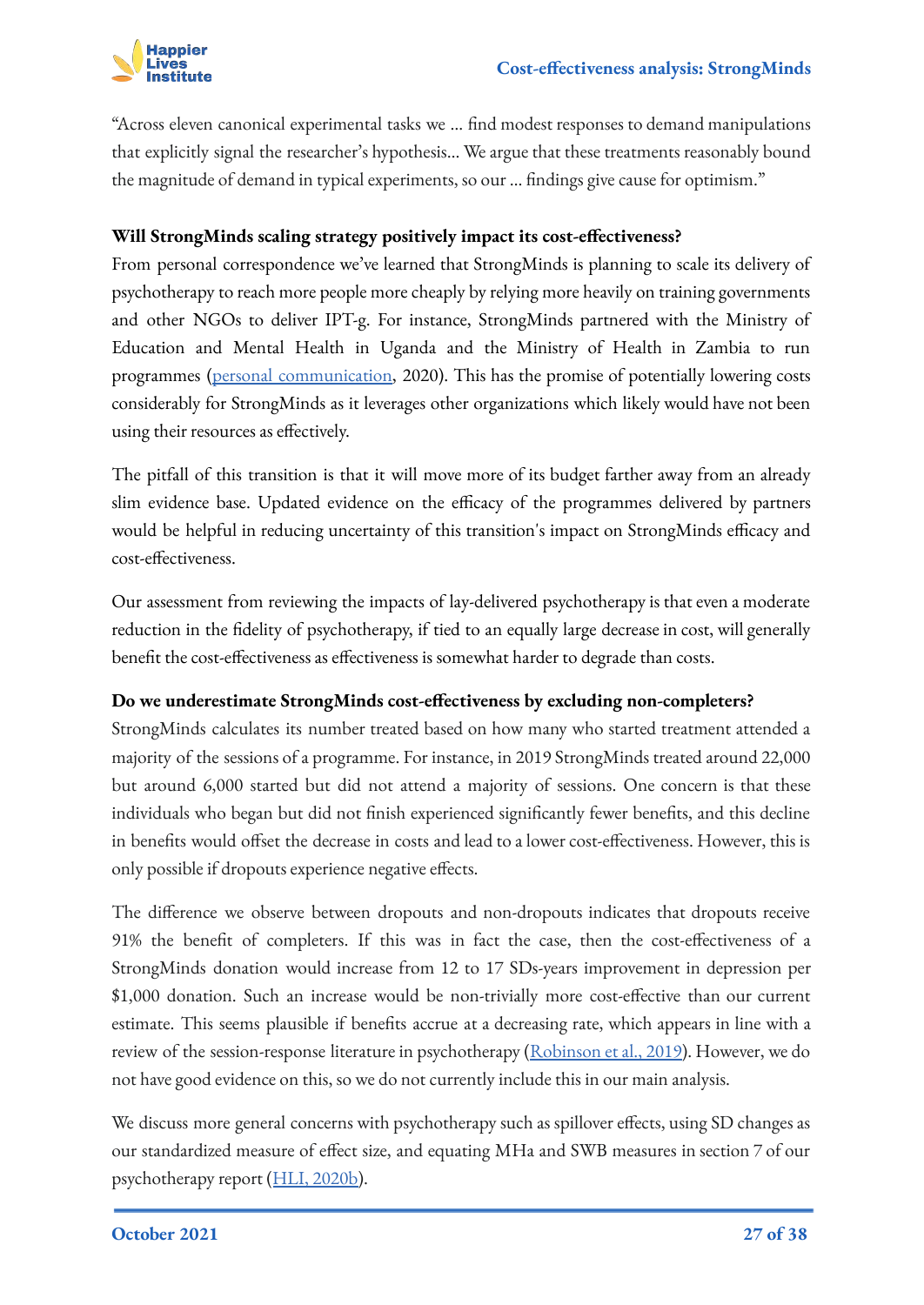

"Across eleven canonical experimental tasks we … find modest responses to demand manipulations that explicitly signal the researcher's hypothesis… We argue that these treatments reasonably bound the magnitude of demand in typical experiments, so our … findings give cause for optimism."

### **Will StrongMinds scaling strategy positively impact its cost-effectiveness?**

From personal correspondence we've learned that StrongMinds is planning to scale its delivery of psychotherapy to reach more people more cheaply by relying more heavily on training governments and other NGOs to deliver IPT-g. For instance, StrongMinds partnered with the Ministry of Education and Mental Health in Uganda and the Ministry of Health in Zambia to run programmes [\(personal communication](https://docs.google.com/document/d/11ExfkapEy0xFvRfjjqmtCgBAVsLpGcHPJ19-ykErHRE/edit#), 2020). This has the promise of potentially lowering costs considerably for StrongMinds as it leverages other organizations which likely would have not been using their resources as effectively.

The pitfall of this transition is that it will move more of its budget farther away from an already slim evidence base. Updated evidence on the efficacy of the programmes delivered by partners would be helpful in reducing uncertainty of this transition's impact on StrongMinds efficacy and cost-effectiveness.

Our assessment from reviewing the impacts of lay-delivered psychotherapy is that even a moderate reduction in the fidelity of psychotherapy, if tied to an equally large decrease in cost, will generally benefit the cost-effectiveness as effectiveness is somewhat harder to degrade than costs.

#### **Do we underestimate StrongMinds cost-effectiveness by excluding non-completers?**

StrongMinds calculates its number treated based on how many who started treatment attended a majority of the sessions of a programme. For instance, in 2019 StrongMinds treated around 22,000 but around 6,000 started but did not attend a majority of sessions. One concern is that these individuals who began but did not finish experienced significantly fewer benefits, and this decline in benefits would offset the decrease in costs and lead to a lower cost-effectiveness. However, this is only possible if dropouts experience negative effects.

The difference we observe between dropouts and non-dropouts indicates that dropouts receive 91% the benefit of completers. If this was in fact the case, then the cost-effectiveness of a StrongMinds donation would increase from 12 to 17 SDs-years improvement in depression per \$1,000 donation. Such an increase would be non-trivially more cost-effective than our current estimate. This seems plausible if benefits accrue at a decreasing rate, which appears in line with a review of the session-response literature in psychotherapy ([Robinson et al., 2019\)](https://www.tandfonline.com/doi/abs/10.1080/10503307.2019.1566676). However, we do not have good evidence on this, so we do not currently include this in our main analysis.

We discuss more general concerns with psychotherapy such as spillover effects, using SD changes as our standardized measure of effect size, and equating MHa and SWB measures in section 7 of our psychotherapy report ([HLI, 2020b\)](https://www.happierlivesinstitute.org/psychotherapy-cea.html).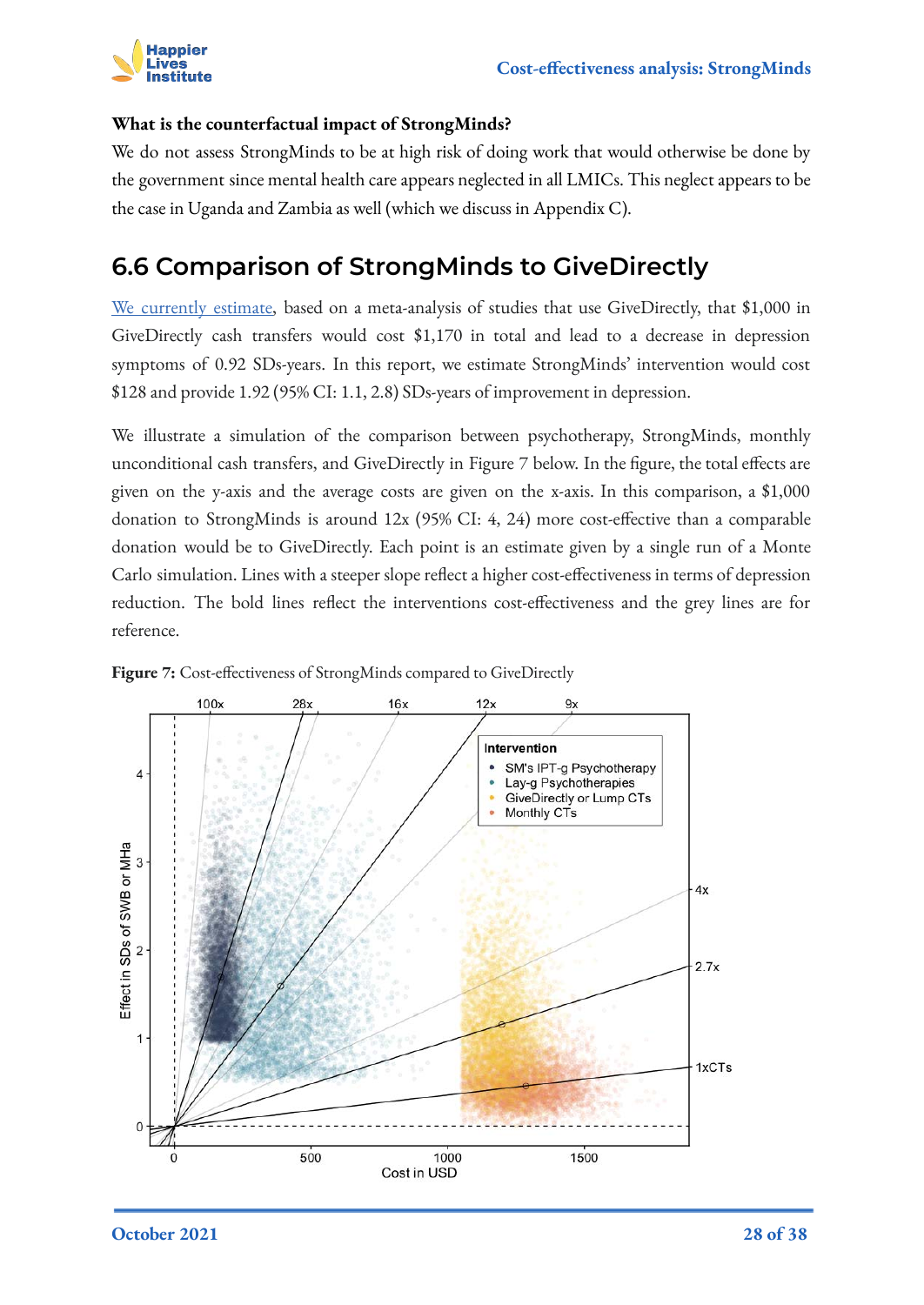

### **What is the counterfactual impact of StrongMinds?**

We do not assess StrongMinds to be at high risk of doing work that would otherwise be done by the government since mental health care appears neglected in all LMICs. This neglect appears to be the case in Uganda and Zambia as well (which we discuss in Appendix C).

### <span id="page-27-0"></span>**6.6 Comparison of StrongMinds to GiveDirectly**

[We currently estimate,](https://docs.google.com/document/d/1L9QWzg88HDz4Wi0VrANXJbD3vwQukVpGzgIa9mSrfjY/edit#heading=h.mdz30v3ruijv) based on a meta-analysis of studies that use GiveDirectly, that \$1,000 in GiveDirectly cash transfers would cost \$1,170 in total and lead to a decrease in depression symptoms of 0.92 SDs-years. In this report, we estimate StrongMinds' intervention would cost \$128 and provide 1.92 (95% CI: 1.1, 2.8) SDs-years of improvement in depression.

We illustrate a simulation of the comparison between psychotherapy, StrongMinds, monthly unconditional cash transfers, and GiveDirectly in Figure 7 below. In the figure, the total effects are given on the y-axis and the average costs are given on the x-axis. In this comparison, a \$1,000 donation to StrongMinds is around 12x (95% CI: 4, 24) more cost-effective than a comparable donation would be to GiveDirectly. Each point is an estimate given by a single run of a Monte Carlo simulation. Lines with a steeper slope reflect a higher cost-effectiveness in terms of depression reduction. The bold lines reflect the interventions cost-effectiveness and the grey lines are for reference.



**Figure 7:** Cost-effectiveness of StrongMinds compared to GiveDirectly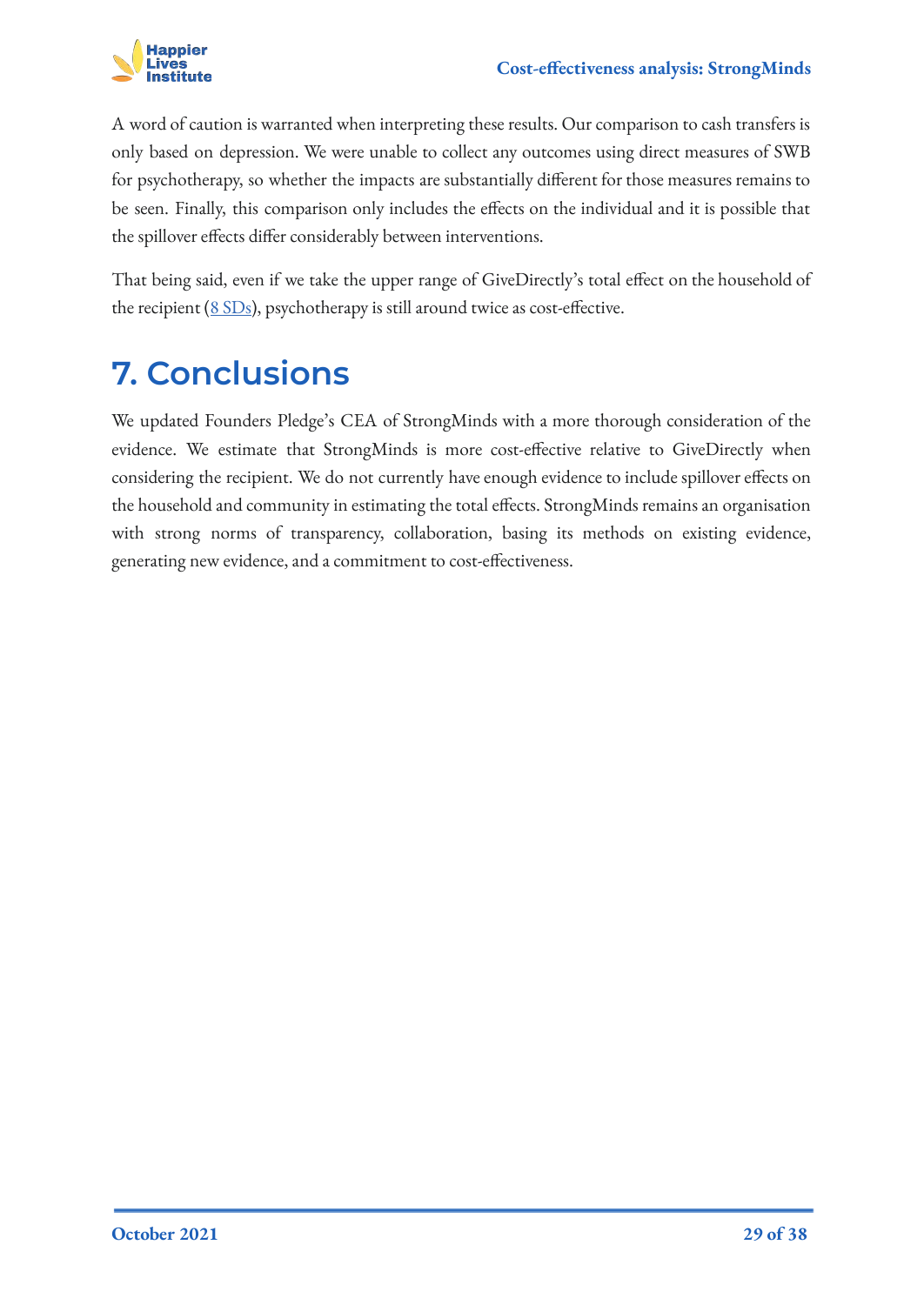

A word of caution is warranted when interpreting these results. Our comparison to cash transfers is only based on depression. We were unable to collect any outcomes using direct measures of SWB for psychotherapy, so whether the impacts are substantially different for those measures remains to be seen. Finally, this comparison only includes the effects on the individual and it is possible that the spillover effects differ considerably between interventions.

That being said, even if we take the upper range of GiveDirectly's total effect on the household of the recipient ([8 SDs](https://www.getguesstimate.com/models/18218)), psychotherapy is still around twice as cost-effective.

## <span id="page-28-0"></span>**7. Conclusions**

We updated Founders Pledge's CEA of StrongMinds with a more thorough consideration of the evidence. We estimate that StrongMinds is more cost-effective relative to GiveDirectly when considering the recipient. We do not currently have enough evidence to include spillover effects on the household and community in estimating the total effects. StrongMinds remains an organisation with strong norms of transparency, collaboration, basing its methods on existing evidence, generating new evidence, and a commitment to cost-effectiveness.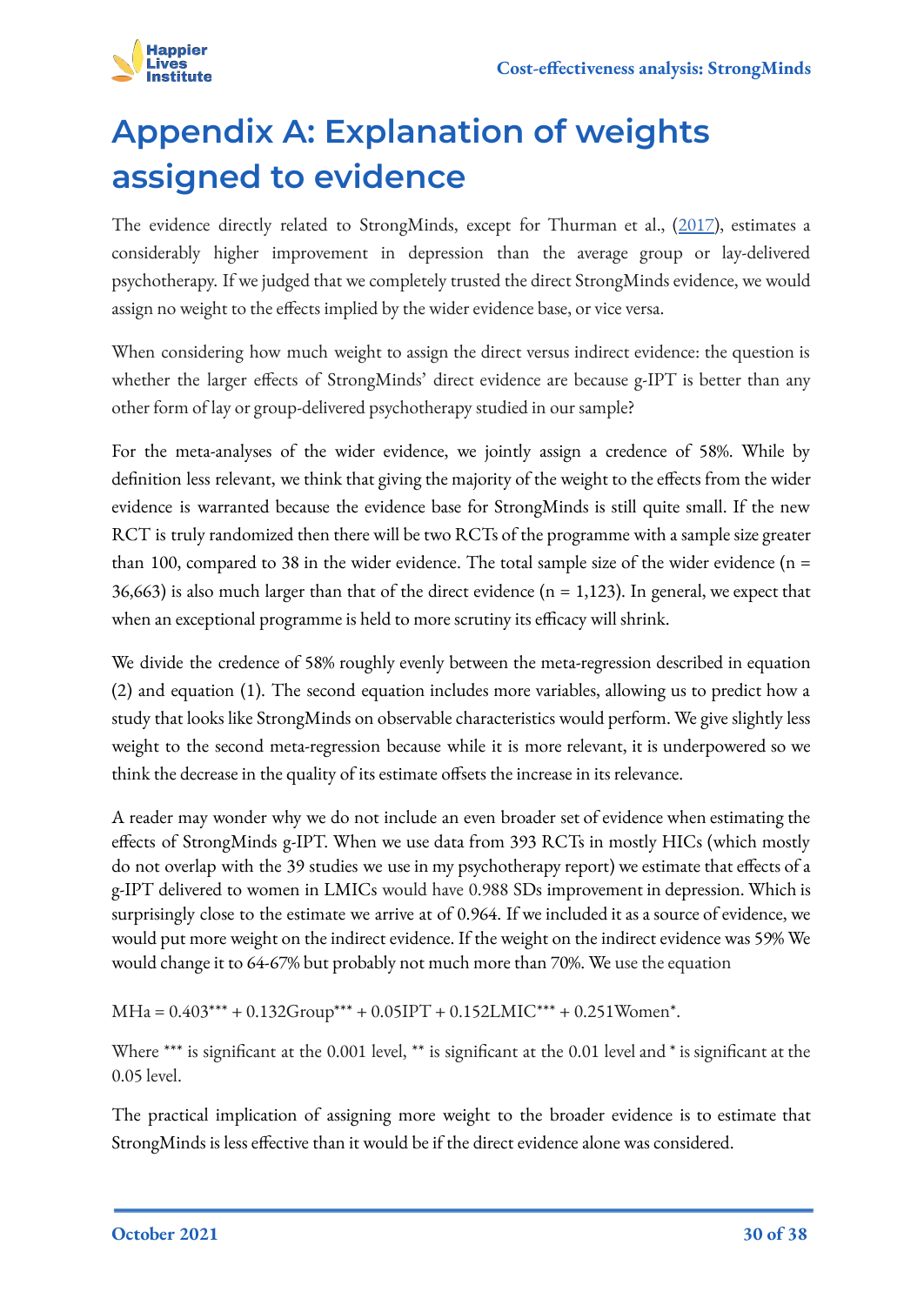

# <span id="page-29-0"></span>**Appendix A: Explanation of weights assigned to evidence**

The evidence directly related to StrongMinds, except for Thurman et al., ([2017\)](https://acamh.onlinelibrary.wiley.com/doi/abs/10.1111/camh.12241), estimates a considerably higher improvement in depression than the average group or lay-delivered psychotherapy. If we judged that we completely trusted the direct StrongMinds evidence, we would assign no weight to the effects implied by the wider evidence base, or vice versa.

When considering how much weight to assign the direct versus indirect evidence: the question is whether the larger effects of StrongMinds' direct evidence are because g-IPT is better than any other form of lay or group-delivered psychotherapy studied in our sample?

For the meta-analyses of the wider evidence, we jointly assign a credence of 58%. While by definition less relevant, we think that giving the majority of the weight to the effects from the wider evidence is warranted because the evidence base for StrongMinds is still quite small. If the new RCT is truly randomized then there will be two RCTs of the programme with a sample size greater than 100, compared to 38 in the wider evidence. The total sample size of the wider evidence ( $n =$ 36,663) is also much larger than that of the direct evidence ( $n = 1,123$ ). In general, we expect that when an exceptional programme is held to more scrutiny its efficacy will shrink.

We divide the credence of 58% roughly evenly between the meta-regression described in equation (2) and equation (1). The second equation includes more variables, allowing us to predict how a study that looks like StrongMinds on observable characteristics would perform. We give slightly less weight to the second meta-regression because while it is more relevant, it is underpowered so we think the decrease in the quality of its estimate offsets the increase in its relevance.

A reader may wonder why we do not include an even broader set of evidence when estimating the effects of StrongMinds g-IPT. When we use data from 393 RCTs in mostly HICs (which mostly do not overlap with the 39 studies we use in my psychotherapy report) we estimate that effects of a g-IPT delivered to women in LMICs would have 0.988 SDs improvement in depression. Which is surprisingly close to the estimate we arrive at of 0.964. If we included it as a source of evidence, we would put more weight on the indirect evidence. If the weight on the indirect evidence was 59% We would change it to 64-67% but probably not much more than 70%. We use the equation

 $MHa = 0.403*** + 0.132Group*** + 0.05IPT + 0.152LMIC*** + 0.251Women*$ .

Where \*\*\* is significant at the 0.001 level, \*\* is significant at the 0.01 level and \* is significant at the 0.05 level.

The practical implication of assigning more weight to the broader evidence is to estimate that StrongMinds is less effective than it would be if the direct evidence alone was considered.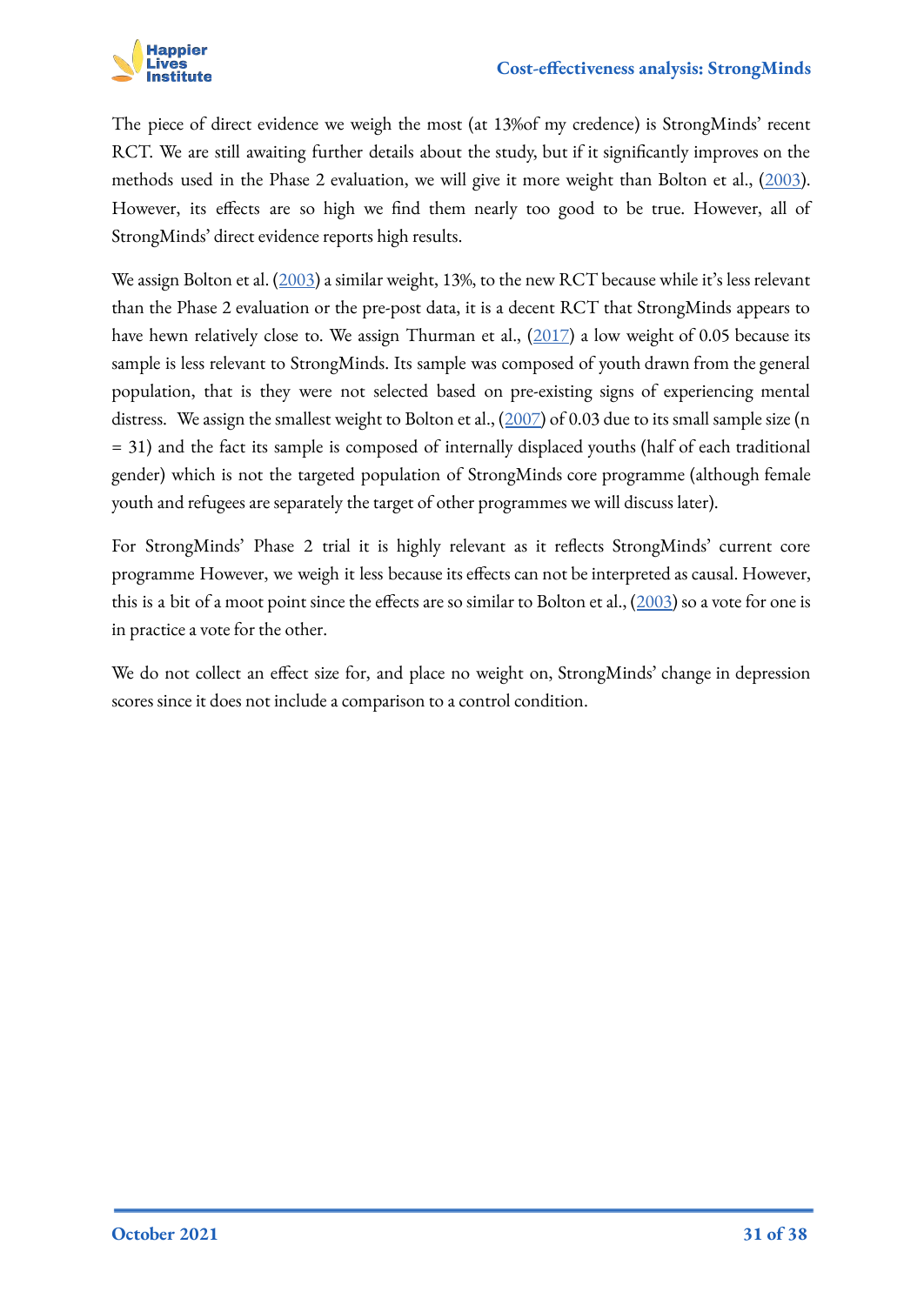

The piece of direct evidence we weigh the most (at 13%of my credence) is StrongMinds' recent RCT. We are still awaiting further details about the study, but if it significantly improves on the methods used in the Phase 2 evaluation, we will give it more weight than Bolton et al., [\(2003\)](https://jamanetwork.com/journals/jama/fullarticle/196766). However, its effects are so high we find them nearly too good to be true. However, all of StrongMinds' direct evidence reports high results.

We assign Bolton et al. ([2003\)](https://jamanetwork.com/journals/jama/fullarticle/196766) a similar weight, 13%, to the new RCT because while it's less relevant than the Phase 2 evaluation or the pre-post data, it is a decent RCT that StrongMinds appears to have hewn relatively close to. We assign Thurman et al., ([2017](https://acamh.onlinelibrary.wiley.com/doi/abs/10.1111/camh.12241)) a low weight of 0.05 because its sample is less relevant to StrongMinds. Its sample was composed of youth drawn from the general population, that is they were not selected based on pre-existing signs of experiencing mental distress. We assign the smallest weight to Bolton et al.,  $(2007)$  $(2007)$  of 0.03 due to its small sample size (n = 31) and the fact its sample is composed of internally displaced youths (half of each traditional gender) which is not the targeted population of StrongMinds core programme (although female youth and refugees are separately the target of other programmes we will discuss later).

For StrongMinds' Phase 2 trial it is highly relevant as it reflects StrongMinds' current core programme However, we weigh it less because its effects can not be interpreted as causal. However, this is a bit of a moot point since the effects are so similar to Bolton et al.,  $(2003)$  $(2003)$  so a vote for one is in practice a vote for the other.

We do not collect an effect size for, and place no weight on, StrongMinds' change in depression scores since it does not include a comparison to a control condition.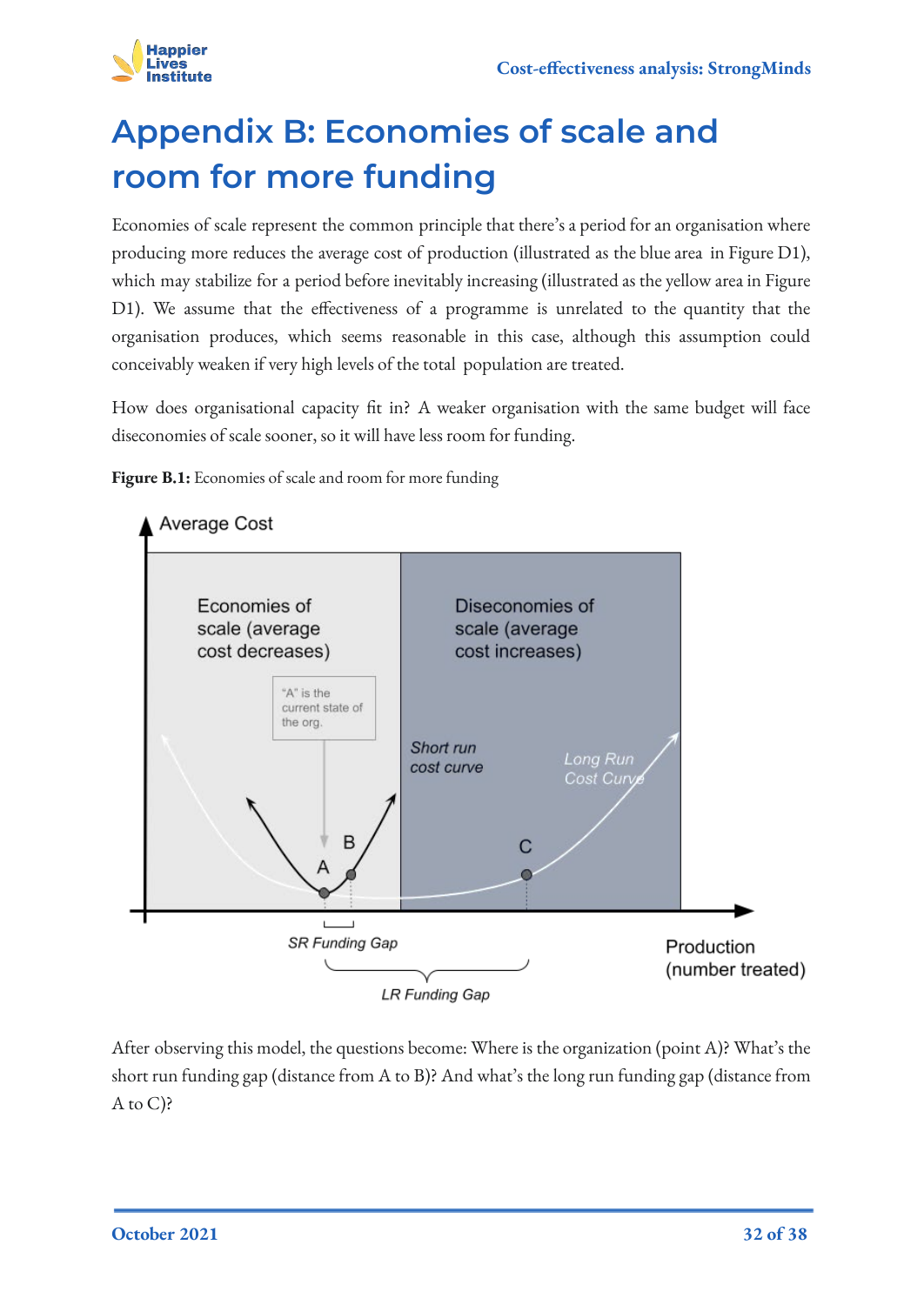

# <span id="page-31-0"></span>**Appendix B: Economies of scale and room for more funding**

Economies of scale represent the common principle that there's a period for an organisation where producing more reduces the average cost of production (illustrated as the blue area in Figure D1), which may stabilize for a period before inevitably increasing (illustrated as the yellow area in Figure D1). We assume that the effectiveness of a programme is unrelated to the quantity that the organisation produces, which seems reasonable in this case, although this assumption could conceivably weaken if very high levels of the total population are treated.

How does organisational capacity fit in? A weaker organisation with the same budget will face diseconomies of scale sooner, so it will have less room for funding.

Figure B.1: Economies of scale and room for more funding



After observing this model, the questions become: Where is the organization (point A)? What's the short run funding gap (distance from A to B)? And what's the long run funding gap (distance from  $A$  to  $C$ )?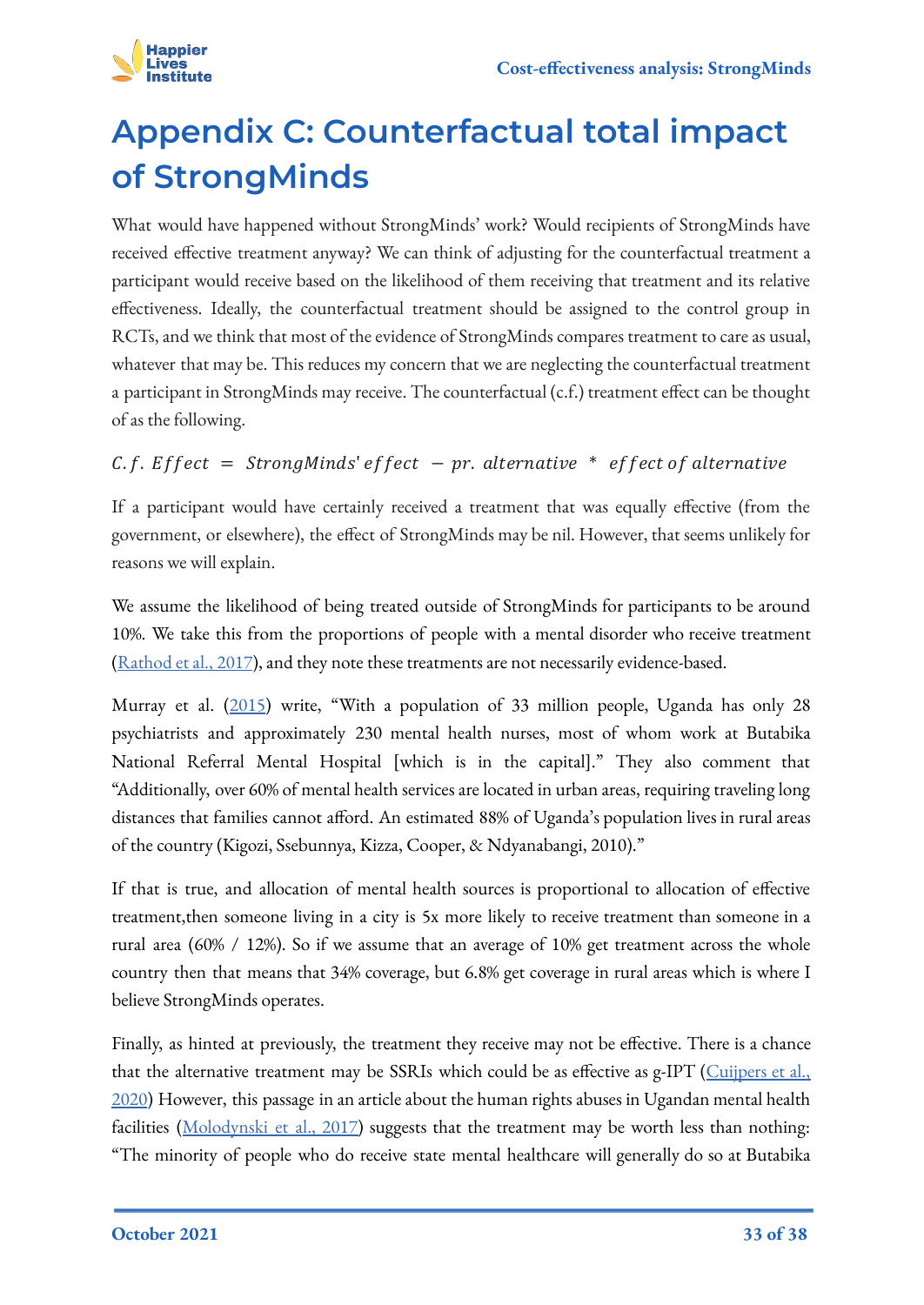

# <span id="page-32-0"></span>**Appendix C: Counterfactual total impact of StrongMinds**

What would have happened without StrongMinds' work? Would recipients of StrongMinds have received effective treatment anyway? We can think of adjusting for the counterfactual treatment a participant would receive based on the likelihood of them receiving that treatment and its relative effectiveness. Ideally, the counterfactual treatment should be assigned to the control group in RCTs, and we think that most of the evidence of StrongMinds compares treatment to care as usual, whatever that may be. This reduces my concern that we are neglecting the counterfactual treatment a participant in StrongMinds may receive. The counterfactual (c.f.) treatment effect can be thought of as the following.

### $C. f.$  Effect = StrongMinds' effect - pr. alternative \* effect of alternative

If a participant would have certainly received a treatment that was equally effective (from the government, or elsewhere), the effect of StrongMinds may be nil. However, that seems unlikely for reasons we will explain.

We assume the likelihood of being treated outside of StrongMinds for participants to be around 10%. We take this from the proportions of people with a mental disorder who receive treatment ([Rathod et al., 2017\)](https://journals.sagepub.com/doi/full/10.1177/1178632917694350), and they note these treatments are not necessarily evidence-based.

Murray et al. [\(2015](https://www.tandfonline.com/doi/abs/10.3109/01612840.2015.1049311)) write, "With a population of 33 million people, Uganda has only 28 psychiatrists and approximately 230 mental health nurses, most of whom work at Butabika National Referral Mental Hospital [which is in the capital]." They also comment that "Additionally, over 60% of mental health services are located in urban areas, requiring traveling long distances that families cannot afford. An estimated 88% of Uganda's population lives in rural areas of the country (Kigozi, Ssebunnya, Kizza, Cooper, & Ndyanabangi, 2010)."

If that is true, and allocation of mental health sources is proportional to allocation of effective treatment,then someone living in a city is 5x more likely to receive treatment than someone in a rural area (60% / 12%). So if we assume that an average of 10% get treatment across the whole country then that means that 34% coverage, but 6.8% get coverage in rural areas which is where I believe StrongMinds operates.

Finally, as hinted at previously, the treatment they receive may not be effective. There is a chance that the alternative treatment may be SSRIs which could be as effective as g-IPT ([Cuijpers et al.,](https://onlinelibrary.wiley.com/doi/full/10.1002/wps.20701) [2020](https://onlinelibrary.wiley.com/doi/full/10.1002/wps.20701)) However, this passage in an article about the human rights abuses in Ugandan mental health facilities ([Molodynski et al., 2017\)](https://www.ncbi.nlm.nih.gov/pmc/articles/PMC5663025/#r2) suggests that the treatment may be worth less than nothing: "The minority of people who do receive state mental healthcare will generally do so at Butabika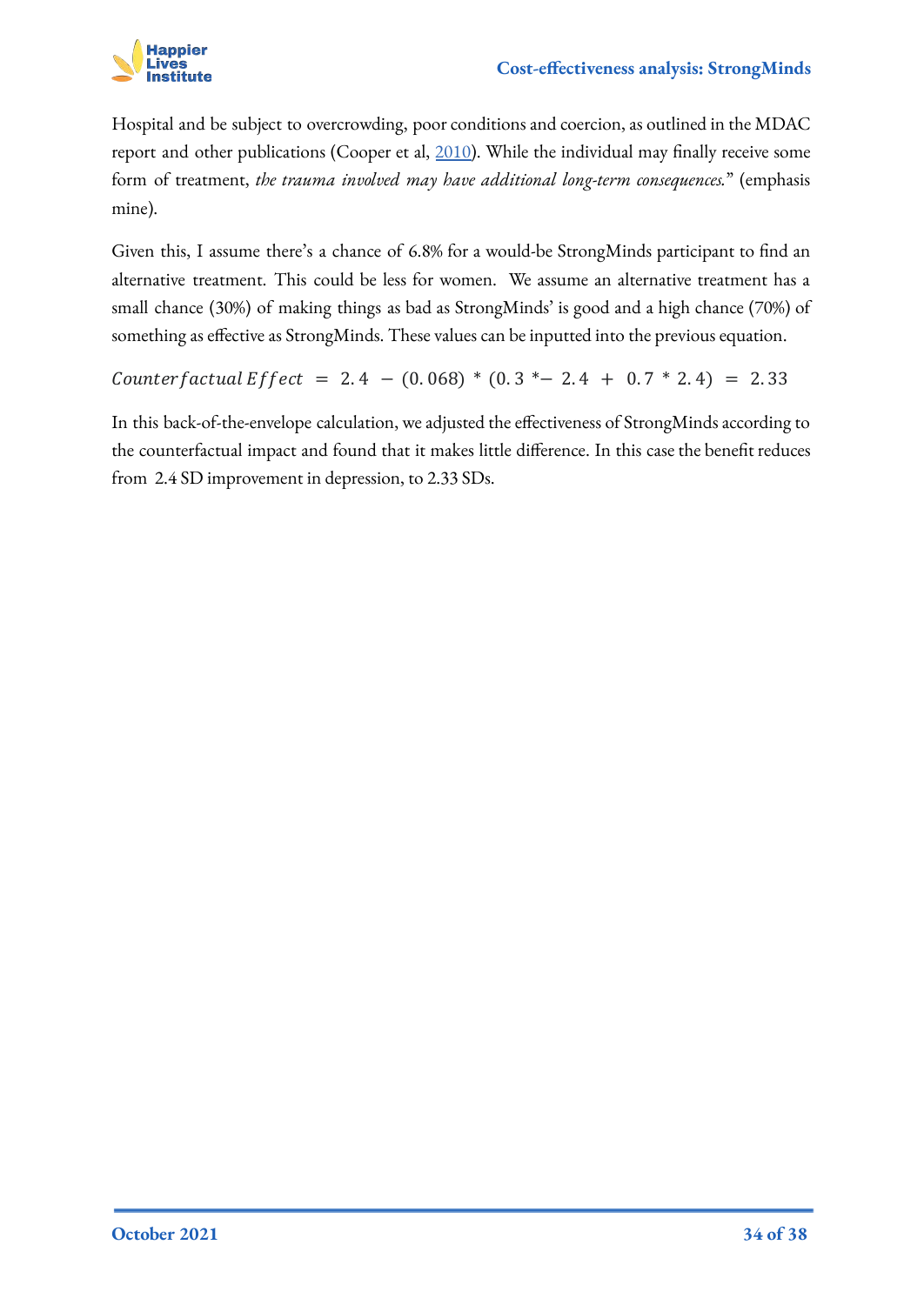

Hospital and be subject to overcrowding, poor conditions and coercion, as outlined in the MDAC report and other publications (Cooper et al, [2010\)](https://www.ncbi.nlm.nih.gov/pmc/articles/PMC5663025/#r2). While the individual may finally receive some form of treatment, *the trauma involved may have additional long-term consequences.*" (emphasis mine).

Given this, I assume there's a chance of 6.8% for a would-be StrongMinds participant to find an alternative treatment. This could be less for women. We assume an alternative treatment has a small chance (30%) of making things as bad as StrongMinds' is good and a high chance (70%) of something as effective as StrongMinds. These values can be inputted into the previous equation.

 $Counterfactual Effect = 2.4 - (0.068) * (0.3 *– 2.4 + 0.7 * 2.4) = 2.33$ 

In this back-of-the-envelope calculation, we adjusted the effectiveness of StrongMinds according to the counterfactual impact and found that it makes little difference. In this case the benefit reduces from 2.4 SD improvement in depression, to 2.33 SDs.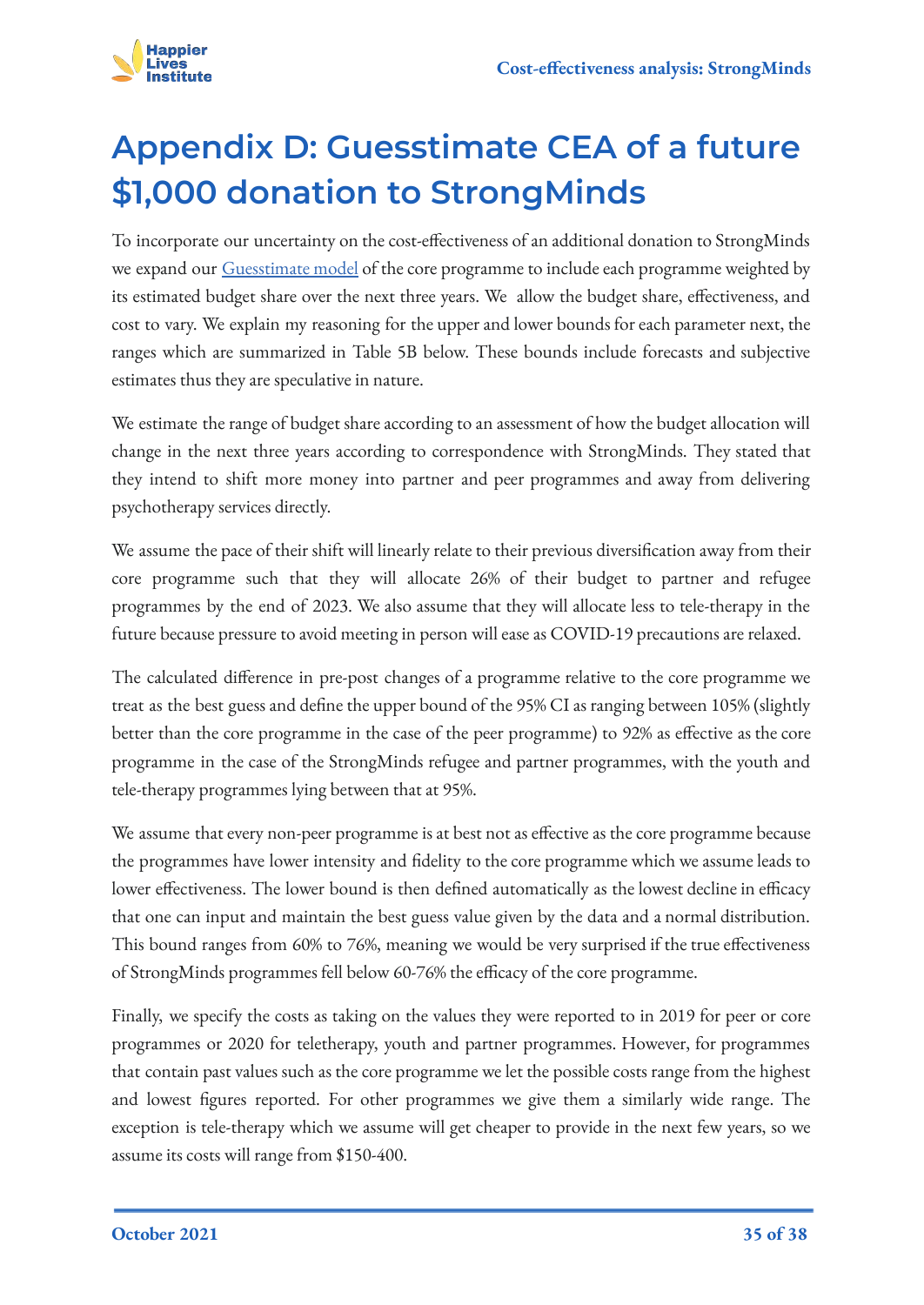

# <span id="page-34-0"></span>**Appendix D: Guesstimate CEA of a future \$1,000 donation to StrongMinds**

To incorporate our uncertainty on the cost-effectiveness of an additional donation to StrongMinds we expand our [Guesstimate model](https://www.getguesstimate.com/models/18351) of the core programme to include each programme weighted by its estimated budget share over the next three years. We allow the budget share, effectiveness, and cost to vary. We explain my reasoning for the upper and lower bounds for each parameter next, the ranges which are summarized in Table 5B below. These bounds include forecasts and subjective estimates thus they are speculative in nature.

We estimate the range of budget share according to an assessment of how the budget allocation will change in the next three years according to correspondence with StrongMinds. They stated that they intend to shift more money into partner and peer programmes and away from delivering psychotherapy services directly.

We assume the pace of their shift will linearly relate to their previous diversification away from their core programme such that they will allocate 26% of their budget to partner and refugee programmes by the end of 2023. We also assume that they will allocate less to tele-therapy in the future because pressure to avoid meeting in person will ease as COVID-19 precautions are relaxed.

The calculated difference in pre-post changes of a programme relative to the core programme we treat as the best guess and define the upper bound of the 95% CI as ranging between 105% (slightly better than the core programme in the case of the peer programme) to 92% as effective as the core programme in the case of the StrongMinds refugee and partner programmes, with the youth and tele-therapy programmes lying between that at 95%.

We assume that every non-peer programme is at best not as effective as the core programme because the programmes have lower intensity and fidelity to the core programme which we assume leads to lower effectiveness. The lower bound is then defined automatically as the lowest decline in efficacy that one can input and maintain the best guess value given by the data and a normal distribution. This bound ranges from 60% to 76%, meaning we would be very surprised if the true effectiveness of StrongMinds programmes fell below 60-76% the efficacy of the core programme.

Finally, we specify the costs as taking on the values they were reported to in 2019 for peer or core programmes or 2020 for teletherapy, youth and partner programmes. However, for programmes that contain past values such as the core programme we let the possible costs range from the highest and lowest figures reported. For other programmes we give them a similarly wide range. The exception is tele-therapy which we assume will get cheaper to provide in the next few years, so we assume its costs will range from \$150-400.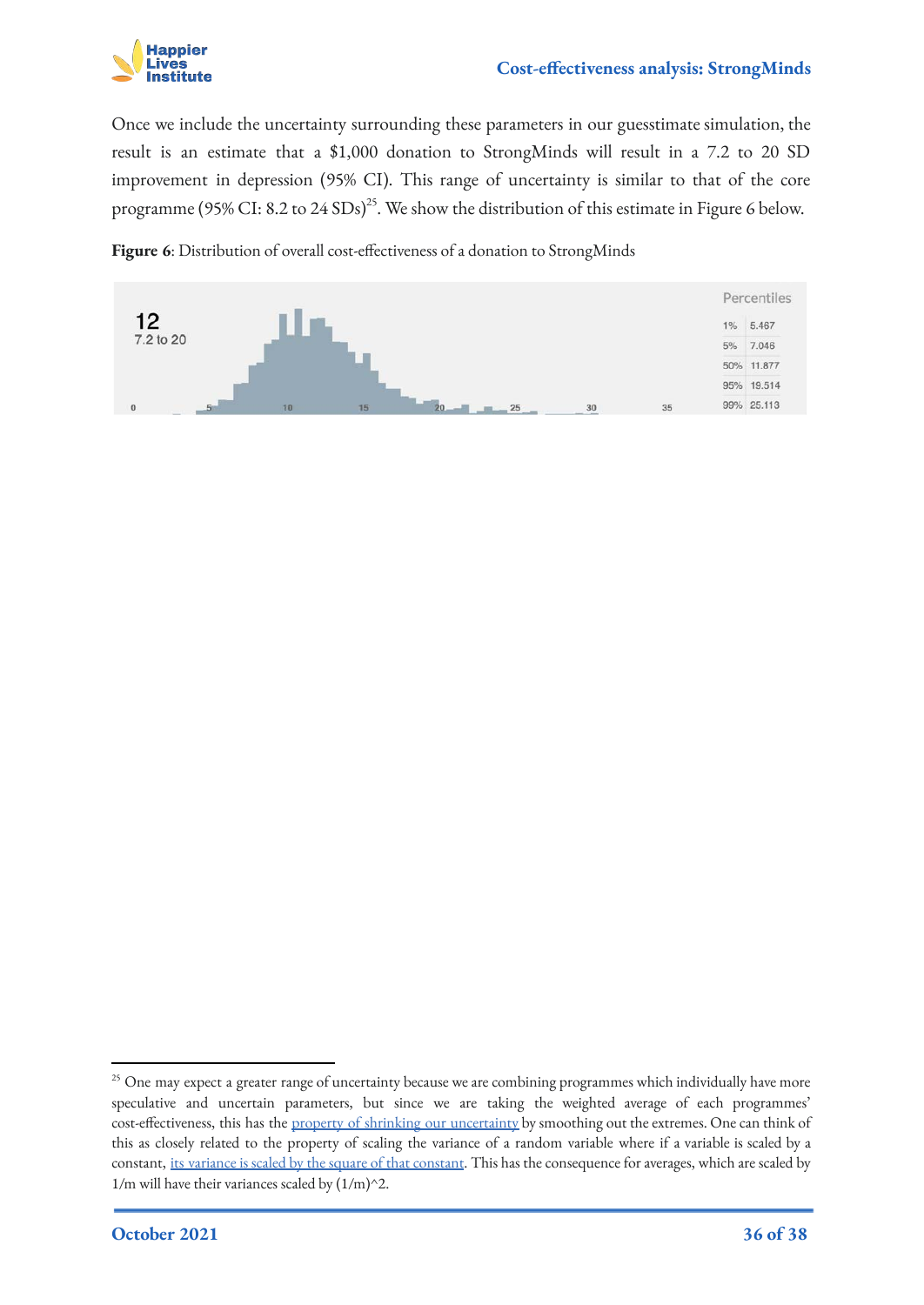

Once we include the uncertainty surrounding these parameters in our guesstimate simulation, the result is an estimate that a \$1,000 donation to StrongMinds will result in a 7.2 to 20 SD improvement in depression (95% CI). This range of uncertainty is similar to that of the core programme (95% CI: 8.2 to 24 SDs)<sup>25</sup>. We show the distribution of this estimate in Figure 6 below.

**Figure 6**: Distribution of overall cost-effectiveness of a donation to StrongMinds



<sup>&</sup>lt;sup>25</sup> One may expect a greater range of uncertainty because we are combining programmes which individually have more speculative and uncertain parameters, but since we are taking the weighted average of each programmes' cost-effectiveness, this has the [property of shrinking our uncertainty](https://physics.stackexchange.com/questions/467722/uncertainty-of-an-average) by smoothing out the extremes. One can think of this as closely related to the property of scaling the variance of a random variable where if a variable is scaled by a constant, [its variance is scaled by the square of that constant](https://en.wikipedia.org/wiki/Variance). This has the consequence for averages, which are scaled by 1/m will have their variances scaled by  $(1/m)^2$ .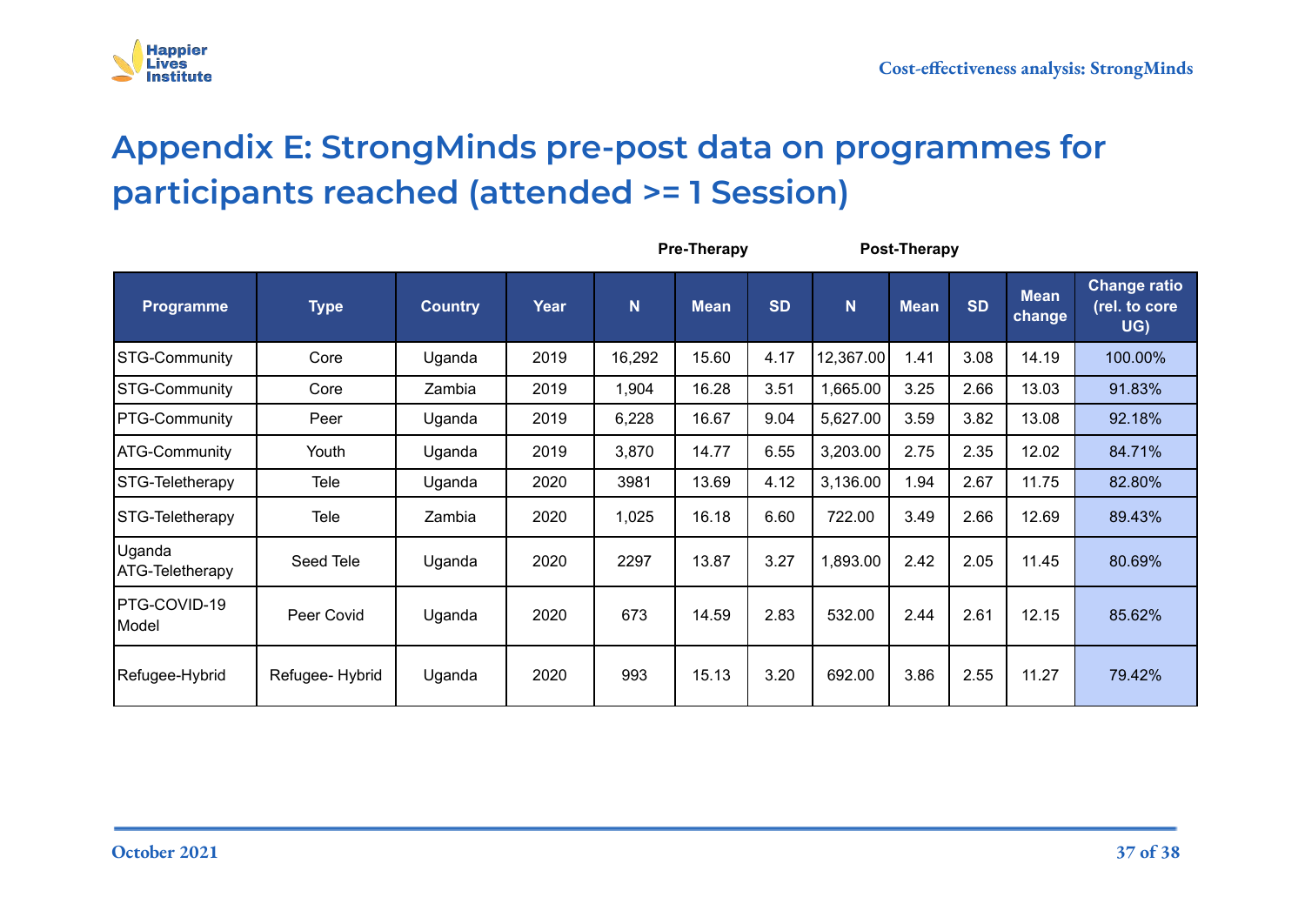

# **Appendix E: StrongMinds pre-post data on programmes for participants reached (attended >= 1 Session)**

<span id="page-36-0"></span>

|                                  | <b>Pre-Therapy</b> |                |      |             |             | Post-Therapy |           |             |           |                       |                                             |
|----------------------------------|--------------------|----------------|------|-------------|-------------|--------------|-----------|-------------|-----------|-----------------------|---------------------------------------------|
| Programme                        | <b>Type</b>        | <b>Country</b> | Year | $\mathbf N$ | <b>Mean</b> | <b>SD</b>    | N         | <b>Mean</b> | <b>SD</b> | <b>Mean</b><br>change | <b>Change ratio</b><br>(rel. to core<br>UG) |
| <b>STG-Community</b>             | Core               | Uganda         | 2019 | 16,292      | 15.60       | 4.17         | 12,367.00 | 1.41        | 3.08      | 14.19                 | 100.00%                                     |
| <b>STG-Community</b>             | Core               | Zambia         | 2019 | 1,904       | 16.28       | 3.51         | 1,665.00  | 3.25        | 2.66      | 13.03                 | 91.83%                                      |
| <b>PTG-Community</b>             | Peer               | Uganda         | 2019 | 6,228       | 16.67       | 9.04         | 5,627.00  | 3.59        | 3.82      | 13.08                 | 92.18%                                      |
| <b>ATG-Community</b>             | Youth              | Uganda         | 2019 | 3,870       | 14.77       | 6.55         | 3,203.00  | 2.75        | 2.35      | 12.02                 | 84.71%                                      |
| STG-Teletherapy                  | <b>Tele</b>        | Uganda         | 2020 | 3981        | 13.69       | 4.12         | 3,136.00  | 1.94        | 2.67      | 11.75                 | 82.80%                                      |
| STG-Teletherapy                  | Tele               | Zambia         | 2020 | 1,025       | 16.18       | 6.60         | 722.00    | 3.49        | 2.66      | 12.69                 | 89.43%                                      |
| Uganda<br><b>ATG-Teletherapy</b> | Seed Tele          | Uganda         | 2020 | 2297        | 13.87       | 3.27         | 1,893.00  | 2.42        | 2.05      | 11.45                 | 80.69%                                      |
| PTG-COVID-19<br>Model            | Peer Covid         | Uganda         | 2020 | 673         | 14.59       | 2.83         | 532.00    | 2.44        | 2.61      | 12.15                 | 85.62%                                      |
| Refugee-Hybrid                   | Refugee-Hybrid     | Uganda         | 2020 | 993         | 15.13       | 3.20         | 692.00    | 3.86        | 2.55      | 11.27                 | 79.42%                                      |